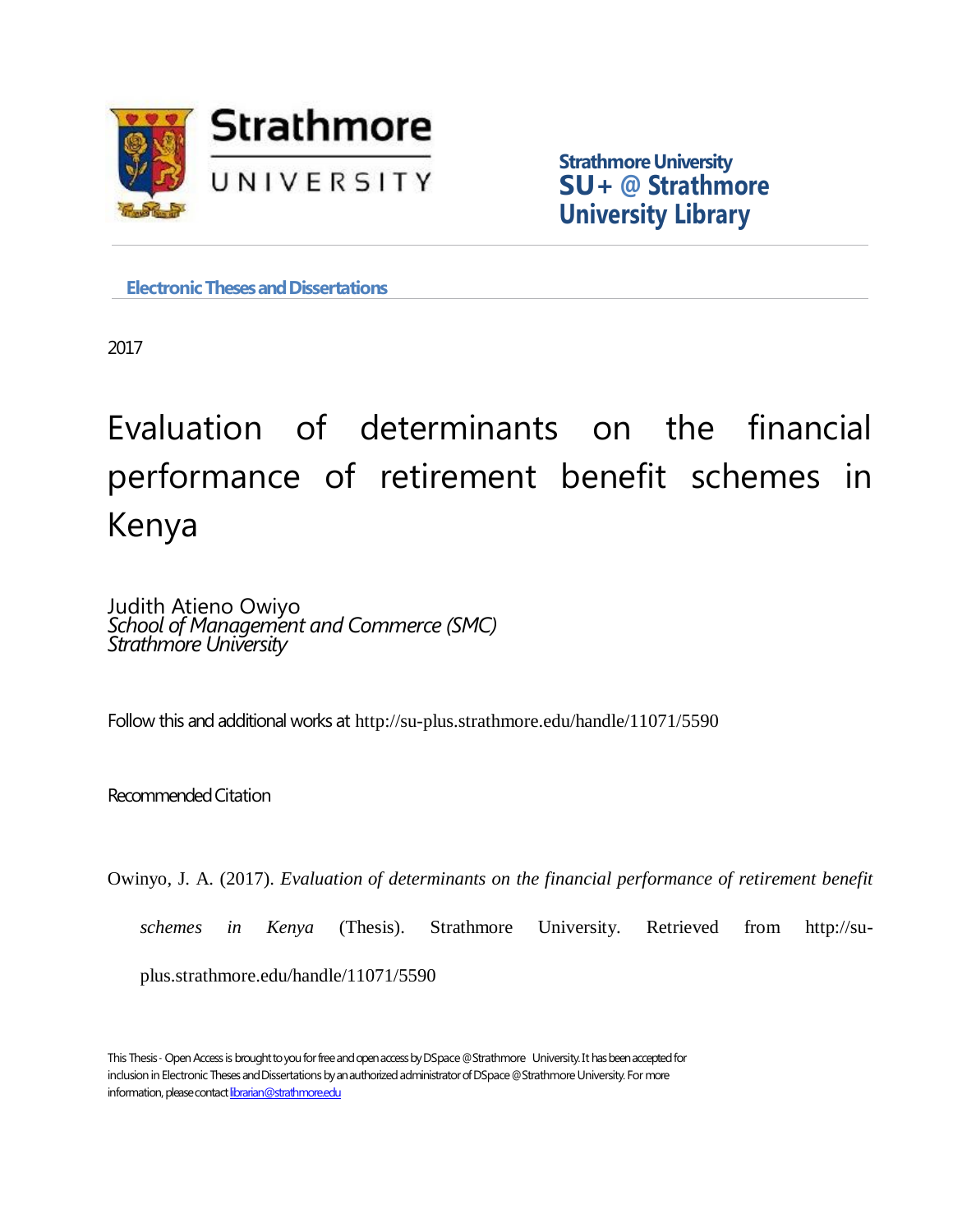

**Strathmore University SU+ @ Strathmore University Library**

**Electronic Theses and Dissertations** 

2017

Evaluation of determinants on the financial performance of retirement benefit schemes in Kenya

Judith Atieno Owiyo *School of Management and Commerce (SMC) Strathmore University*

Follow this and additional works at http://su-plus.strathmore.edu/handle/11071/5590

Recommended Citation

Owinyo, J. A. (2017). *Evaluation of determinants on the financial performance of retirement benefit* 

*schemes in Kenya* (Thesis). Strathmore University. Retrieved from http://su-

plus.strathmore.edu/handle/11071/5590

This Thesis - Open Access is brought to you for free and open access by DSpace @Strathmore University. It has been accepted for inclusion in Electronic Theses and Dissertations by an authorized administrator of DSpace @Strathmore University. For more information, please contact librarian@strathmore.edu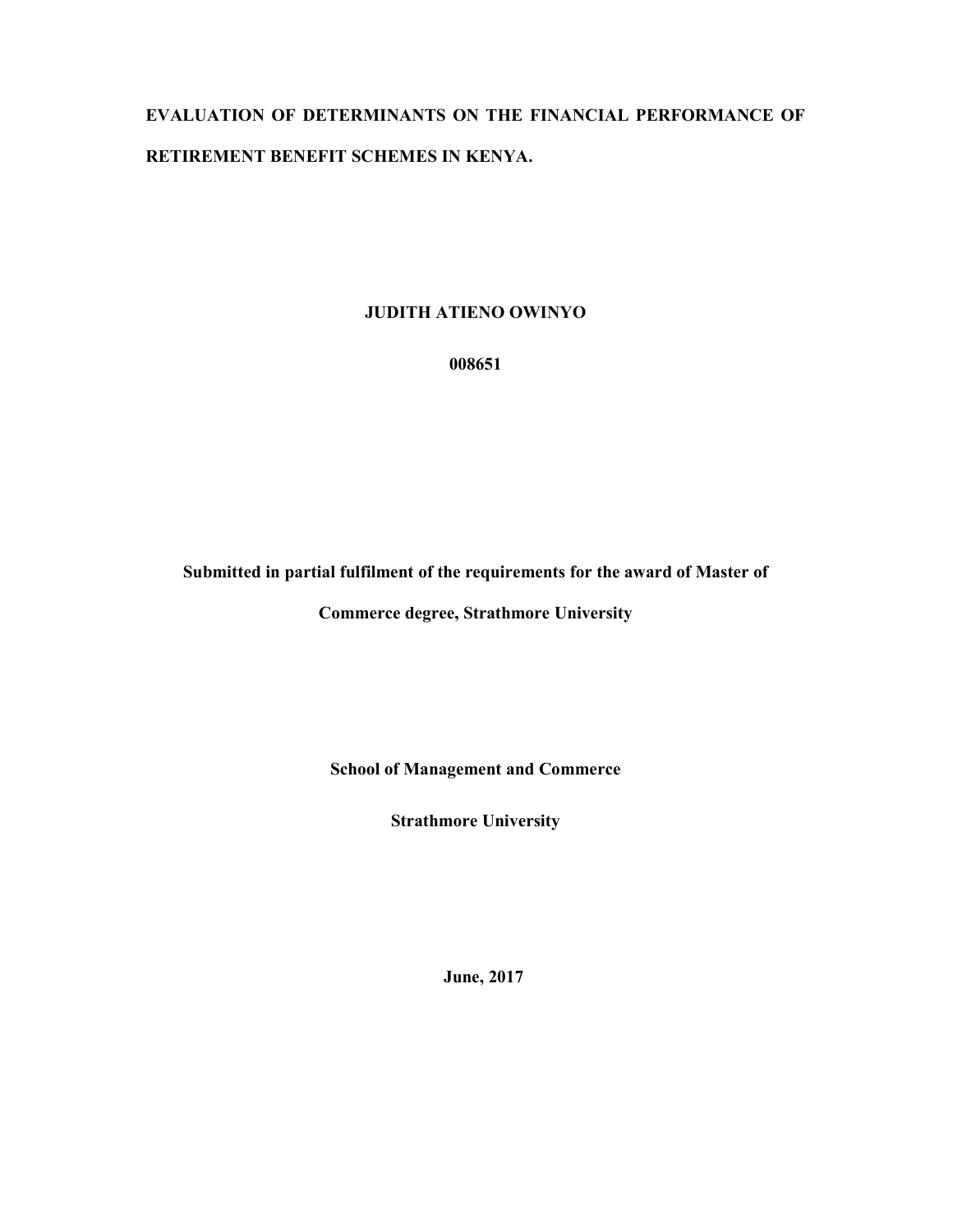# EVALUATION OF DETERMINANTS ON THE FINANCIAL PERFORMANCE OF RETIREMENT BENEFIT SCHEMES IN KENYA.

### JUDITH ATIENO OWINYO

008651

Submitted in partial fulfilment of the requirements for the award of Master of

Commerce degree, Strathmore University

School of Management and Commerce

Strathmore University

June, 2017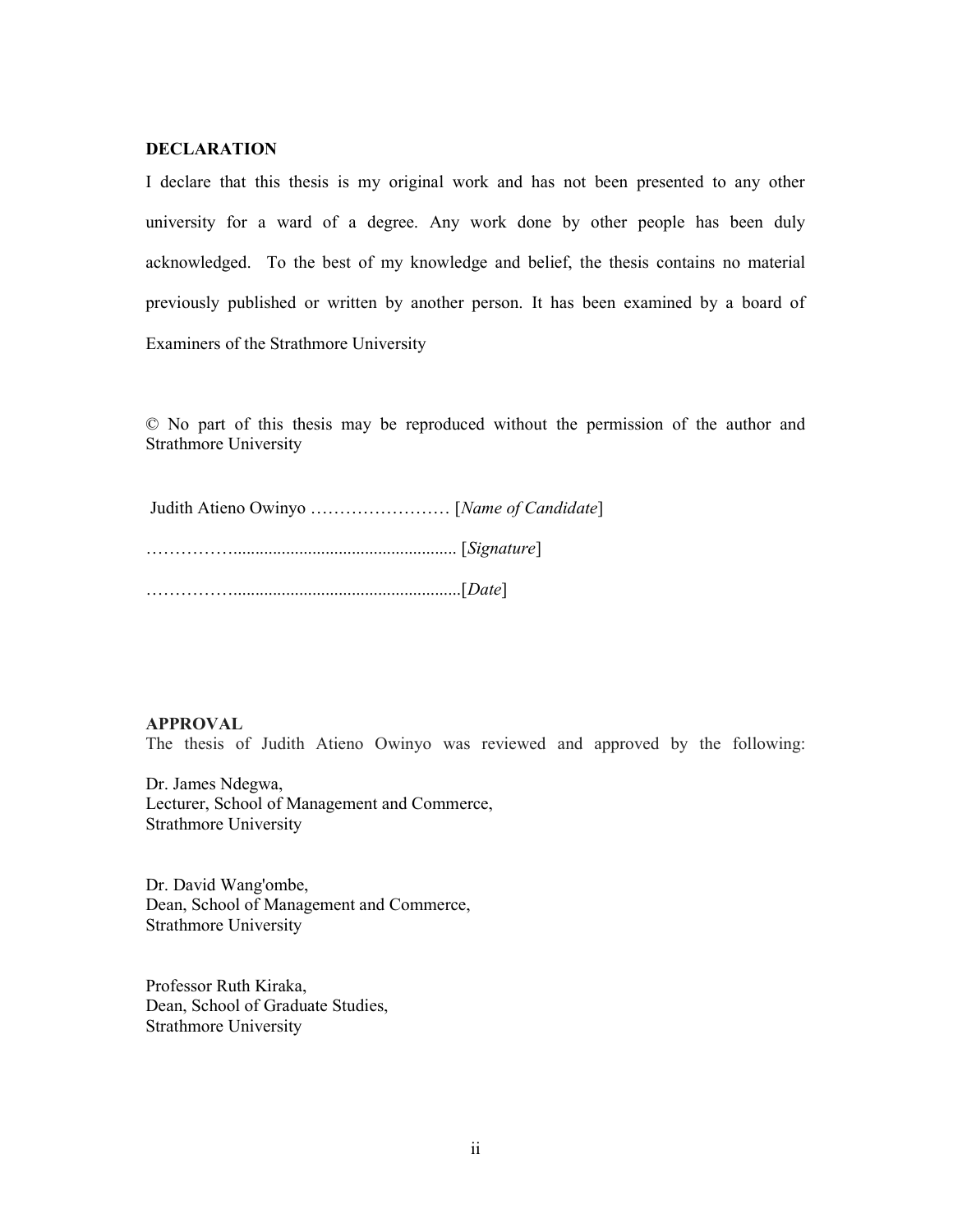#### DECLARATION

I declare that this thesis is my original work and has not been presented to any other university for a ward of a degree. Any work done by other people has been duly acknowledged. To the best of my knowledge and belief, the thesis contains no material previously published or written by another person. It has been examined by a board of Examiners of the Strathmore University

© No part of this thesis may be reproduced without the permission of the author and Strathmore University

#### APPROVAL

The thesis of Judith Atieno Owinyo was reviewed and approved by the following:

Dr. James Ndegwa, Lecturer, School of Management and Commerce, Strathmore University

Dr. David Wang'ombe, Dean, School of Management and Commerce, Strathmore University

Professor Ruth Kiraka, Dean, School of Graduate Studies, Strathmore University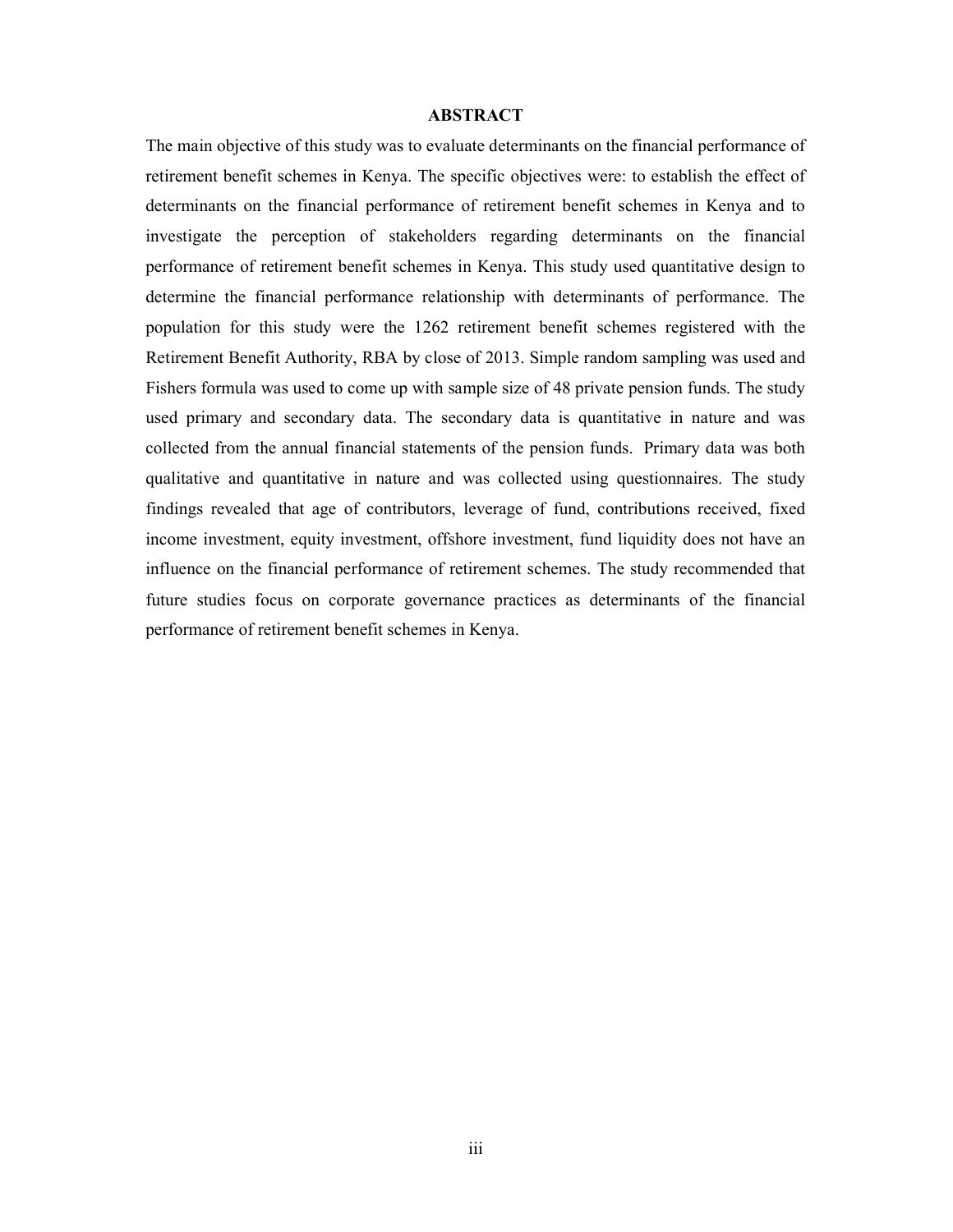#### ABSTRACT

The main objective of this study was to evaluate determinants on the financial performance of retirement benefit schemes in Kenya. The specific objectives were: to establish the effect of determinants on the financial performance of retirement benefit schemes in Kenya and to investigate the perception of stakeholders regarding determinants on the financial performance of retirement benefit schemes in Kenya. This study used quantitative design to determine the financial performance relationship with determinants of performance. The population for this study were the 1262 retirement benefit schemes registered with the Retirement Benefit Authority, RBA by close of 2013. Simple random sampling was used and Fishers formula was used to come up with sample size of 48 private pension funds. The study used primary and secondary data. The secondary data is quantitative in nature and was collected from the annual financial statements of the pension funds. Primary data was both qualitative and quantitative in nature and was collected using questionnaires. The study findings revealed that age of contributors, leverage of fund, contributions received, fixed income investment, equity investment, offshore investment, fund liquidity does not have an influence on the financial performance of retirement schemes. The study recommended that future studies focus on corporate governance practices as determinants of the financial performance of retirement benefit schemes in Kenya.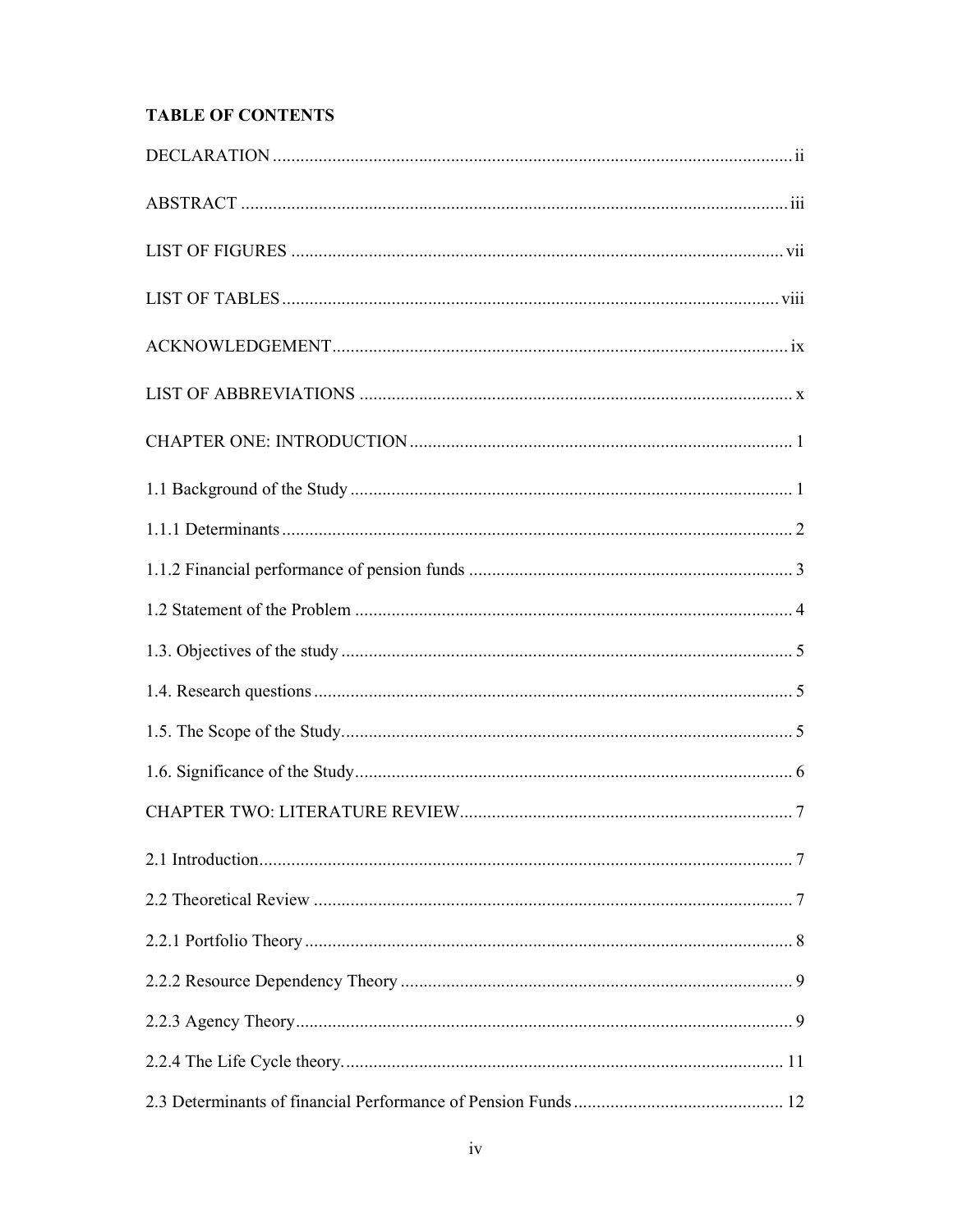## **TABLE OF CONTENTS**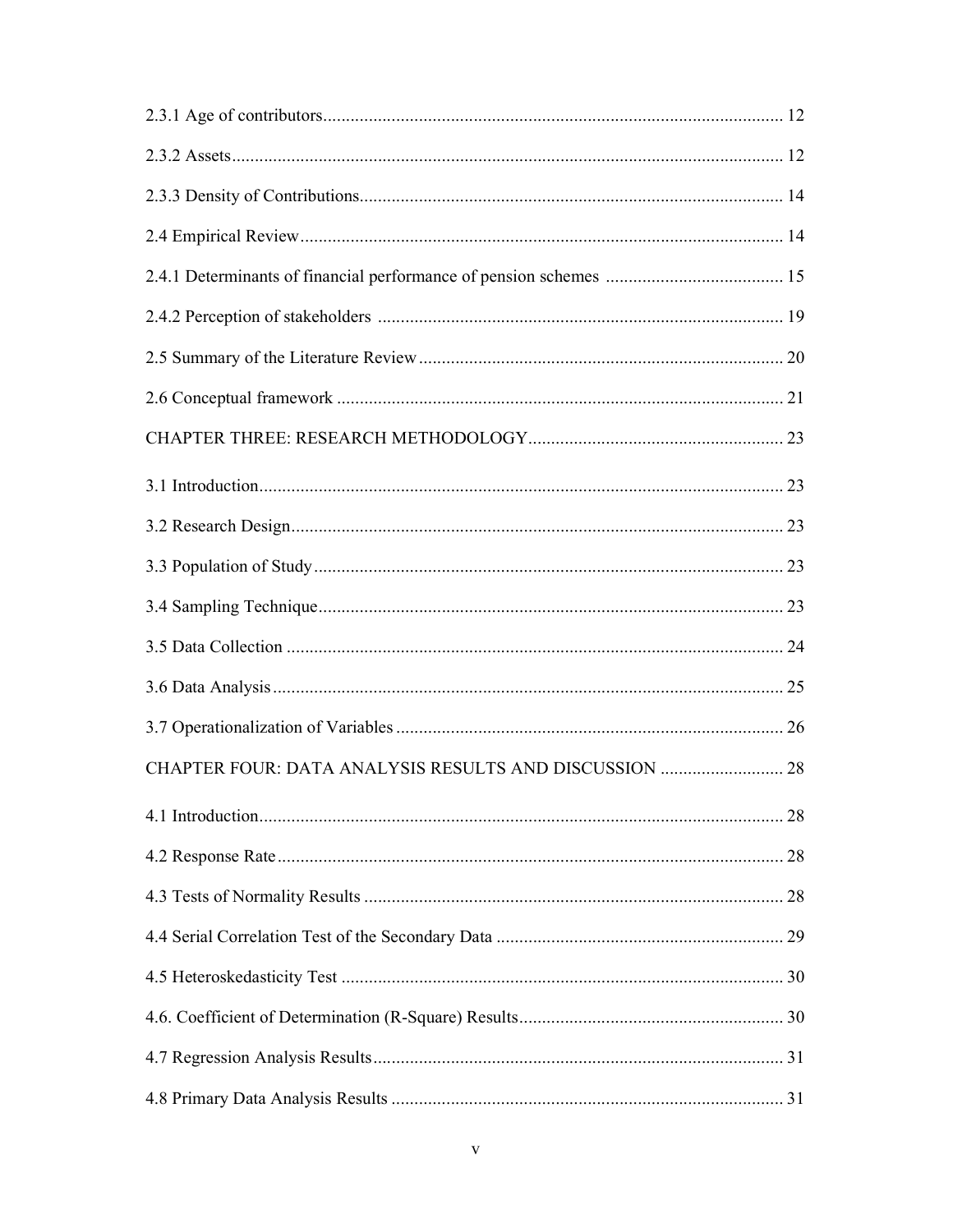| CHAPTER FOUR: DATA ANALYSIS RESULTS AND DISCUSSION  28 |
|--------------------------------------------------------|
|                                                        |
|                                                        |
|                                                        |
|                                                        |
|                                                        |
|                                                        |
|                                                        |
|                                                        |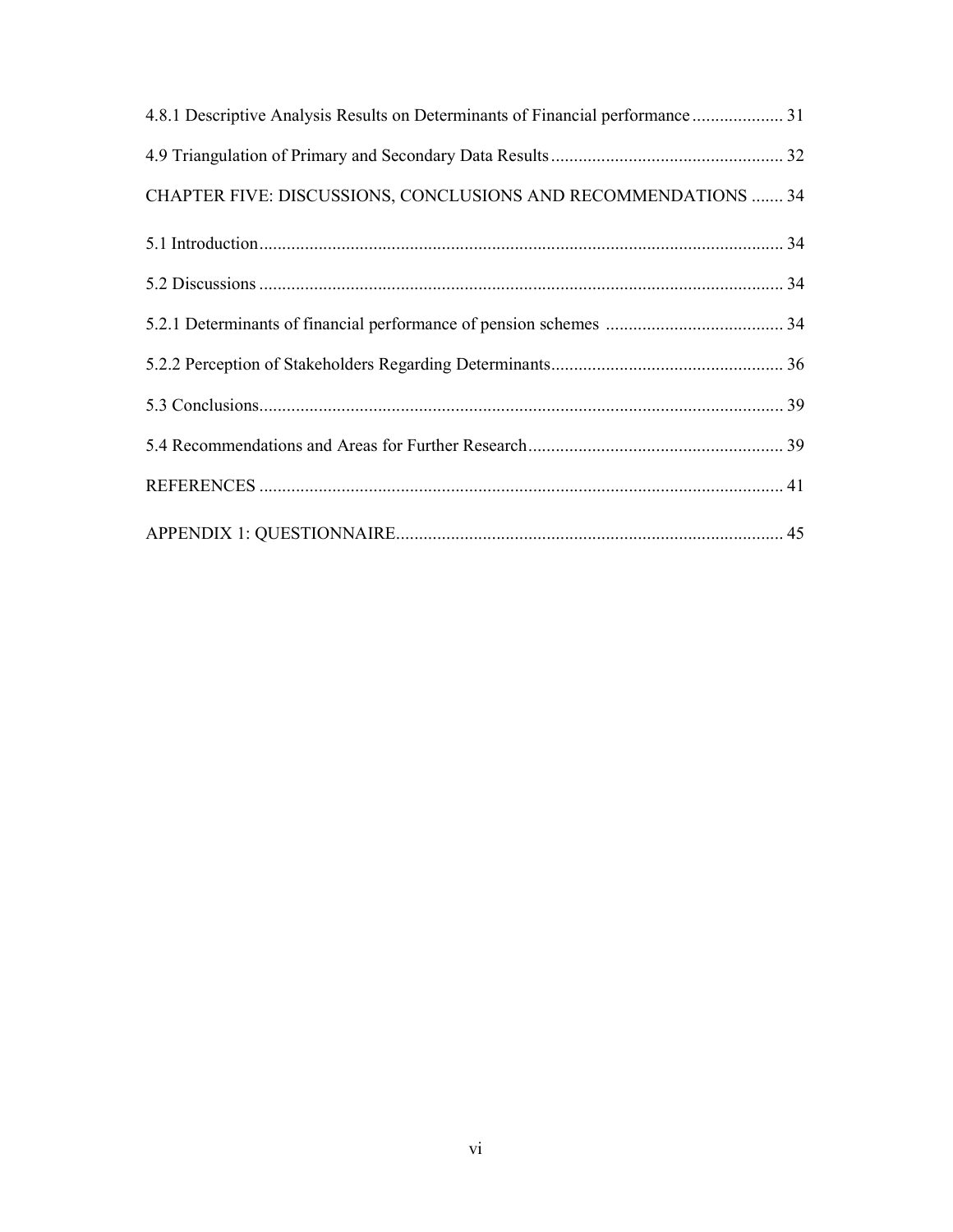| 4.8.1 Descriptive Analysis Results on Determinants of Financial performance 31 |  |
|--------------------------------------------------------------------------------|--|
|                                                                                |  |
| CHAPTER FIVE: DISCUSSIONS, CONCLUSIONS AND RECOMMENDATIONS  34                 |  |
|                                                                                |  |
|                                                                                |  |
|                                                                                |  |
|                                                                                |  |
|                                                                                |  |
|                                                                                |  |
|                                                                                |  |
|                                                                                |  |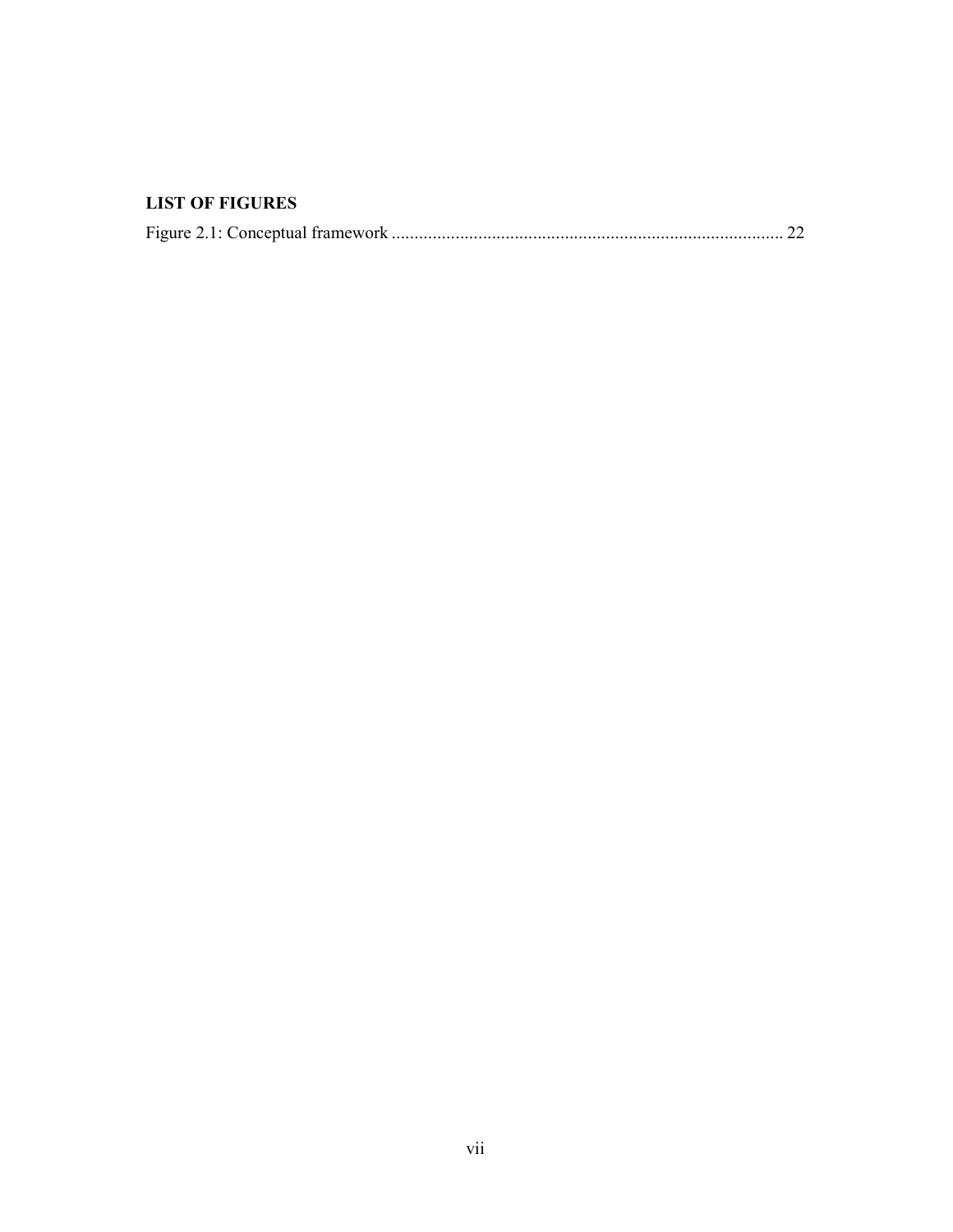### LIST OF FIGURES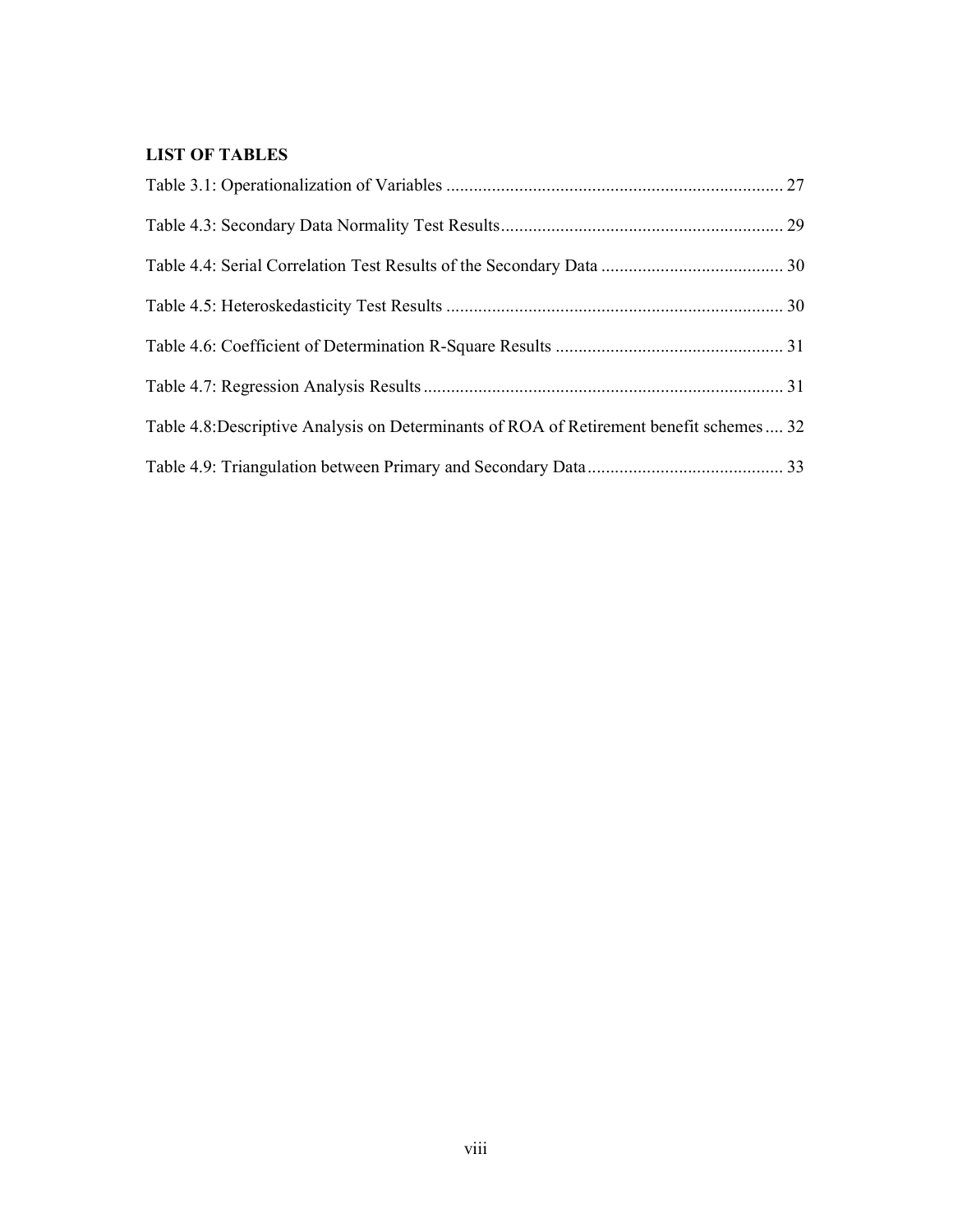### LIST OF TABLES

| Table 4.8: Descriptive Analysis on Determinants of ROA of Retirement benefit schemes  32 |  |
|------------------------------------------------------------------------------------------|--|
|                                                                                          |  |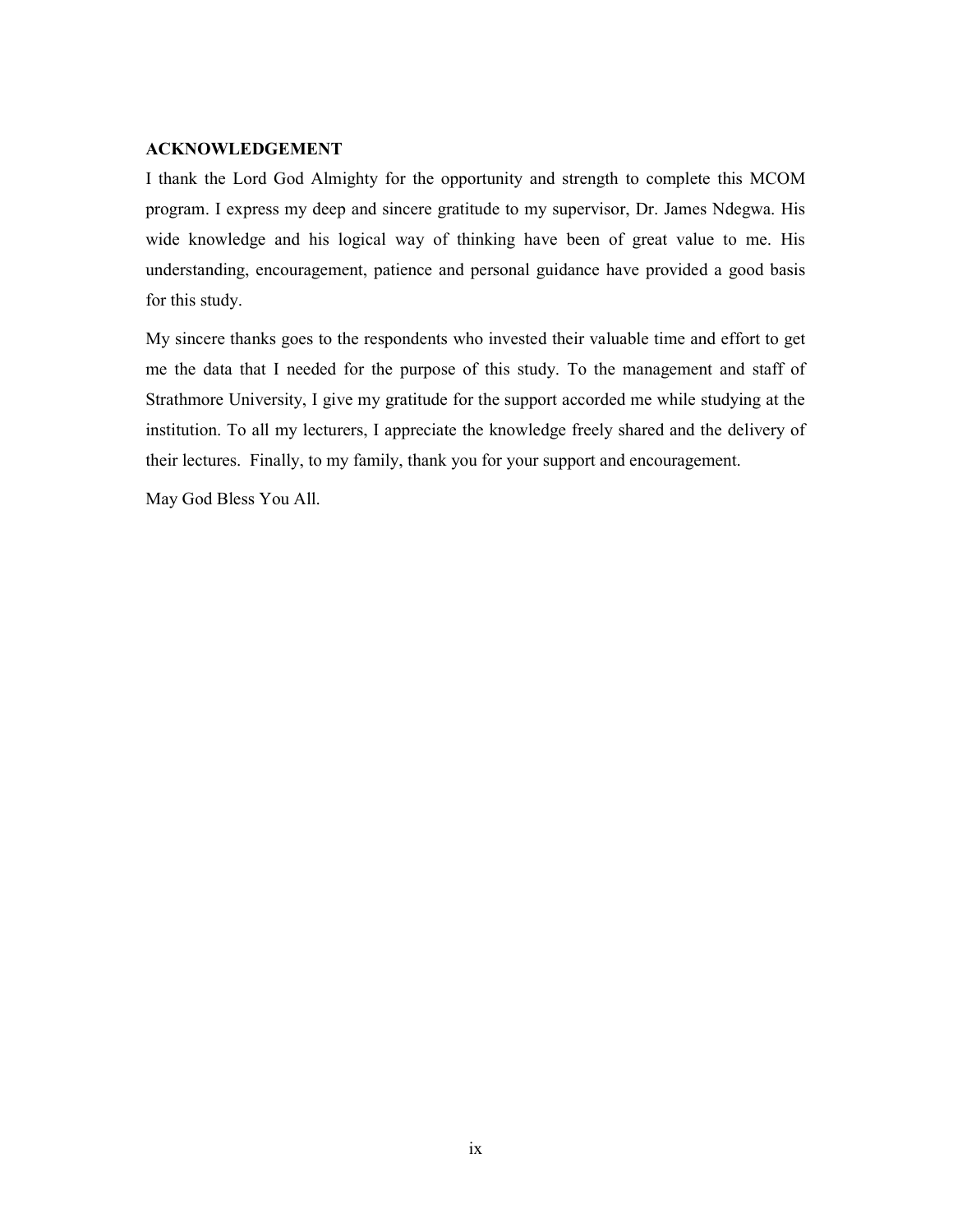#### ACKNOWLEDGEMENT

I thank the Lord God Almighty for the opportunity and strength to complete this MCOM program. I express my deep and sincere gratitude to my supervisor, Dr. James Ndegwa. His wide knowledge and his logical way of thinking have been of great value to me. His understanding, encouragement, patience and personal guidance have provided a good basis for this study.

My sincere thanks goes to the respondents who invested their valuable time and effort to get me the data that I needed for the purpose of this study. To the management and staff of Strathmore University, I give my gratitude for the support accorded me while studying at the institution. To all my lecturers, I appreciate the knowledge freely shared and the delivery of their lectures. Finally, to my family, thank you for your support and encouragement.

May God Bless You All.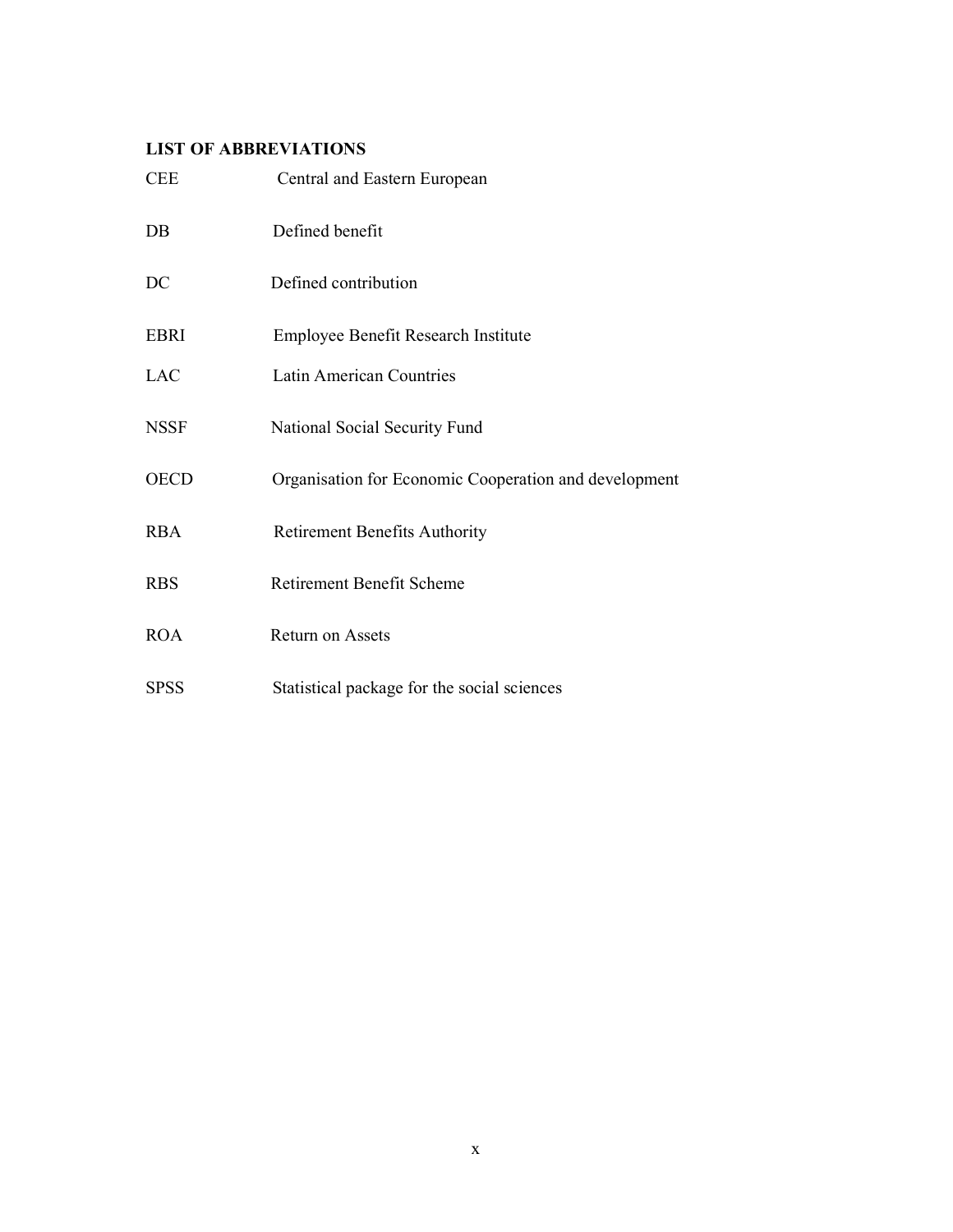### LIST OF ABBREVIATIONS

| <b>CEE</b>  | Central and Eastern European                          |
|-------------|-------------------------------------------------------|
| $DB$        | Defined benefit                                       |
| DC          | Defined contribution                                  |
| <b>EBRI</b> | Employee Benefit Research Institute                   |
| <b>LAC</b>  | <b>Latin American Countries</b>                       |
| <b>NSSF</b> | National Social Security Fund                         |
| <b>OECD</b> | Organisation for Economic Cooperation and development |
| <b>RBA</b>  | <b>Retirement Benefits Authority</b>                  |
| <b>RBS</b>  | <b>Retirement Benefit Scheme</b>                      |
| <b>ROA</b>  | Return on Assets                                      |
| <b>SPSS</b> | Statistical package for the social sciences           |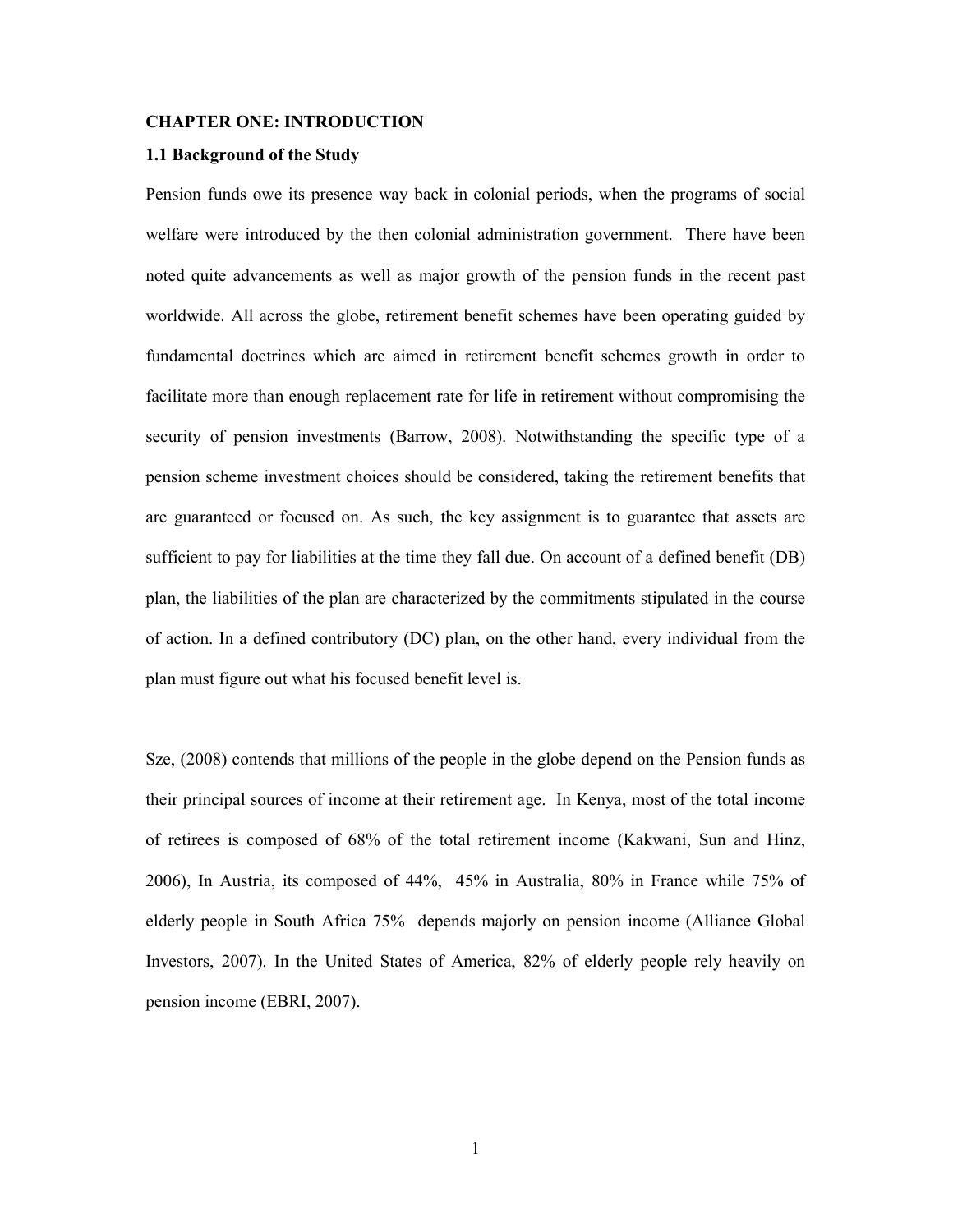#### CHAPTER ONE: INTRODUCTION

#### 1.1 Background of the Study

Pension funds owe its presence way back in colonial periods, when the programs of social welfare were introduced by the then colonial administration government. There have been noted quite advancements as well as major growth of the pension funds in the recent past worldwide. All across the globe, retirement benefit schemes have been operating guided by fundamental doctrines which are aimed in retirement benefit schemes growth in order to facilitate more than enough replacement rate for life in retirement without compromising the security of pension investments (Barrow, 2008). Notwithstanding the specific type of a pension scheme investment choices should be considered, taking the retirement benefits that are guaranteed or focused on. As such, the key assignment is to guarantee that assets are sufficient to pay for liabilities at the time they fall due. On account of a defined benefit (DB) plan, the liabilities of the plan are characterized by the commitments stipulated in the course of action. In a defined contributory (DC) plan, on the other hand, every individual from the plan must figure out what his focused benefit level is.

Sze, (2008) contends that millions of the people in the globe depend on the Pension funds as their principal sources of income at their retirement age. In Kenya, most of the total income of retirees is composed of 68% of the total retirement income (Kakwani, Sun and Hinz, 2006), In Austria, its composed of 44%, 45% in Australia, 80% in France while 75% of elderly people in South Africa 75% depends majorly on pension income (Alliance Global Investors, 2007). In the United States of America, 82% of elderly people rely heavily on pension income (EBRI, 2007).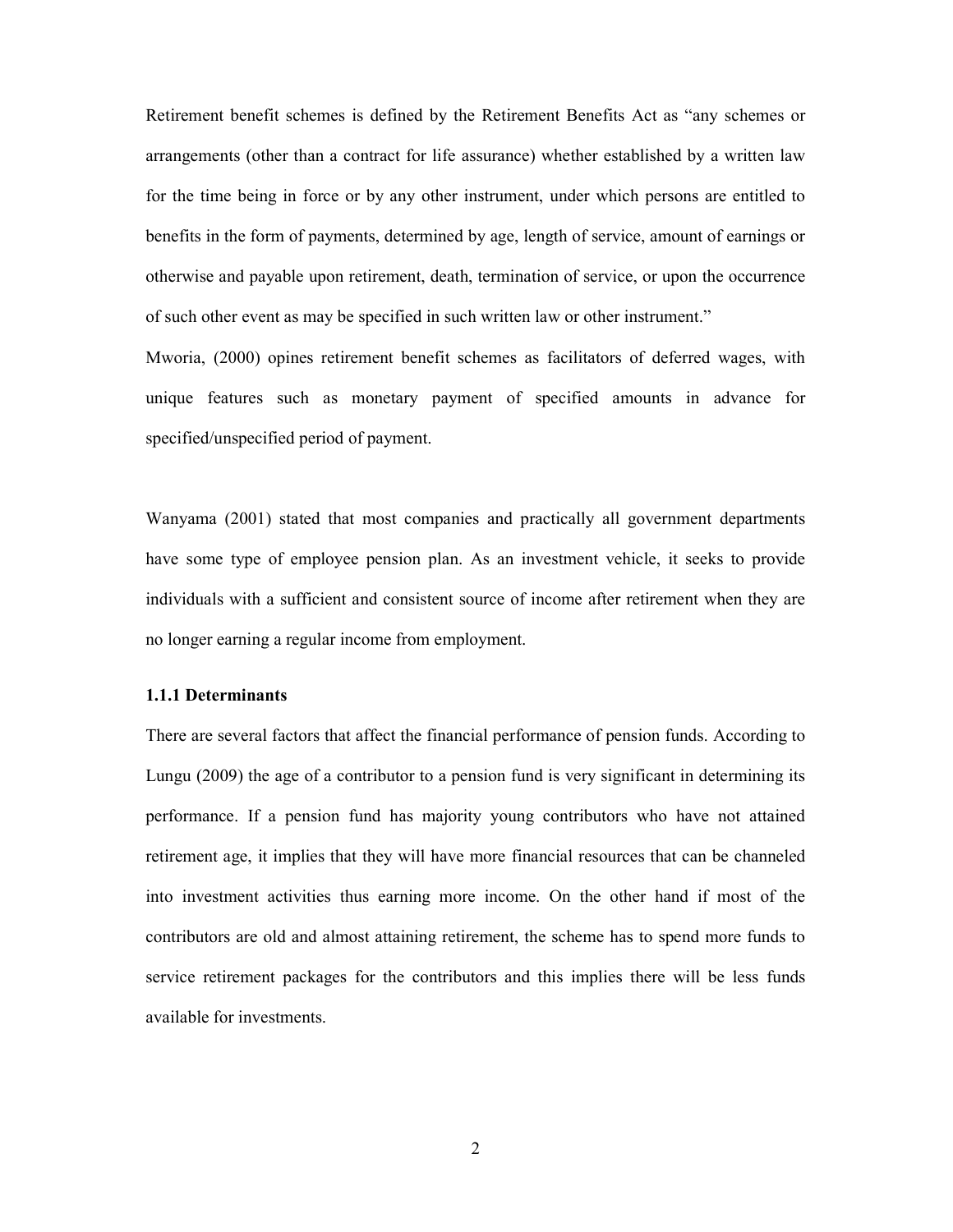Retirement benefit schemes is defined by the Retirement Benefits Act as "any schemes or arrangements (other than a contract for life assurance) whether established by a written law for the time being in force or by any other instrument, under which persons are entitled to benefits in the form of payments, determined by age, length of service, amount of earnings or otherwise and payable upon retirement, death, termination of service, or upon the occurrence of such other event as may be specified in such written law or other instrument."

Mworia, (2000) opines retirement benefit schemes as facilitators of deferred wages, with unique features such as monetary payment of specified amounts in advance for specified/unspecified period of payment.

Wanyama (2001) stated that most companies and practically all government departments have some type of employee pension plan. As an investment vehicle, it seeks to provide individuals with a sufficient and consistent source of income after retirement when they are no longer earning a regular income from employment.

#### 1.1.1 Determinants

There are several factors that affect the financial performance of pension funds. According to Lungu (2009) the age of a contributor to a pension fund is very significant in determining its performance. If a pension fund has majority young contributors who have not attained retirement age, it implies that they will have more financial resources that can be channeled into investment activities thus earning more income. On the other hand if most of the contributors are old and almost attaining retirement, the scheme has to spend more funds to service retirement packages for the contributors and this implies there will be less funds available for investments.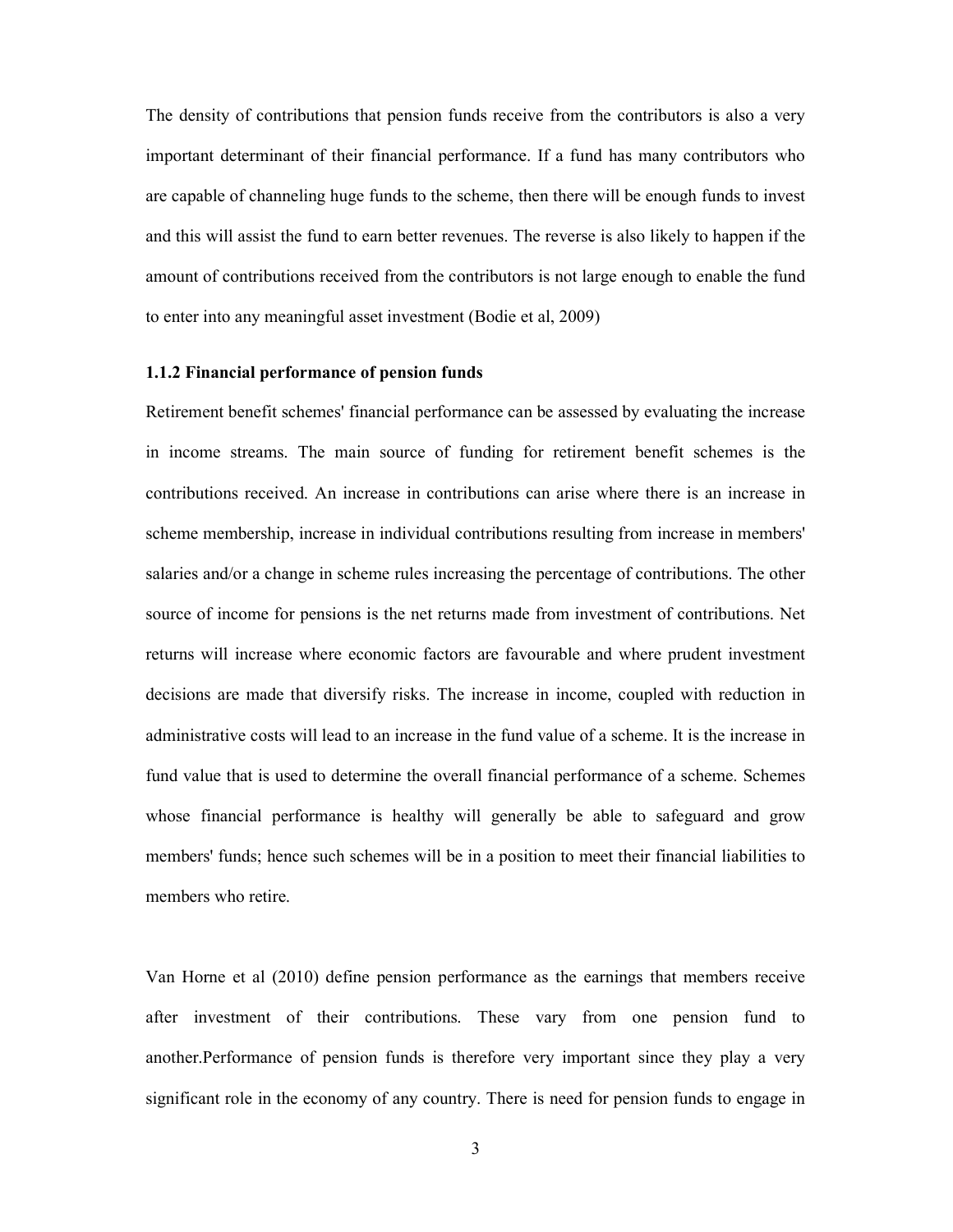The density of contributions that pension funds receive from the contributors is also a very important determinant of their financial performance. If a fund has many contributors who are capable of channeling huge funds to the scheme, then there will be enough funds to invest and this will assist the fund to earn better revenues. The reverse is also likely to happen if the amount of contributions received from the contributors is not large enough to enable the fund to enter into any meaningful asset investment (Bodie et al, 2009)

#### 1.1.2 Financial performance of pension funds

Retirement benefit schemes' financial performance can be assessed by evaluating the increase in income streams. The main source of funding for retirement benefit schemes is the contributions received. An increase in contributions can arise where there is an increase in scheme membership, increase in individual contributions resulting from increase in members' salaries and/or a change in scheme rules increasing the percentage of contributions. The other source of income for pensions is the net returns made from investment of contributions. Net returns will increase where economic factors are favourable and where prudent investment decisions are made that diversify risks. The increase in income, coupled with reduction in administrative costs will lead to an increase in the fund value of a scheme. It is the increase in fund value that is used to determine the overall financial performance of a scheme. Schemes whose financial performance is healthy will generally be able to safeguard and grow members' funds; hence such schemes will be in a position to meet their financial liabilities to members who retire.

Van Horne et al (2010) define pension performance as the earnings that members receive after investment of their contributions. These vary from one pension fund to another.Performance of pension funds is therefore very important since they play a very significant role in the economy of any country. There is need for pension funds to engage in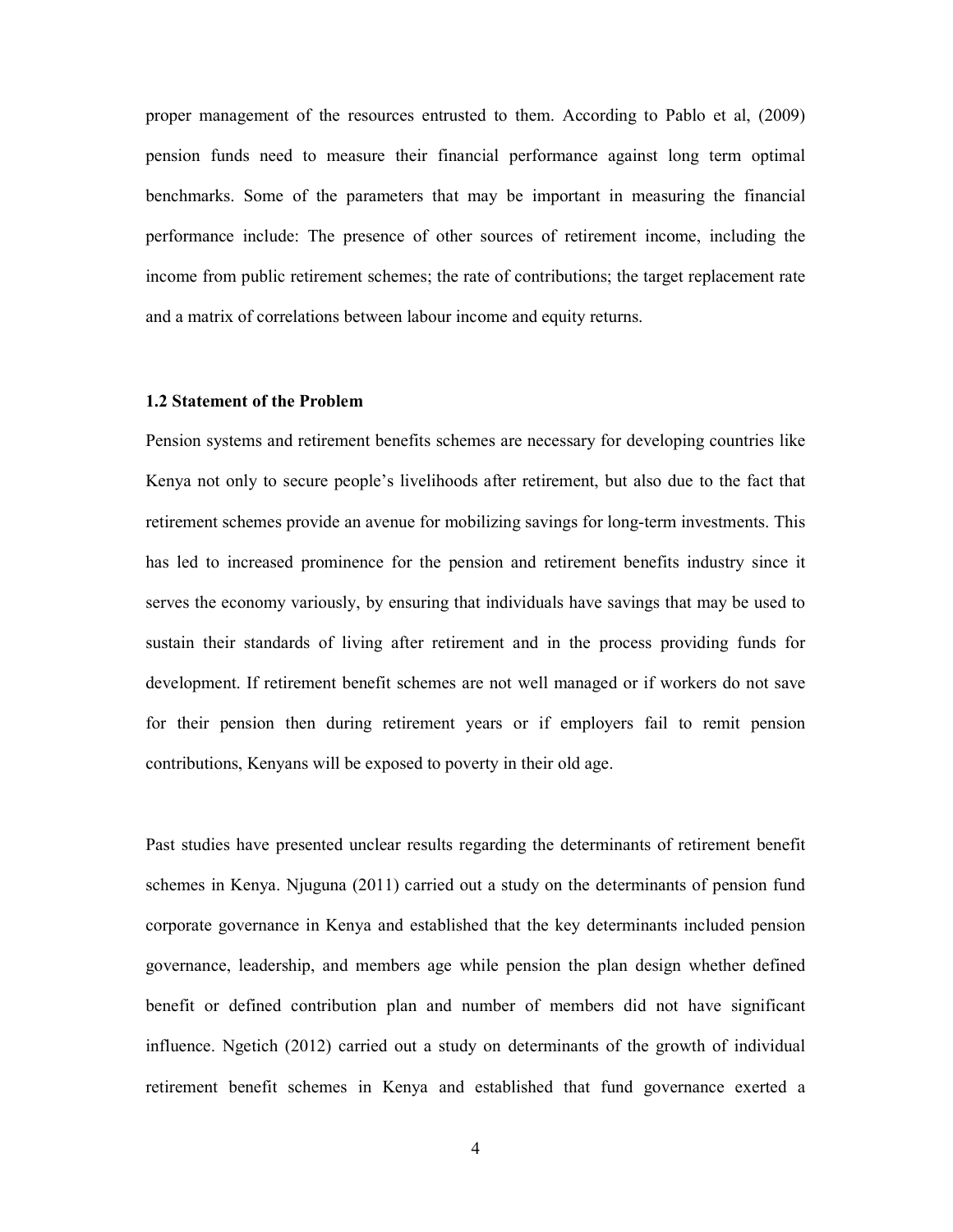proper management of the resources entrusted to them. According to Pablo et al, (2009) pension funds need to measure their financial performance against long term optimal benchmarks. Some of the parameters that may be important in measuring the financial performance include: The presence of other sources of retirement income, including the income from public retirement schemes; the rate of contributions; the target replacement rate and a matrix of correlations between labour income and equity returns.

#### 1.2 Statement of the Problem

Pension systems and retirement benefits schemes are necessary for developing countries like Kenya not only to secure people's livelihoods after retirement, but also due to the fact that retirement schemes provide an avenue for mobilizing savings for long-term investments. This has led to increased prominence for the pension and retirement benefits industry since it serves the economy variously, by ensuring that individuals have savings that may be used to sustain their standards of living after retirement and in the process providing funds for development. If retirement benefit schemes are not well managed or if workers do not save for their pension then during retirement years or if employers fail to remit pension contributions, Kenyans will be exposed to poverty in their old age.

Past studies have presented unclear results regarding the determinants of retirement benefit schemes in Kenya. Njuguna (2011) carried out a study on the determinants of pension fund corporate governance in Kenya and established that the key determinants included pension governance, leadership, and members age while pension the plan design whether defined benefit or defined contribution plan and number of members did not have significant influence. Ngetich (2012) carried out a study on determinants of the growth of individual retirement benefit schemes in Kenya and established that fund governance exerted a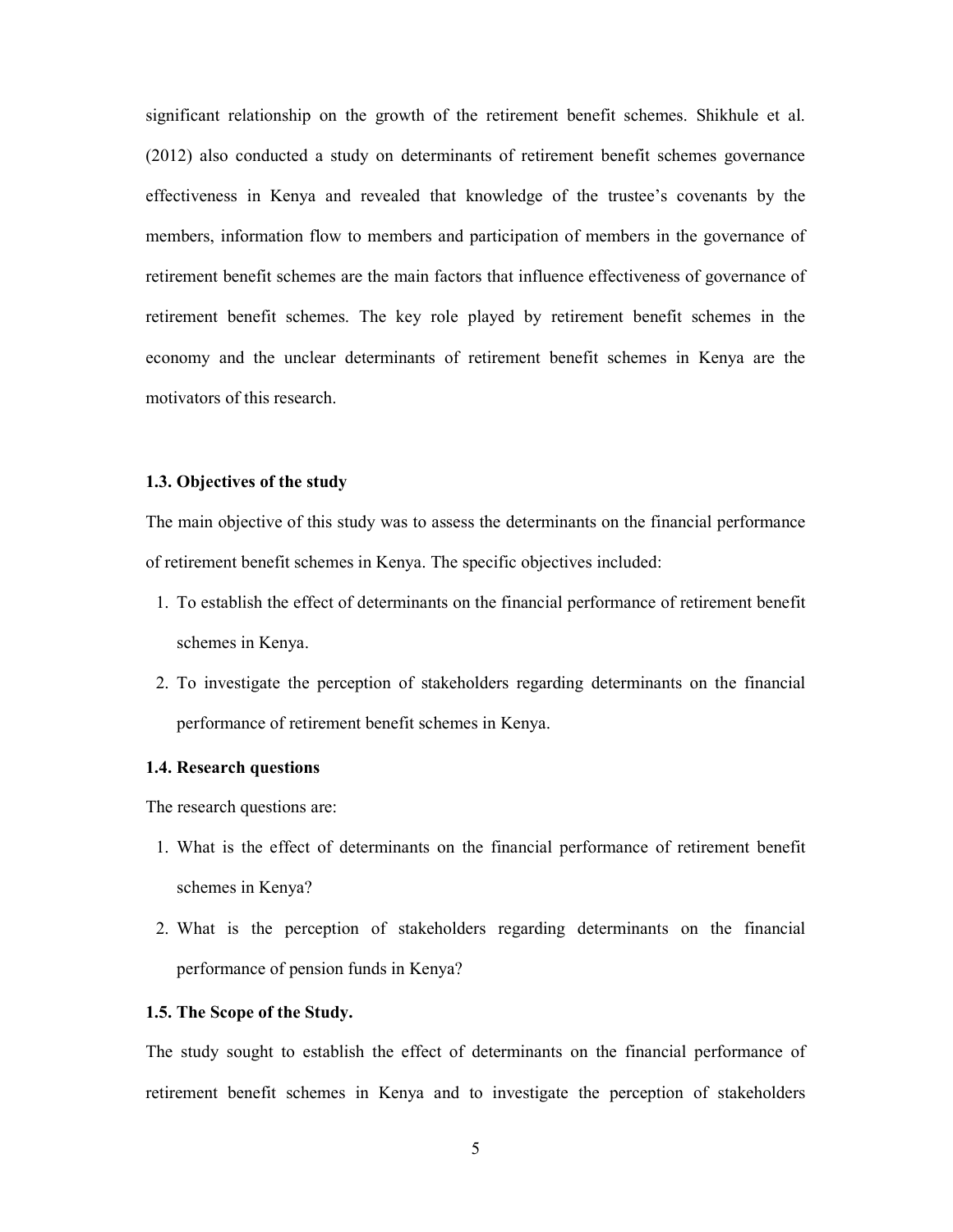significant relationship on the growth of the retirement benefit schemes. Shikhule et al. (2012) also conducted a study on determinants of retirement benefit schemes governance effectiveness in Kenya and revealed that knowledge of the trustee's covenants by the members, information flow to members and participation of members in the governance of retirement benefit schemes are the main factors that influence effectiveness of governance of retirement benefit schemes. The key role played by retirement benefit schemes in the economy and the unclear determinants of retirement benefit schemes in Kenya are the motivators of this research.

#### 1.3. Objectives of the study

The main objective of this study was to assess the determinants on the financial performance of retirement benefit schemes in Kenya. The specific objectives included:

- 1. To establish the effect of determinants on the financial performance of retirement benefit schemes in Kenya.
- 2. To investigate the perception of stakeholders regarding determinants on the financial performance of retirement benefit schemes in Kenya.

#### 1.4. Research questions

The research questions are:

- 1. What is the effect of determinants on the financial performance of retirement benefit schemes in Kenya?
- 2. What is the perception of stakeholders regarding determinants on the financial performance of pension funds in Kenya?

#### 1.5. The Scope of the Study.

The study sought to establish the effect of determinants on the financial performance of retirement benefit schemes in Kenya and to investigate the perception of stakeholders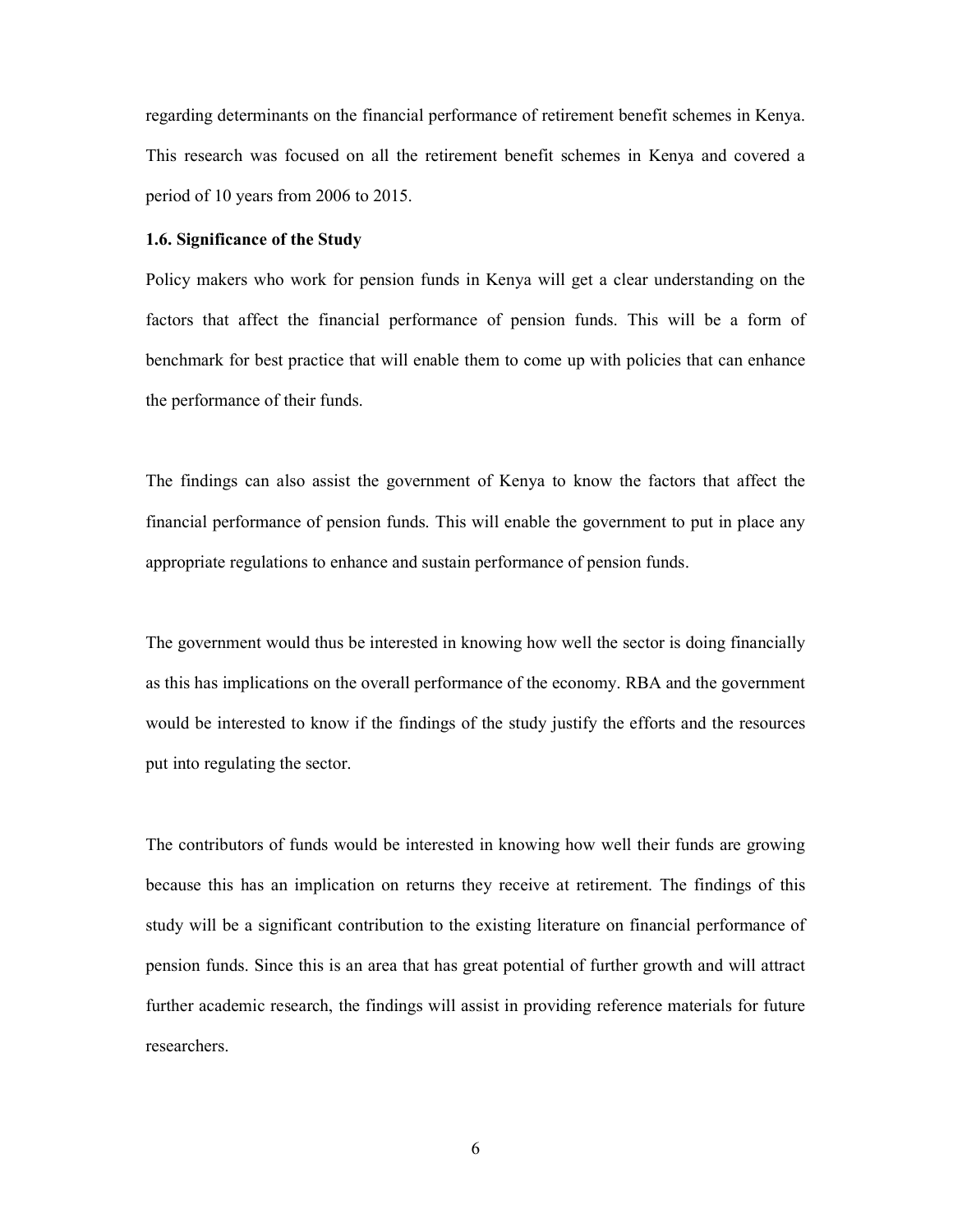regarding determinants on the financial performance of retirement benefit schemes in Kenya. This research was focused on all the retirement benefit schemes in Kenya and covered a period of 10 years from 2006 to 2015.

#### 1.6. Significance of the Study

Policy makers who work for pension funds in Kenya will get a clear understanding on the factors that affect the financial performance of pension funds. This will be a form of benchmark for best practice that will enable them to come up with policies that can enhance the performance of their funds.

The findings can also assist the government of Kenya to know the factors that affect the financial performance of pension funds. This will enable the government to put in place any appropriate regulations to enhance and sustain performance of pension funds.

The government would thus be interested in knowing how well the sector is doing financially as this has implications on the overall performance of the economy. RBA and the government would be interested to know if the findings of the study justify the efforts and the resources put into regulating the sector.

The contributors of funds would be interested in knowing how well their funds are growing because this has an implication on returns they receive at retirement. The findings of this study will be a significant contribution to the existing literature on financial performance of pension funds. Since this is an area that has great potential of further growth and will attract further academic research, the findings will assist in providing reference materials for future researchers.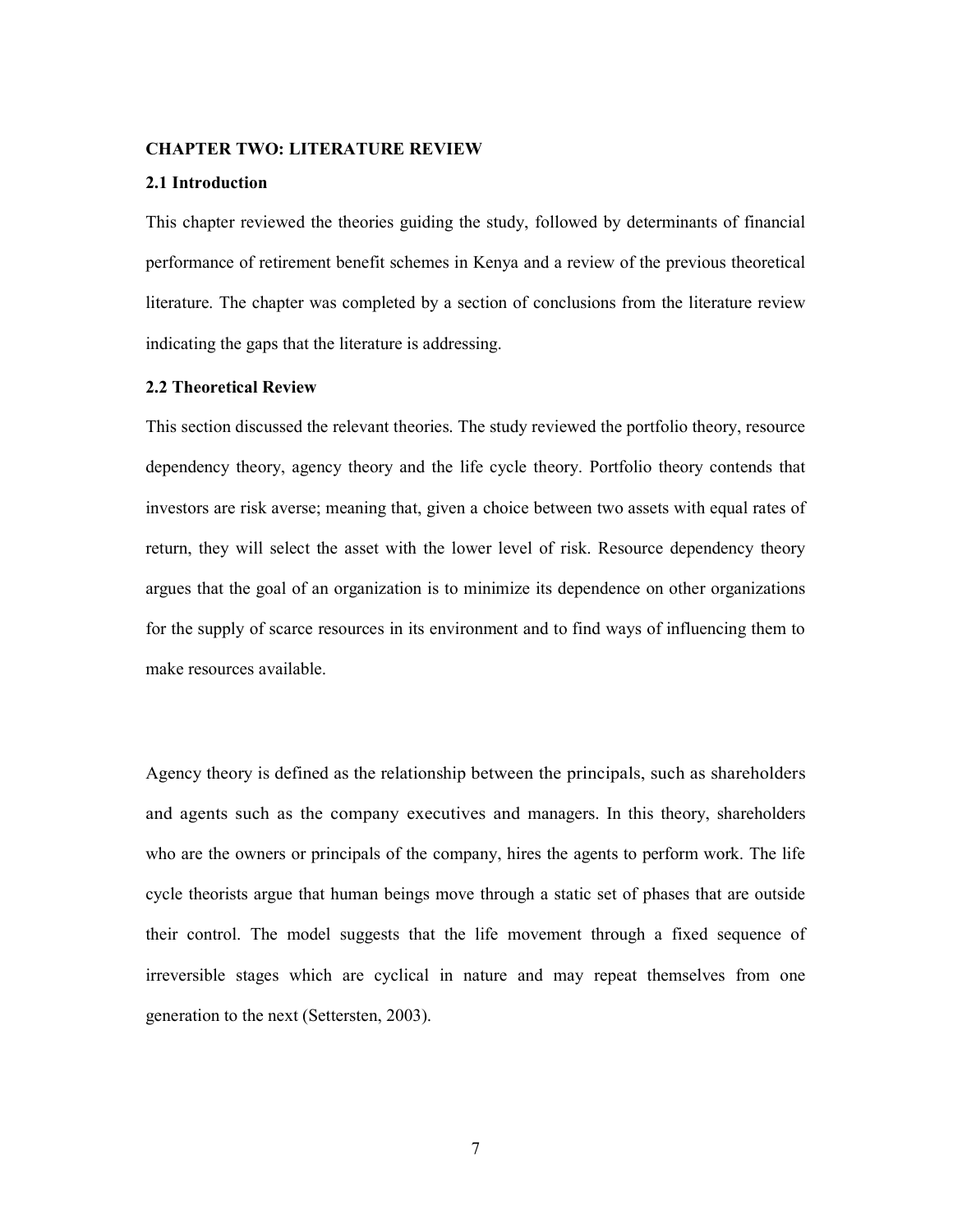#### CHAPTER TWO: LITERATURE REVIEW

#### 2.1 Introduction

This chapter reviewed the theories guiding the study, followed by determinants of financial performance of retirement benefit schemes in Kenya and a review of the previous theoretical literature. The chapter was completed by a section of conclusions from the literature review indicating the gaps that the literature is addressing.

#### 2.2 Theoretical Review

This section discussed the relevant theories. The study reviewed the portfolio theory, resource dependency theory, agency theory and the life cycle theory. Portfolio theory contends that investors are risk averse; meaning that, given a choice between two assets with equal rates of return, they will select the asset with the lower level of risk. Resource dependency theory argues that the goal of an organization is to minimize its dependence on other organizations for the supply of scarce resources in its environment and to find ways of influencing them to make resources available.<br>Agency theory is defined as the relationship between the principals, such as shareholders

and agents such as the company executives and managers. In this theory, shareholders who are the owners or principals of the company, hires the agents to perform work. The life cycle theorists argue that human beings move through a static set of phases that are outside their control. The model suggests that the life movement through a fixed sequence of irreversible stages which are cyclical in nature and may repeat themselves from one generation to the next (Settersten, 2003).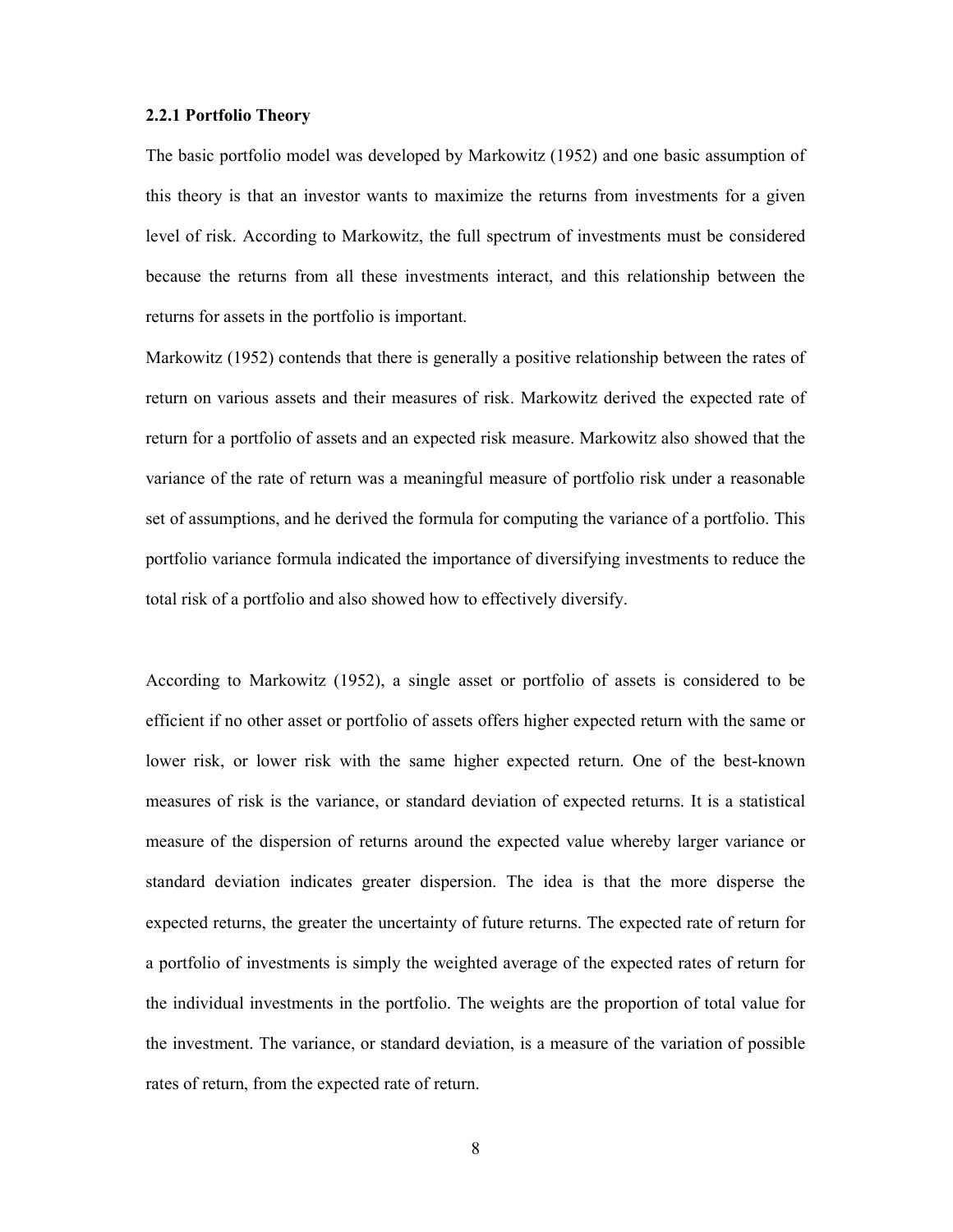#### 2.2.1 Portfolio Theory

The basic portfolio model was developed by Markowitz (1952) and one basic assumption of this theory is that an investor wants to maximize the returns from investments for a given level of risk. According to Markowitz, the full spectrum of investments must be considered because the returns from all these investments interact, and this relationship between the returns for assets in the portfolio is important.

Markowitz (1952) contends that there is generally a positive relationship between the rates of return on various assets and their measures of risk. Markowitz derived the expected rate of return for a portfolio of assets and an expected risk measure. Markowitz also showed that the variance of the rate of return was a meaningful measure of portfolio risk under a reasonable set of assumptions, and he derived the formula for computing the variance of a portfolio. This portfolio variance formula indicated the importance of diversifying investments to reduce the total risk of a portfolio and also showed how to effectively diversify.

According to Markowitz (1952), a single asset or portfolio of assets is considered to be efficient if no other asset or portfolio of assets offers higher expected return with the same or lower risk, or lower risk with the same higher expected return. One of the best-known measures of risk is the variance, or standard deviation of expected returns. It is a statistical measure of the dispersion of returns around the expected value whereby larger variance or standard deviation indicates greater dispersion. The idea is that the more disperse the expected returns, the greater the uncertainty of future returns. The expected rate of return for a portfolio of investments is simply the weighted average of the expected rates of return for the individual investments in the portfolio. The weights are the proportion of total value for the investment. The variance, or standard deviation, is a measure of the variation of possible rates of return, from the expected rate of return.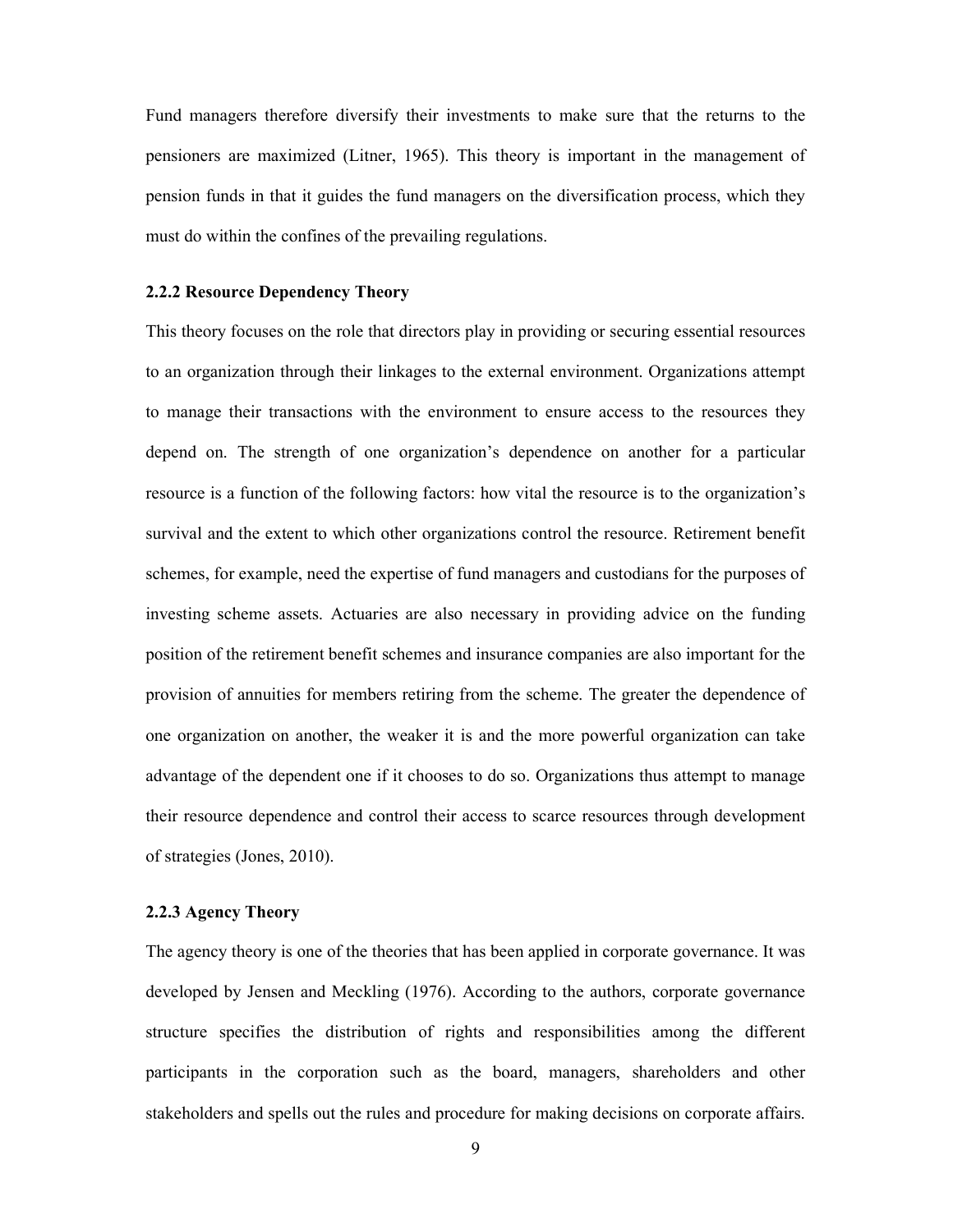Fund managers therefore diversify their investments to make sure that the returns to the pensioners are maximized (Litner, 1965). This theory is important in the management of pension funds in that it guides the fund managers on the diversification process, which they must do within the confines of the prevailing regulations.

#### 2.2.2 Resource Dependency Theory

This theory focuses on the role that directors play in providing or securing essential resources to an organization through their linkages to the external environment. Organizations attempt to manage their transactions with the environment to ensure access to the resources they depend on. The strength of one organization's dependence on another for a particular resource is a function of the following factors: how vital the resource is to the organization's survival and the extent to which other organizations control the resource. Retirement benefit schemes, for example, need the expertise of fund managers and custodians for the purposes of investing scheme assets. Actuaries are also necessary in providing advice on the funding position of the retirement benefit schemes and insurance companies are also important for the provision of annuities for members retiring from the scheme. The greater the dependence of one organization on another, the weaker it is and the more powerful organization can take advantage of the dependent one if it chooses to do so. Organizations thus attempt to manage their resource dependence and control their access to scarce resources through development of strategies (Jones, 2010).

#### 2.2.3 Agency Theory

The agency theory is one of the theories that has been applied in corporate governance. It was developed by Jensen and Meckling (1976). According to the authors, corporate governance structure specifies the distribution of rights and responsibilities among the different participants in the corporation such as the board, managers, shareholders and other stakeholders and spells out the rules and procedure for making decisions on corporate affairs.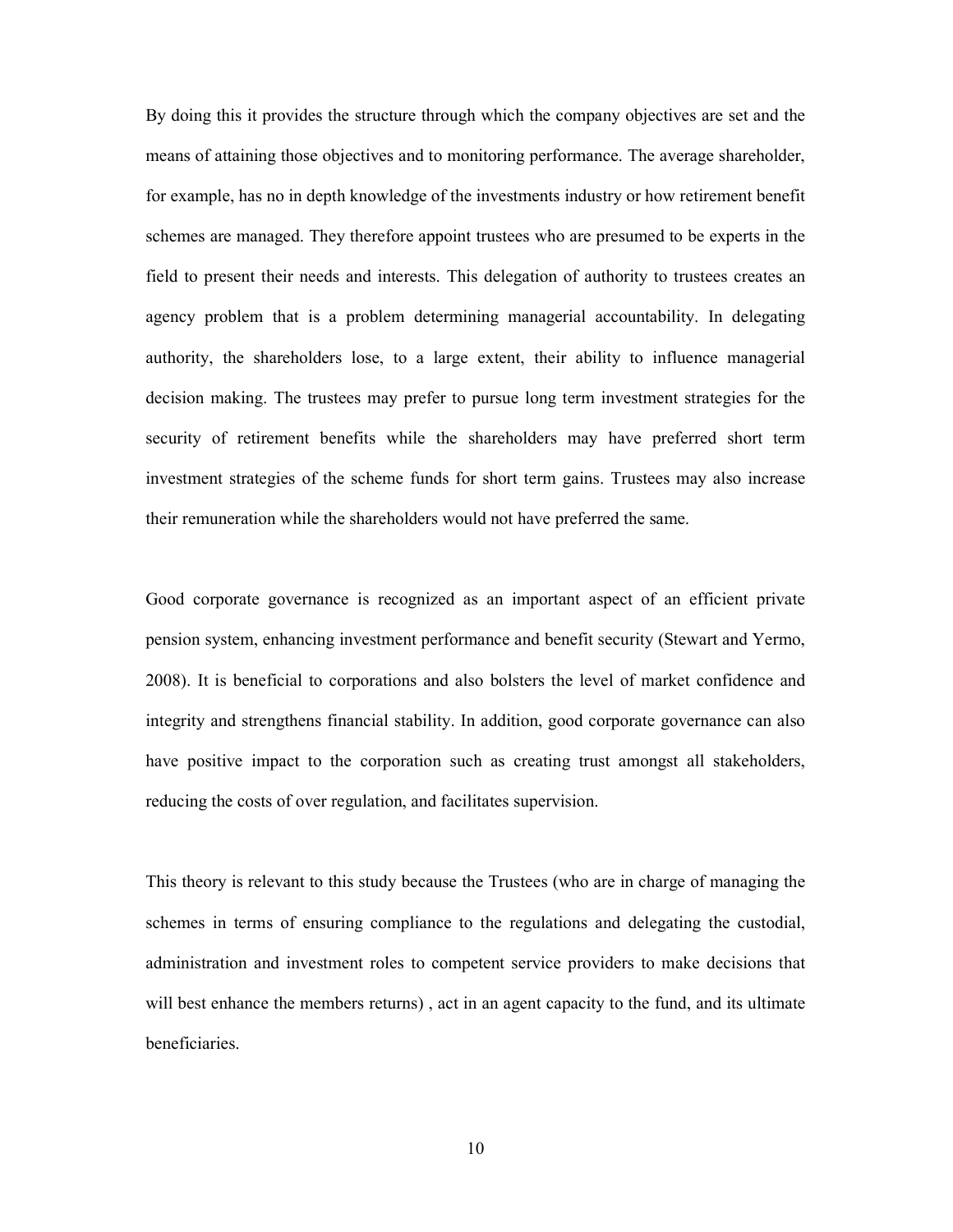By doing this it provides the structure through which the company objectives are set and the means of attaining those objectives and to monitoring performance. The average shareholder, for example, has no in depth knowledge of the investments industry or how retirement benefit schemes are managed. They therefore appoint trustees who are presumed to be experts in the field to present their needs and interests. This delegation of authority to trustees creates an agency problem that is a problem determining managerial accountability. In delegating authority, the shareholders lose, to a large extent, their ability to influence managerial decision making. The trustees may prefer to pursue long term investment strategies for the security of retirement benefits while the shareholders may have preferred short term investment strategies of the scheme funds for short term gains. Trustees may also increase their remuneration while the shareholders would not have preferred the same.

Good corporate governance is recognized as an important aspect of an efficient private pension system, enhancing investment performance and benefit security (Stewart and Yermo, 2008). It is beneficial to corporations and also bolsters the level of market confidence and integrity and strengthens financial stability. In addition, good corporate governance can also have positive impact to the corporation such as creating trust amongst all stakeholders, reducing the costs of over regulation, and facilitates supervision.

This theory is relevant to this study because the Trustees (who are in charge of managing the schemes in terms of ensuring compliance to the regulations and delegating the custodial, administration and investment roles to competent service providers to make decisions that will best enhance the members returns) , act in an agent capacity to the fund, and its ultimate beneficiaries.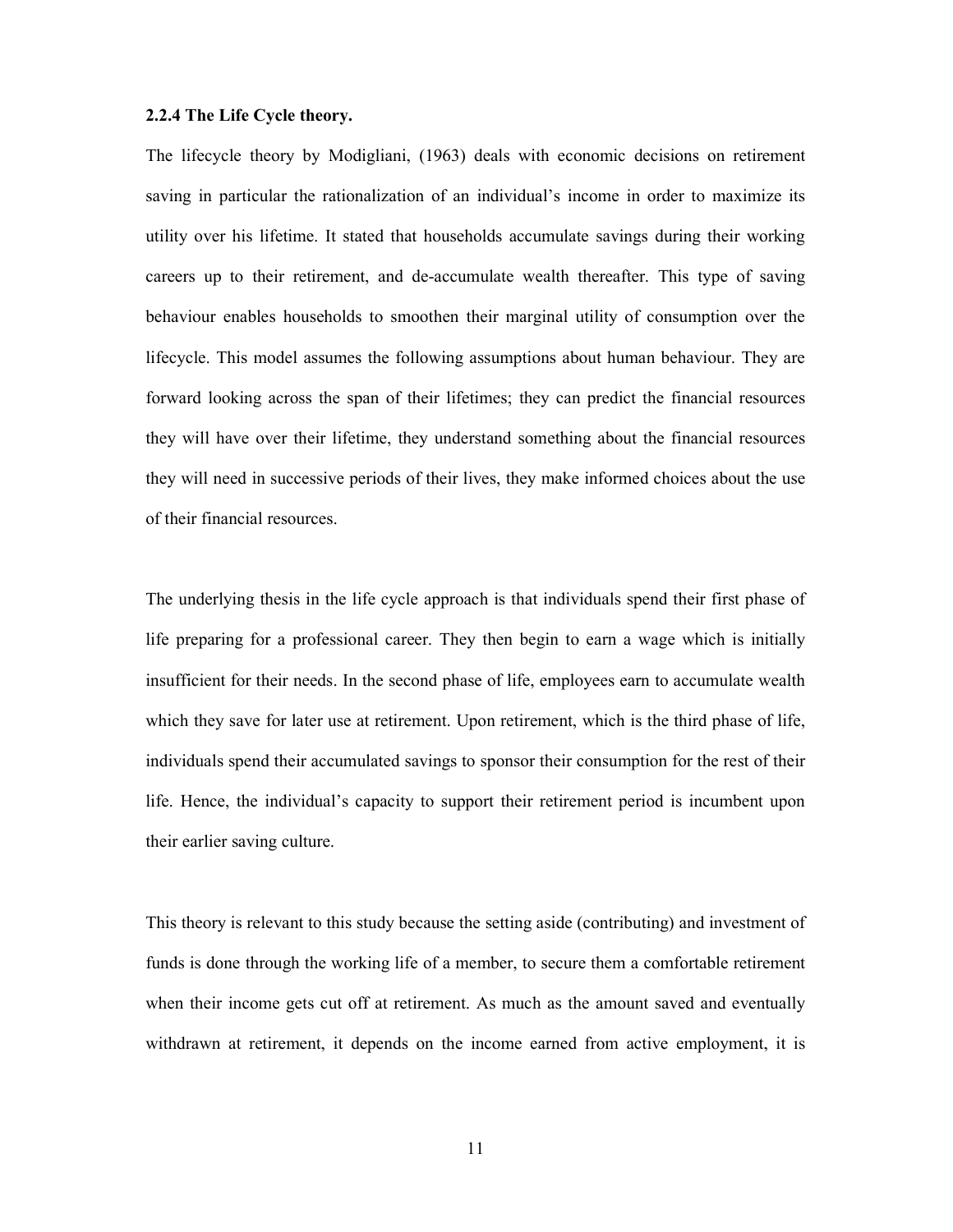#### 2.2.4 The Life Cycle theory.

The lifecycle theory by Modigliani, (1963) deals with economic decisions on retirement saving in particular the rationalization of an individual's income in order to maximize its utility over his lifetime. It stated that households accumulate savings during their working careers up to their retirement, and de-accumulate wealth thereafter. This type of saving behaviour enables households to smoothen their marginal utility of consumption over the lifecycle. This model assumes the following assumptions about human behaviour. They are forward looking across the span of their lifetimes; they can predict the financial resources they will have over their lifetime, they understand something about the financial resources they will need in successive periods of their lives, they make informed choices about the use of their financial resources.

The underlying thesis in the life cycle approach is that individuals spend their first phase of life preparing for a professional career. They then begin to earn a wage which is initially insufficient for their needs. In the second phase of life, employees earn to accumulate wealth which they save for later use at retirement. Upon retirement, which is the third phase of life, individuals spend their accumulated savings to sponsor their consumption for the rest of their life. Hence, the individual's capacity to support their retirement period is incumbent upon their earlier saving culture.

This theory is relevant to this study because the setting aside (contributing) and investment of funds is done through the working life of a member, to secure them a comfortable retirement when their income gets cut off at retirement. As much as the amount saved and eventually withdrawn at retirement, it depends on the income earned from active employment, it is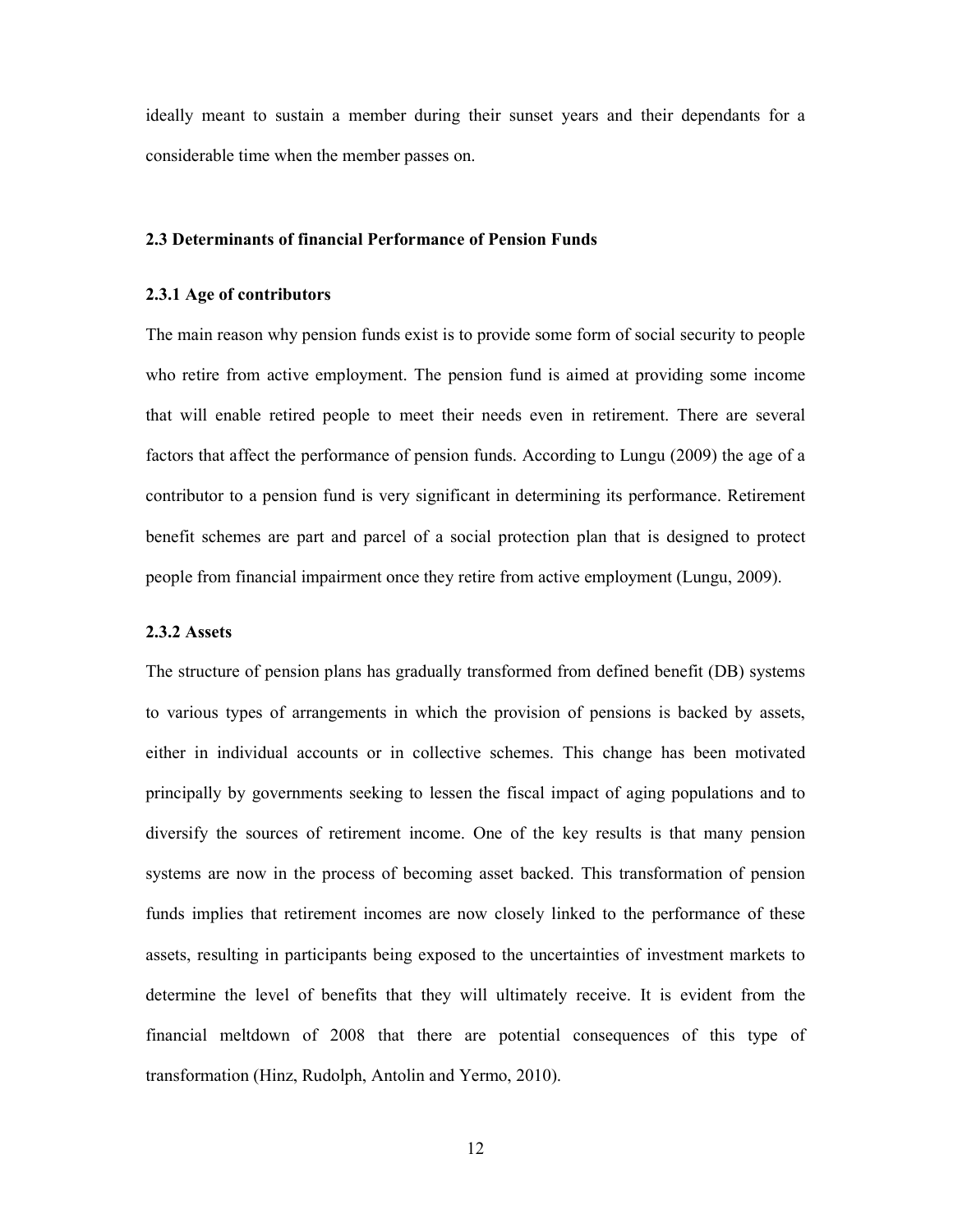ideally meant to sustain a member during their sunset years and their dependants for a considerable time when the member passes on.

#### 2.3 Determinants of financial Performance of Pension Funds

#### 2.3.1 Age of contributors

The main reason why pension funds exist is to provide some form of social security to people who retire from active employment. The pension fund is aimed at providing some income that will enable retired people to meet their needs even in retirement. There are several factors that affect the performance of pension funds. According to Lungu (2009) the age of a contributor to a pension fund is very significant in determining its performance. Retirement benefit schemes are part and parcel of a social protection plan that is designed to protect people from financial impairment once they retire from active employment (Lungu, 2009).

#### 2.3.2 Assets

The structure of pension plans has gradually transformed from defined benefit (DB) systems to various types of arrangements in which the provision of pensions is backed by assets, either in individual accounts or in collective schemes. This change has been motivated principally by governments seeking to lessen the fiscal impact of aging populations and to diversify the sources of retirement income. One of the key results is that many pension systems are now in the process of becoming asset backed. This transformation of pension funds implies that retirement incomes are now closely linked to the performance of these assets, resulting in participants being exposed to the uncertainties of investment markets to determine the level of benefits that they will ultimately receive. It is evident from the financial meltdown of 2008 that there are potential consequences of this type of transformation (Hinz, Rudolph, Antolin and Yermo, 2010).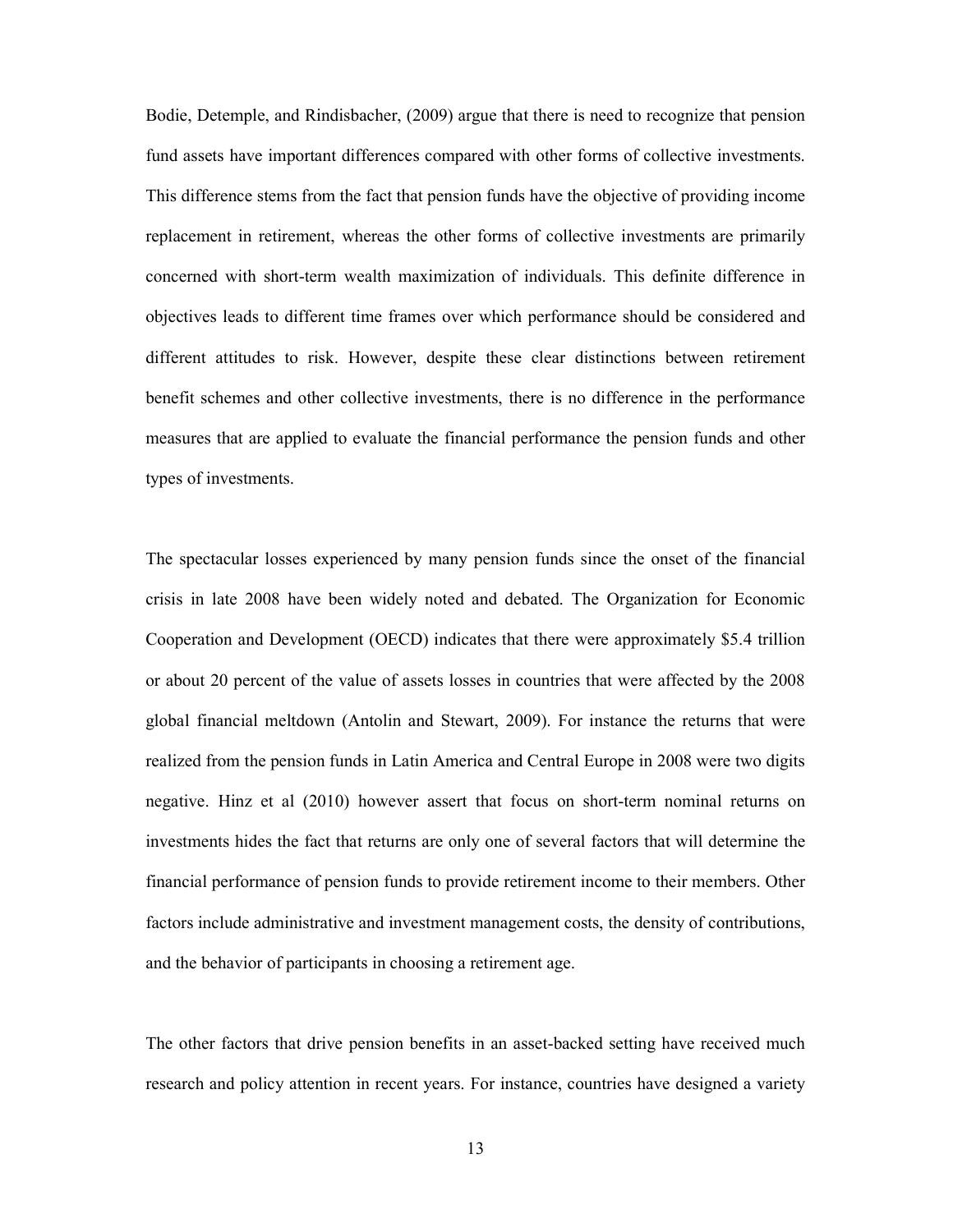Bodie, Detemple, and Rindisbacher, (2009) argue that there is need to recognize that pension fund assets have important differences compared with other forms of collective investments. This difference stems from the fact that pension funds have the objective of providing income replacement in retirement, whereas the other forms of collective investments are primarily concerned with short-term wealth maximization of individuals. This definite difference in objectives leads to different time frames over which performance should be considered and different attitudes to risk. However, despite these clear distinctions between retirement benefit schemes and other collective investments, there is no difference in the performance measures that are applied to evaluate the financial performance the pension funds and other types of investments.

The spectacular losses experienced by many pension funds since the onset of the financial crisis in late 2008 have been widely noted and debated. The Organization for Economic Cooperation and Development (OECD) indicates that there were approximately \$5.4 trillion or about 20 percent of the value of assets losses in countries that were affected by the 2008 global financial meltdown (Antolin and Stewart, 2009). For instance the returns that were realized from the pension funds in Latin America and Central Europe in 2008 were two digits negative. Hinz et al (2010) however assert that focus on short-term nominal returns on investments hides the fact that returns are only one of several factors that will determine the financial performance of pension funds to provide retirement income to their members. Other factors include administrative and investment management costs, the density of contributions, and the behavior of participants in choosing a retirement age.

The other factors that drive pension benefits in an asset-backed setting have received much research and policy attention in recent years. For instance, countries have designed a variety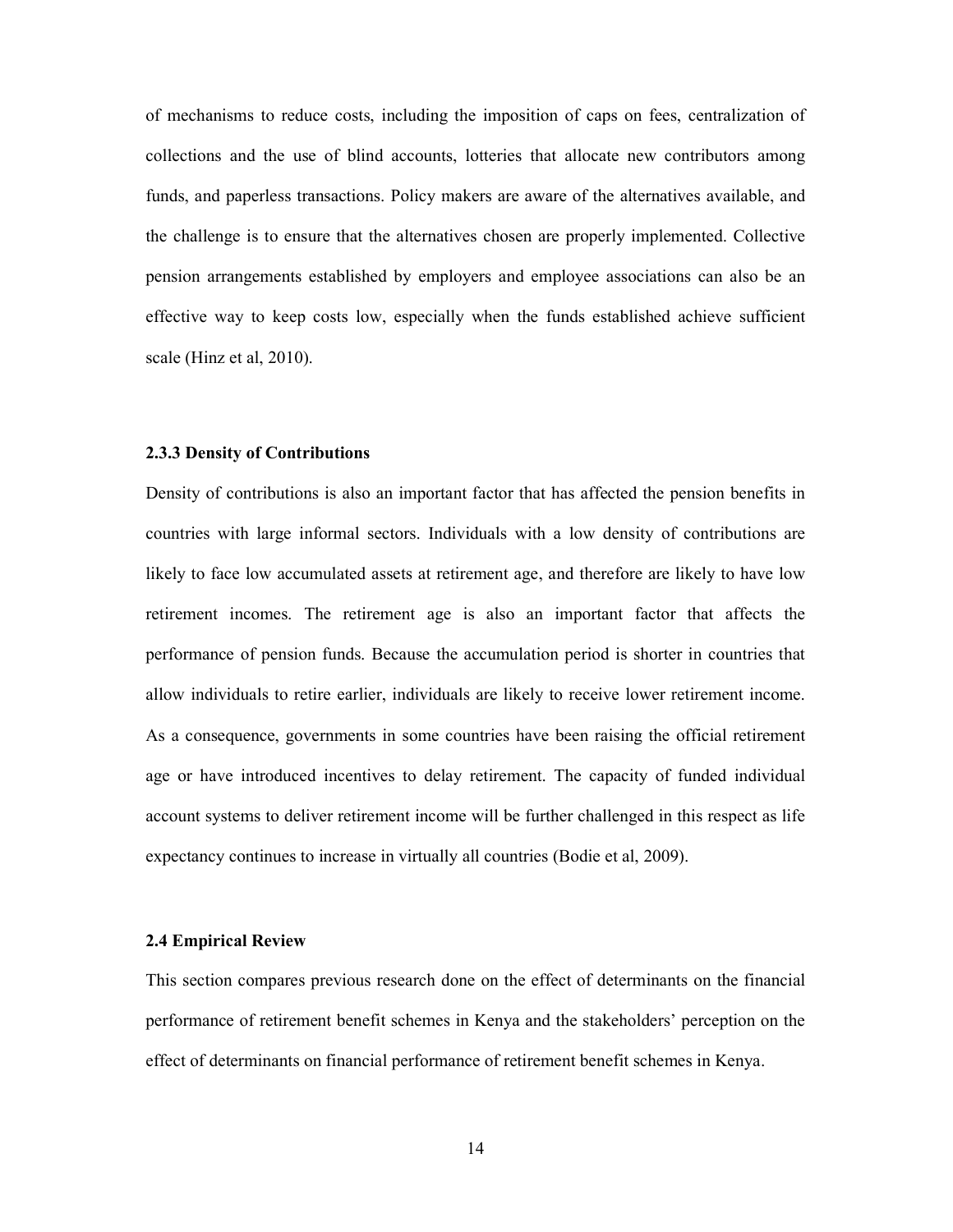of mechanisms to reduce costs, including the imposition of caps on fees, centralization of collections and the use of blind accounts, lotteries that allocate new contributors among funds, and paperless transactions. Policy makers are aware of the alternatives available, and the challenge is to ensure that the alternatives chosen are properly implemented. Collective pension arrangements established by employers and employee associations can also be an effective way to keep costs low, especially when the funds established achieve sufficient scale (Hinz et al, 2010).

#### 2.3.3 Density of Contributions

Density of contributions is also an important factor that has affected the pension benefits in countries with large informal sectors. Individuals with a low density of contributions are likely to face low accumulated assets at retirement age, and therefore are likely to have low retirement incomes. The retirement age is also an important factor that affects the performance of pension funds. Because the accumulation period is shorter in countries that allow individuals to retire earlier, individuals are likely to receive lower retirement income. As a consequence, governments in some countries have been raising the official retirement age or have introduced incentives to delay retirement. The capacity of funded individual account systems to deliver retirement income will be further challenged in this respect as life expectancy continues to increase in virtually all countries (Bodie et al, 2009).

#### 2.4 Empirical Review

This section compares previous research done on the effect of determinants on the financial performance of retirement benefit schemes in Kenya and the stakeholders' perception on the effect of determinants on financial performance of retirement benefit schemes in Kenya.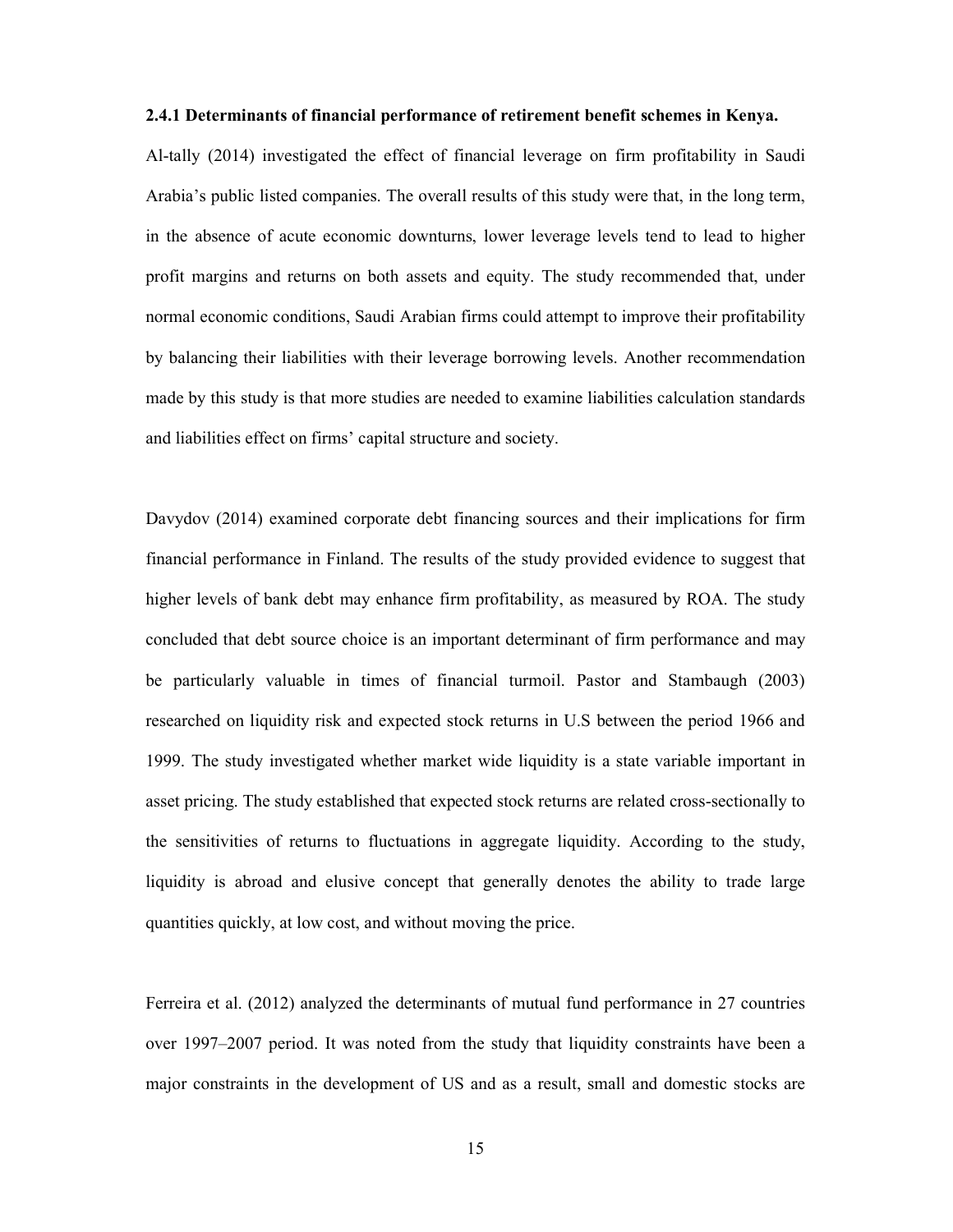#### 2.4.1 Determinants of financial performance of retirement benefit schemes in Kenya.

Al-tally (2014) investigated the effect of financial leverage on firm profitability in Saudi Arabia's public listed companies. The overall results of this study were that, in the long term, in the absence of acute economic downturns, lower leverage levels tend to lead to higher profit margins and returns on both assets and equity. The study recommended that, under normal economic conditions, Saudi Arabian firms could attempt to improve their profitability by balancing their liabilities with their leverage borrowing levels. Another recommendation made by this study is that more studies are needed to examine liabilities calculation standards and liabilities effect on firms' capital structure and society.

Davydov (2014) examined corporate debt financing sources and their implications for firm financial performance in Finland. The results of the study provided evidence to suggest that higher levels of bank debt may enhance firm profitability, as measured by ROA. The study concluded that debt source choice is an important determinant of firm performance and may be particularly valuable in times of financial turmoil. Pastor and Stambaugh (2003) researched on liquidity risk and expected stock returns in U.S between the period 1966 and 1999. The study investigated whether market wide liquidity is a state variable important in asset pricing. The study established that expected stock returns are related cross-sectionally to the sensitivities of returns to fluctuations in aggregate liquidity. According to the study, liquidity is abroad and elusive concept that generally denotes the ability to trade large quantities quickly, at low cost, and without moving the price.

Ferreira et al. (2012) analyzed the determinants of mutual fund performance in 27 countries over 1997–2007 period. It was noted from the study that liquidity constraints have been a major constraints in the development of US and as a result, small and domestic stocks are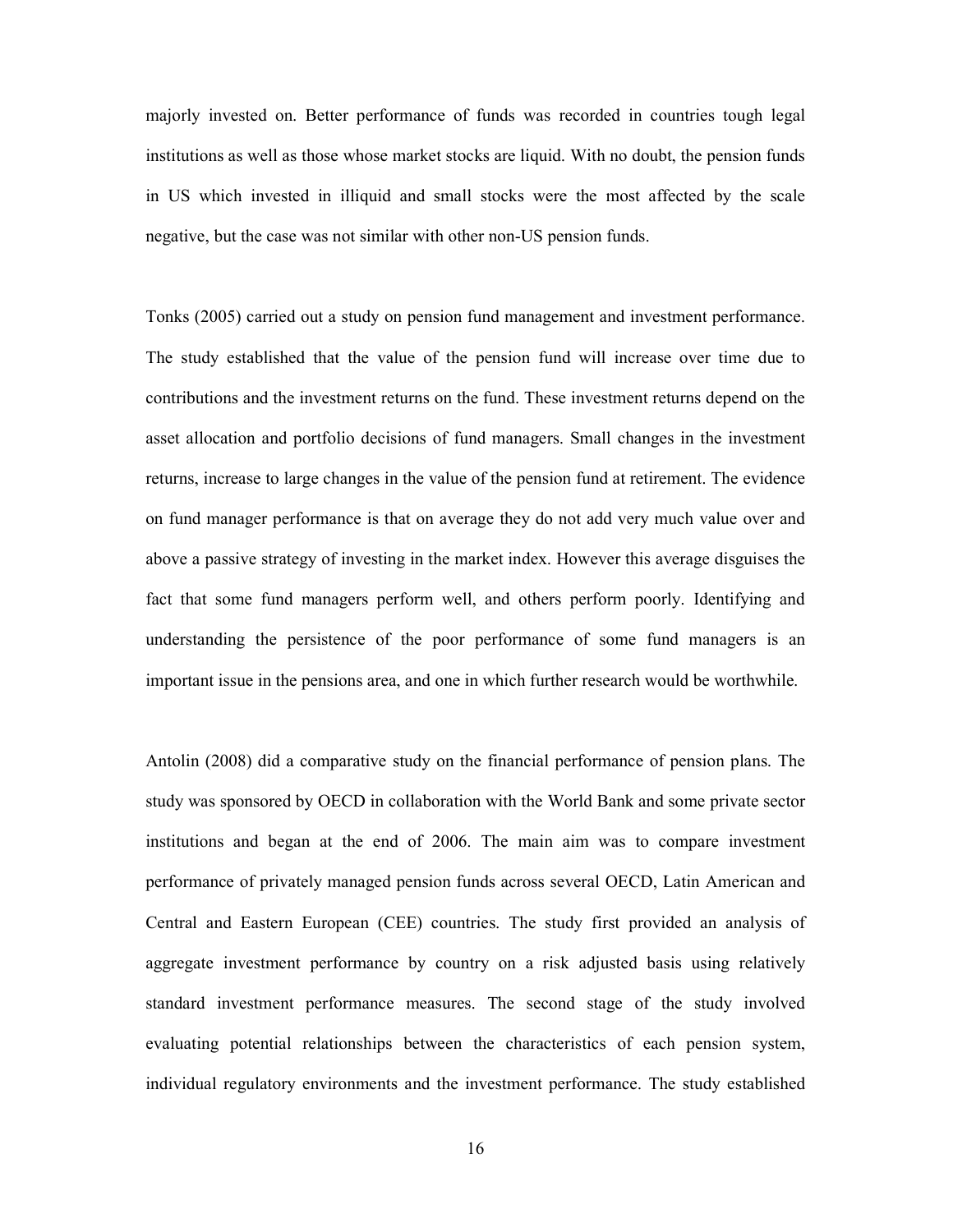majorly invested on. Better performance of funds was recorded in countries tough legal institutions as well as those whose market stocks are liquid. With no doubt, the pension funds in US which invested in illiquid and small stocks were the most affected by the scale negative, but the case was not similar with other non-US pension funds.

Tonks (2005) carried out a study on pension fund management and investment performance. The study established that the value of the pension fund will increase over time due to contributions and the investment returns on the fund. These investment returns depend on the asset allocation and portfolio decisions of fund managers. Small changes in the investment returns, increase to large changes in the value of the pension fund at retirement. The evidence on fund manager performance is that on average they do not add very much value over and above a passive strategy of investing in the market index. However this average disguises the fact that some fund managers perform well, and others perform poorly. Identifying and understanding the persistence of the poor performance of some fund managers is an important issue in the pensions area, and one in which further research would be worthwhile.

Antolin (2008) did a comparative study on the financial performance of pension plans. The study was sponsored by OECD in collaboration with the World Bank and some private sector institutions and began at the end of 2006. The main aim was to compare investment performance of privately managed pension funds across several OECD, Latin American and Central and Eastern European (CEE) countries. The study first provided an analysis of aggregate investment performance by country on a risk adjusted basis using relatively standard investment performance measures. The second stage of the study involved evaluating potential relationships between the characteristics of each pension system, individual regulatory environments and the investment performance. The study established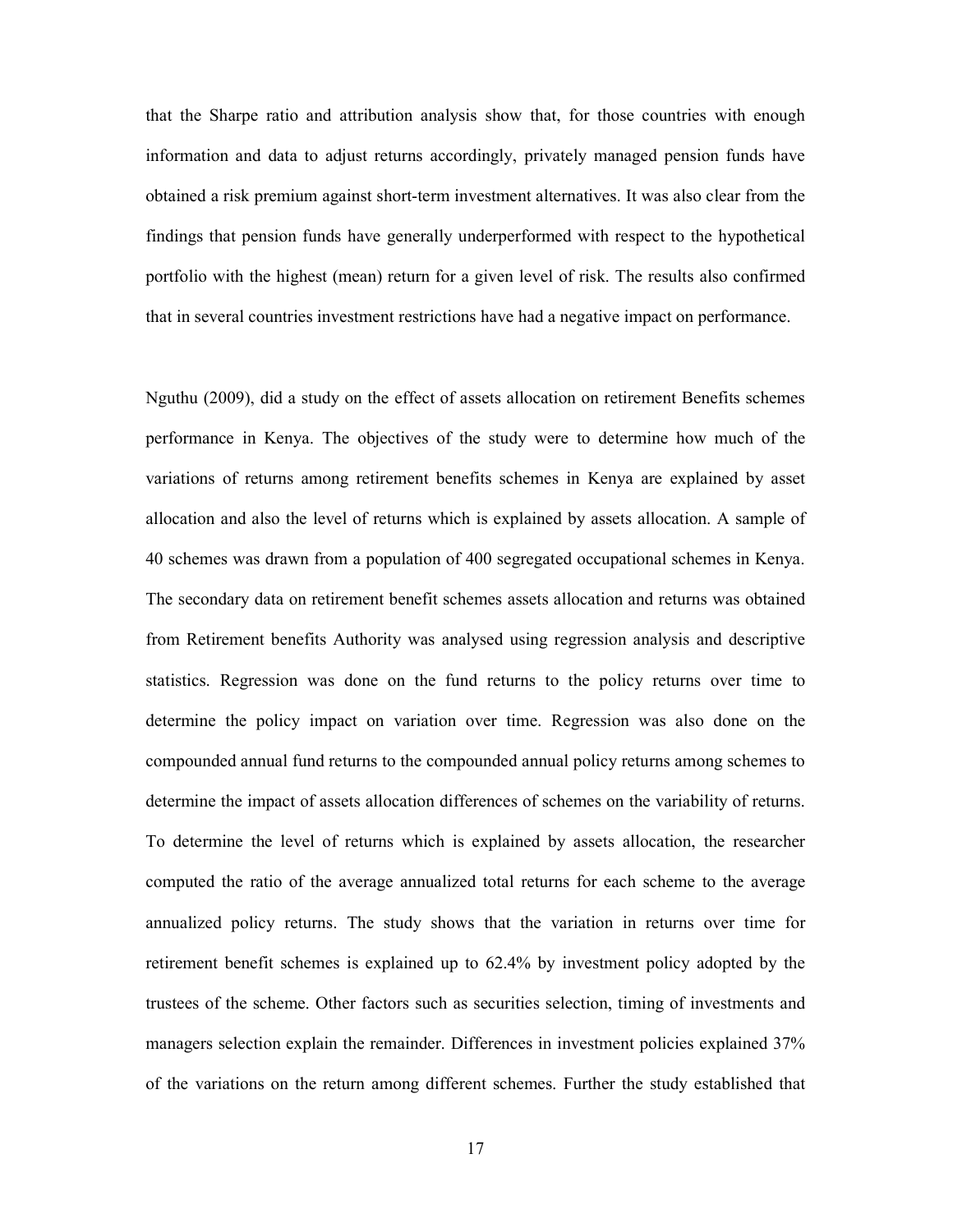that the Sharpe ratio and attribution analysis show that, for those countries with enough information and data to adjust returns accordingly, privately managed pension funds have obtained a risk premium against short-term investment alternatives. It was also clear from the findings that pension funds have generally underperformed with respect to the hypothetical portfolio with the highest (mean) return for a given level of risk. The results also confirmed that in several countries investment restrictions have had a negative impact on performance.

Nguthu (2009), did a study on the effect of assets allocation on retirement Benefits schemes performance in Kenya. The objectives of the study were to determine how much of the variations of returns among retirement benefits schemes in Kenya are explained by asset allocation and also the level of returns which is explained by assets allocation. A sample of 40 schemes was drawn from a population of 400 segregated occupational schemes in Kenya. The secondary data on retirement benefit schemes assets allocation and returns was obtained from Retirement benefits Authority was analysed using regression analysis and descriptive statistics. Regression was done on the fund returns to the policy returns over time to determine the policy impact on variation over time. Regression was also done on the compounded annual fund returns to the compounded annual policy returns among schemes to determine the impact of assets allocation differences of schemes on the variability of returns. To determine the level of returns which is explained by assets allocation, the researcher computed the ratio of the average annualized total returns for each scheme to the average annualized policy returns. The study shows that the variation in returns over time for retirement benefit schemes is explained up to 62.4% by investment policy adopted by the trustees of the scheme. Other factors such as securities selection, timing of investments and managers selection explain the remainder. Differences in investment policies explained 37% of the variations on the return among different schemes. Further the study established that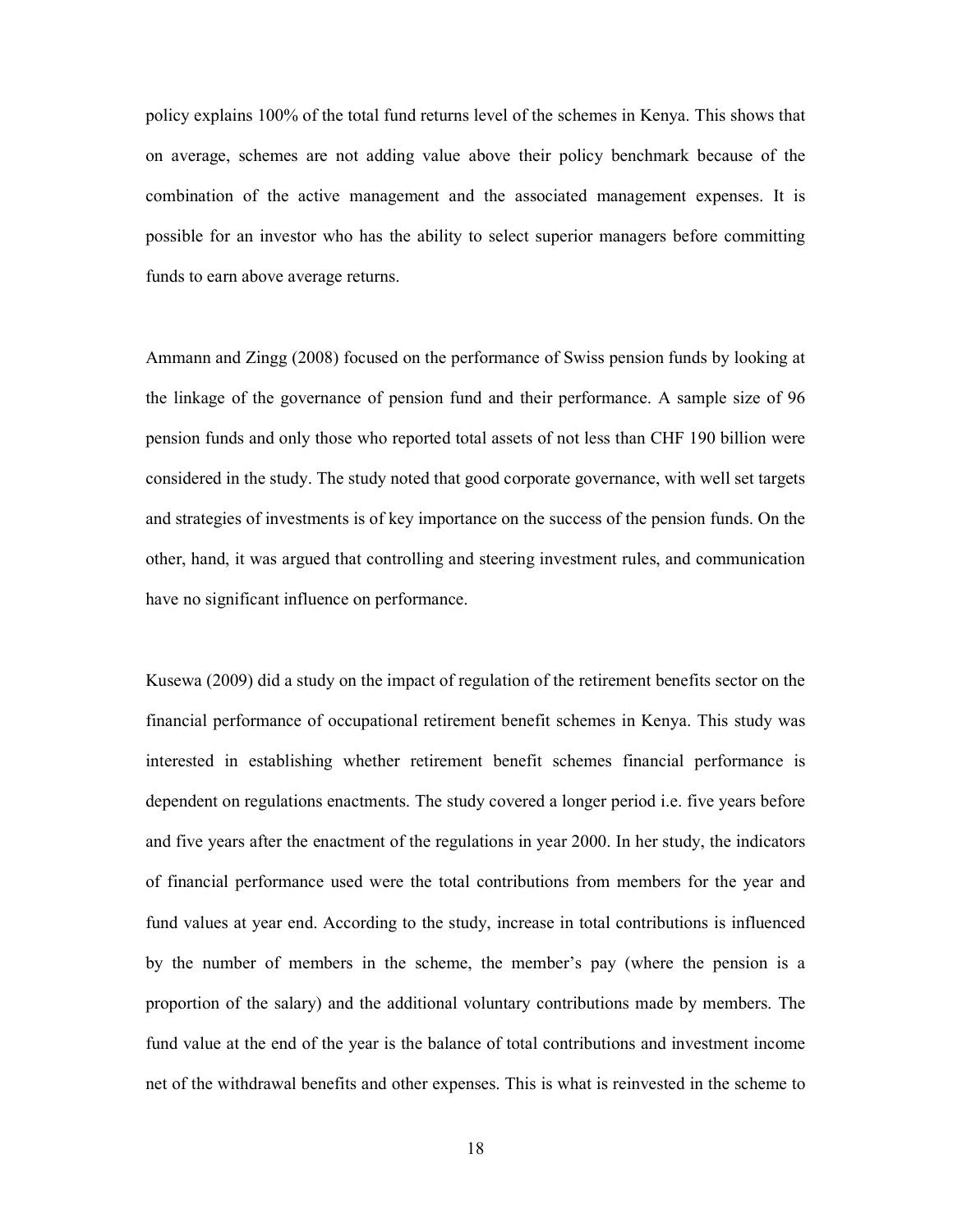policy explains 100% of the total fund returns level of the schemes in Kenya. This shows that on average, schemes are not adding value above their policy benchmark because of the combination of the active management and the associated management expenses. It is possible for an investor who has the ability to select superior managers before committing funds to earn above average returns.

Ammann and Zingg (2008) focused on the performance of Swiss pension funds by looking at the linkage of the governance of pension fund and their performance. A sample size of 96 pension funds and only those who reported total assets of not less than CHF 190 billion were considered in the study. The study noted that good corporate governance, with well set targets and strategies of investments is of key importance on the success of the pension funds. On the other, hand, it was argued that controlling and steering investment rules, and communication have no significant influence on performance.

Kusewa (2009) did a study on the impact of regulation of the retirement benefits sector on the financial performance of occupational retirement benefit schemes in Kenya. This study was interested in establishing whether retirement benefit schemes financial performance is dependent on regulations enactments. The study covered a longer period i.e. five years before and five years after the enactment of the regulations in year 2000. In her study, the indicators of financial performance used were the total contributions from members for the year and fund values at year end. According to the study, increase in total contributions is influenced by the number of members in the scheme, the member's pay (where the pension is a proportion of the salary) and the additional voluntary contributions made by members. The fund value at the end of the year is the balance of total contributions and investment income net of the withdrawal benefits and other expenses. This is what is reinvested in the scheme to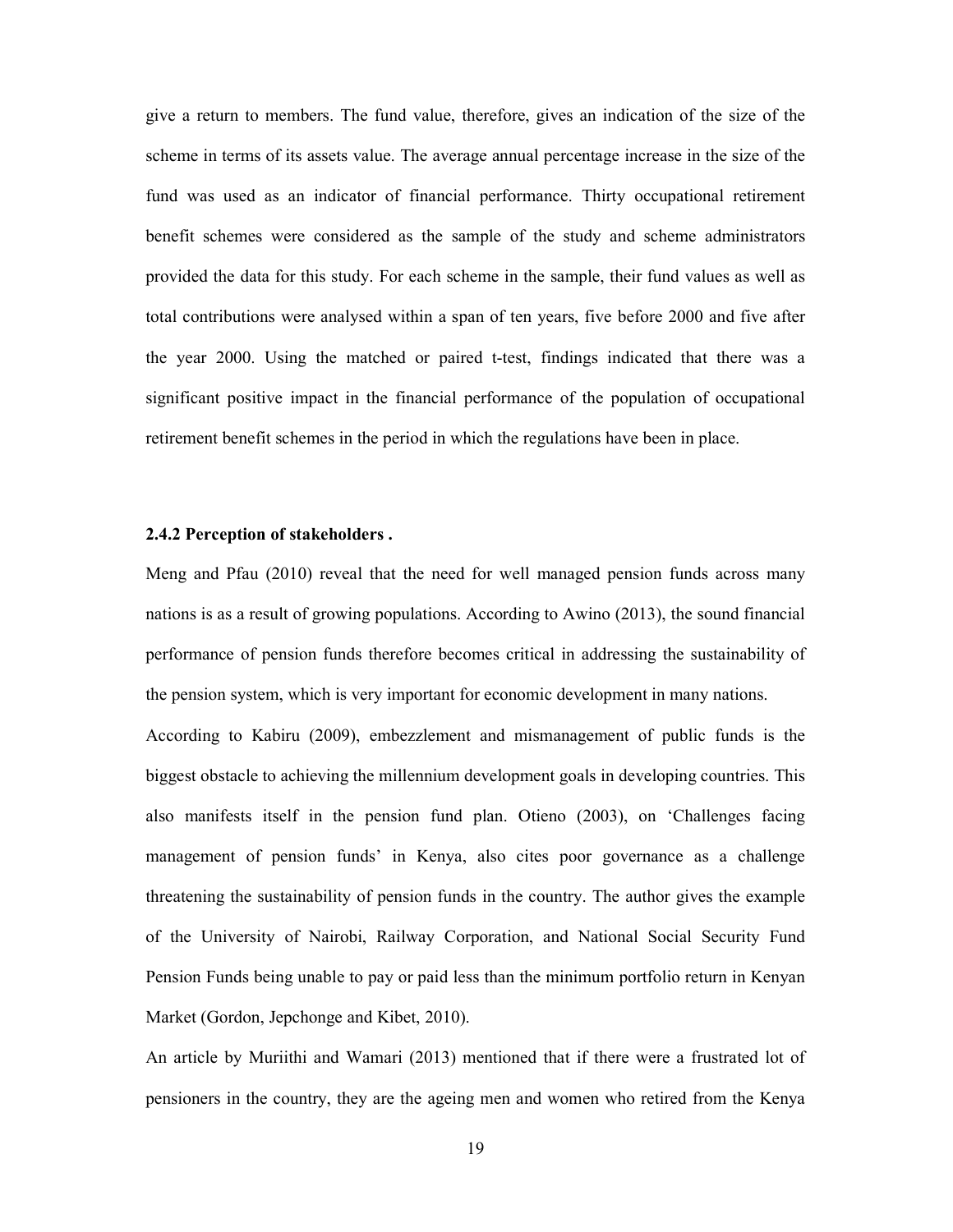give a return to members. The fund value, therefore, gives an indication of the size of the scheme in terms of its assets value. The average annual percentage increase in the size of the fund was used as an indicator of financial performance. Thirty occupational retirement benefit schemes were considered as the sample of the study and scheme administrators provided the data for this study. For each scheme in the sample, their fund values as well as total contributions were analysed within a span of ten years, five before 2000 and five after the year 2000. Using the matched or paired t-test, findings indicated that there was a significant positive impact in the financial performance of the population of occupational retirement benefit schemes in the period in which the regulations have been in place.

#### 2.4.2 Perception of stakeholders .

Meng and Pfau (2010) reveal that the need for well managed pension funds across many nations is as a result of growing populations. According to Awino (2013), the sound financial performance of pension funds therefore becomes critical in addressing the sustainability of the pension system, which is very important for economic development in many nations.

According to Kabiru (2009), embezzlement and mismanagement of public funds is the biggest obstacle to achieving the millennium development goals in developing countries. This also manifests itself in the pension fund plan. Otieno (2003), on 'Challenges facing management of pension funds' in Kenya, also cites poor governance as a challenge threatening the sustainability of pension funds in the country. The author gives the example of the University of Nairobi, Railway Corporation, and National Social Security Fund Pension Funds being unable to pay or paid less than the minimum portfolio return in Kenyan Market (Gordon, Jepchonge and Kibet, 2010).

An article by Muriithi and Wamari (2013) mentioned that if there were a frustrated lot of pensioners in the country, they are the ageing men and women who retired from the Kenya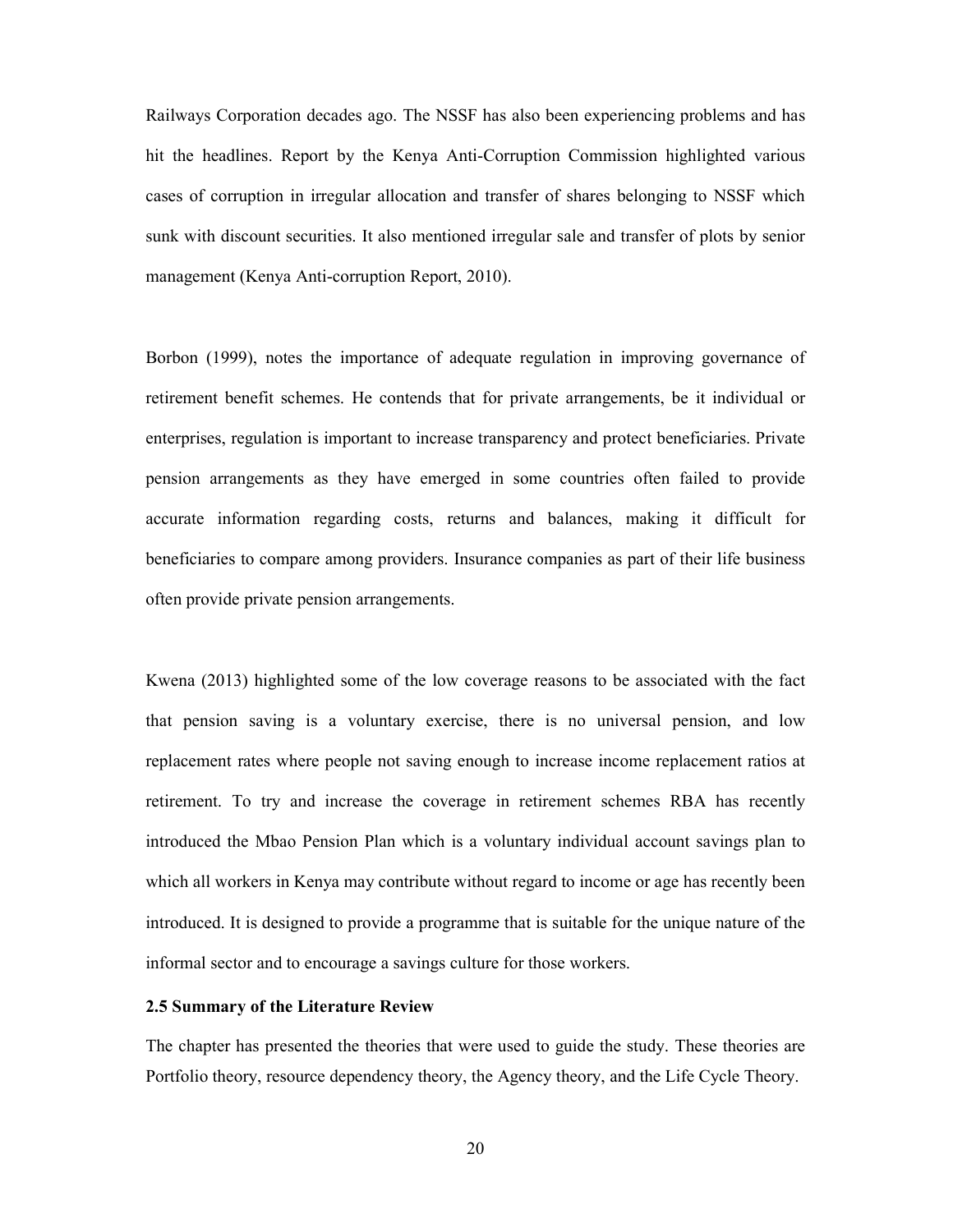Railways Corporation decades ago. The NSSF has also been experiencing problems and has hit the headlines. Report by the Kenya Anti-Corruption Commission highlighted various cases of corruption in irregular allocation and transfer of shares belonging to NSSF which sunk with discount securities. It also mentioned irregular sale and transfer of plots by senior management (Kenya Anti-corruption Report, 2010).

Borbon (1999), notes the importance of adequate regulation in improving governance of retirement benefit schemes. He contends that for private arrangements, be it individual or enterprises, regulation is important to increase transparency and protect beneficiaries. Private pension arrangements as they have emerged in some countries often failed to provide accurate information regarding costs, returns and balances, making it difficult for beneficiaries to compare among providers. Insurance companies as part of their life business often provide private pension arrangements.

Kwena (2013) highlighted some of the low coverage reasons to be associated with the fact that pension saving is a voluntary exercise, there is no universal pension, and low replacement rates where people not saving enough to increase income replacement ratios at retirement. To try and increase the coverage in retirement schemes RBA has recently introduced the Mbao Pension Plan which is a voluntary individual account savings plan to which all workers in Kenya may contribute without regard to income or age has recently been introduced. It is designed to provide a programme that is suitable for the unique nature of the informal sector and to encourage a savings culture for those workers.

#### 2.5 Summary of the Literature Review

The chapter has presented the theories that were used to guide the study. These theories are Portfolio theory, resource dependency theory, the Agency theory, and the Life Cycle Theory.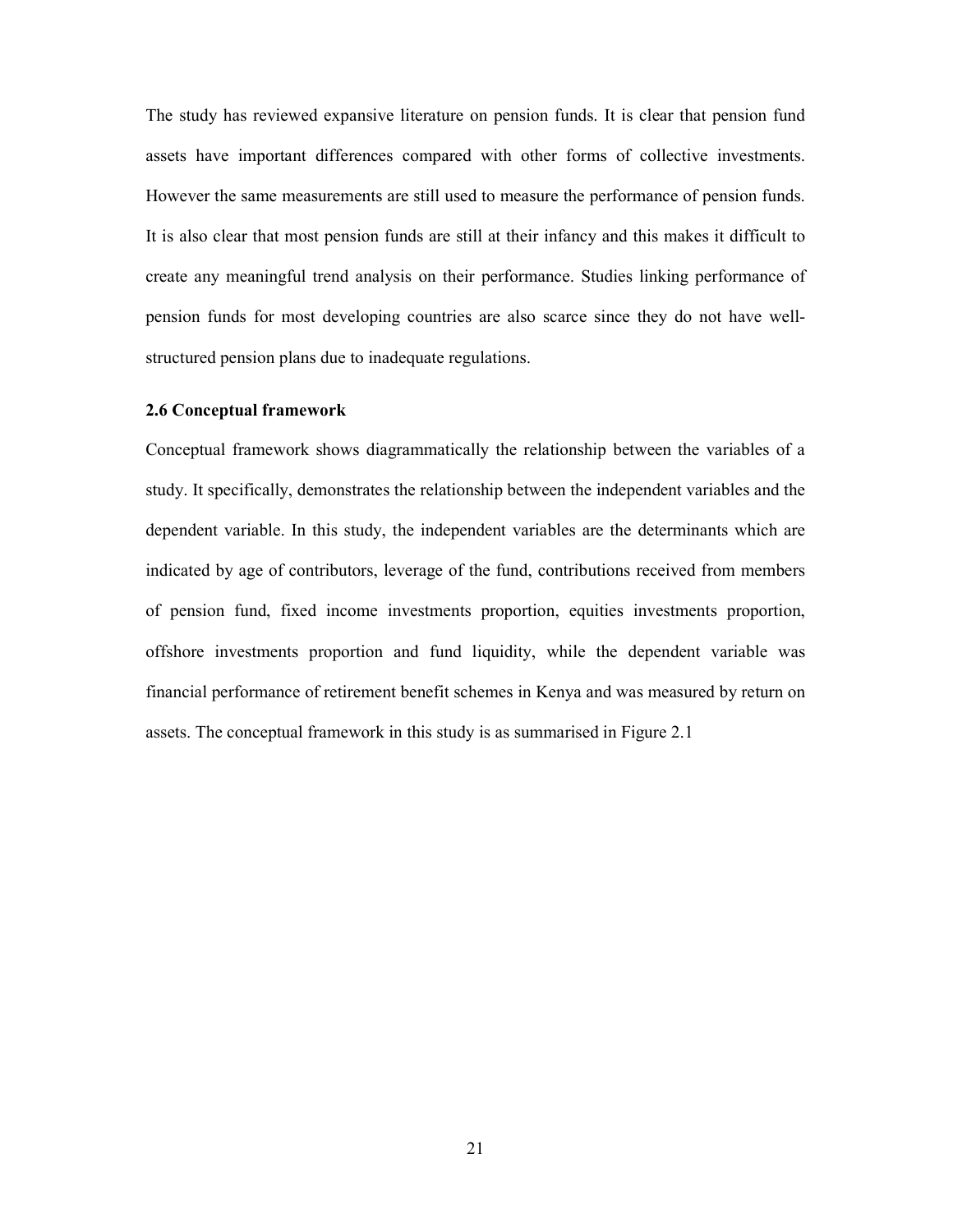The study has reviewed expansive literature on pension funds. It is clear that pension fund assets have important differences compared with other forms of collective investments. However the same measurements are still used to measure the performance of pension funds. It is also clear that most pension funds are still at their infancy and this makes it difficult to create any meaningful trend analysis on their performance. Studies linking performance of pension funds for most developing countries are also scarce since they do not have wellstructured pension plans due to inadequate regulations.

#### 2.6 Conceptual framework

Conceptual framework shows diagrammatically the relationship between the variables of a study. It specifically, demonstrates the relationship between the independent variables and the dependent variable. In this study, the independent variables are the determinants which are indicated by age of contributors, leverage of the fund, contributions received from members of pension fund, fixed income investments proportion, equities investments proportion, offshore investments proportion and fund liquidity, while the dependent variable was financial performance of retirement benefit schemes in Kenya and was measured by return on assets. The conceptual framework in this study is as summarised in Figure 2.1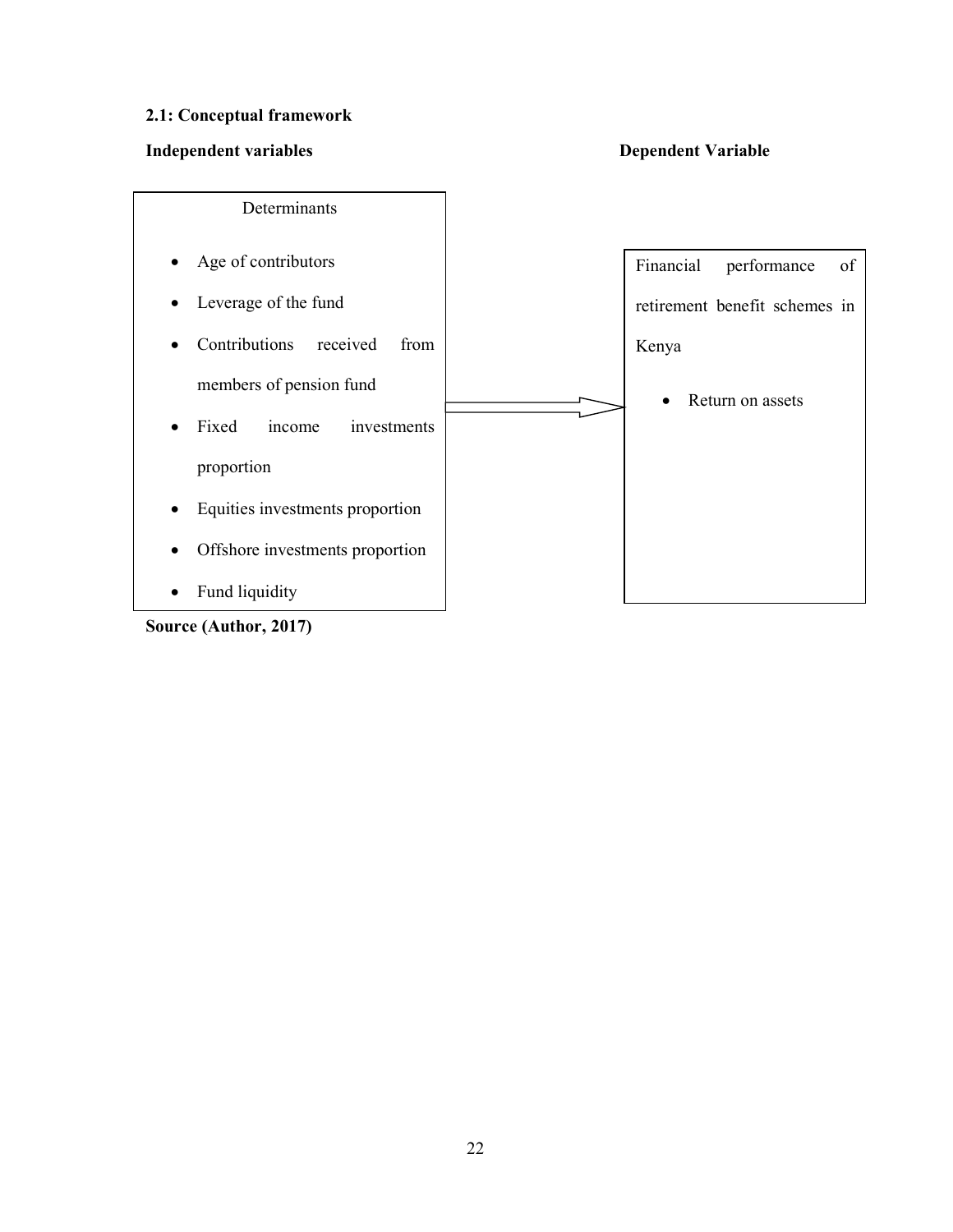### 2.1: Conceptual framework

### Independent variables Dependent Variable



Source (Author, 2017)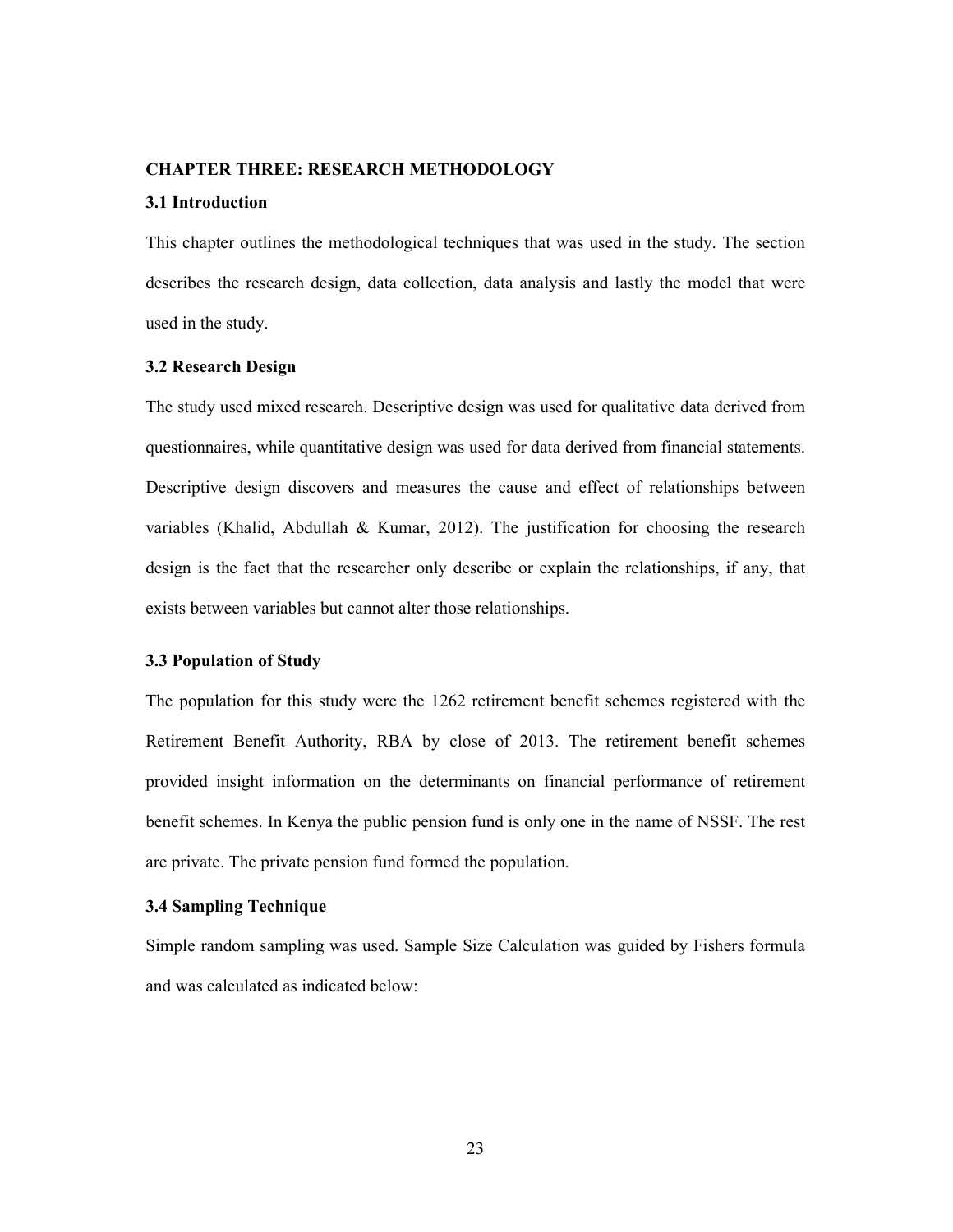#### CHAPTER THREE: RESEARCH METHODOLOGY

#### 3.1 Introduction

This chapter outlines the methodological techniques that was used in the study. The section describes the research design, data collection, data analysis and lastly the model that were used in the study.

#### 3.2 Research Design

The study used mixed research. Descriptive design was used for qualitative data derived from questionnaires, while quantitative design was used for data derived from financial statements. Descriptive design discovers and measures the cause and effect of relationships between variables (Khalid, Abdullah & Kumar, 2012). The justification for choosing the research design is the fact that the researcher only describe or explain the relationships, if any, that exists between variables but cannot alter those relationships.

#### 3.3 Population of Study

The population for this study were the 1262 retirement benefit schemes registered with the Retirement Benefit Authority, RBA by close of 2013. The retirement benefit schemes provided insight information on the determinants on financial performance of retirement benefit schemes. In Kenya the public pension fund is only one in the name of NSSF. The rest are private. The private pension fund formed the population.

### 3.4 Sampling Technique

Simple random sampling was used. Sample Size Calculation was guided by Fishers formula and was calculated as indicated below: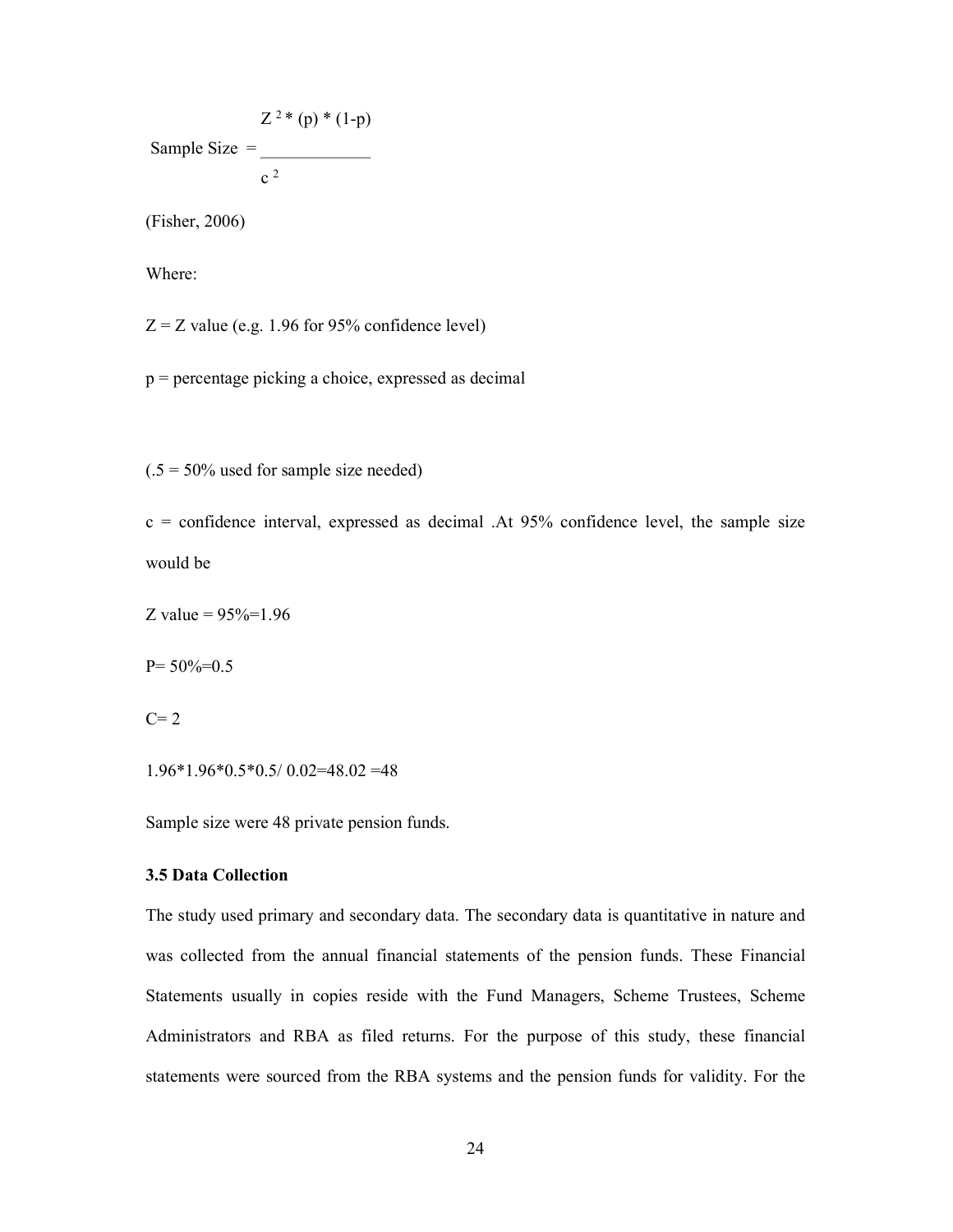Sample Size =  $Z^2 * (p) * (1-p)$  $c<sup>2</sup>$ 

(Fisher, 2006)

Where:

 $Z = Z$  value (e.g. 1.96 for 95% confidence level)

p = percentage picking a choice, expressed as decimal

 $(.5 = 50\%$  used for sample size needed)

 $c =$  confidence interval, expressed as decimal .At 95% confidence level, the sample size would be

Z value =  $95\%$ =1.96

 $P= 50\% = 0.5$ 

 $C=2$ 

1.96\*1.96\*0.5\*0.5/ 0.02=48.02 =48

Sample size were 48 private pension funds.

#### 3.5 Data Collection

The study used primary and secondary data. The secondary data is quantitative in nature and was collected from the annual financial statements of the pension funds. These Financial Statements usually in copies reside with the Fund Managers, Scheme Trustees, Scheme Administrators and RBA as filed returns. For the purpose of this study, these financial statements were sourced from the RBA systems and the pension funds for validity. For the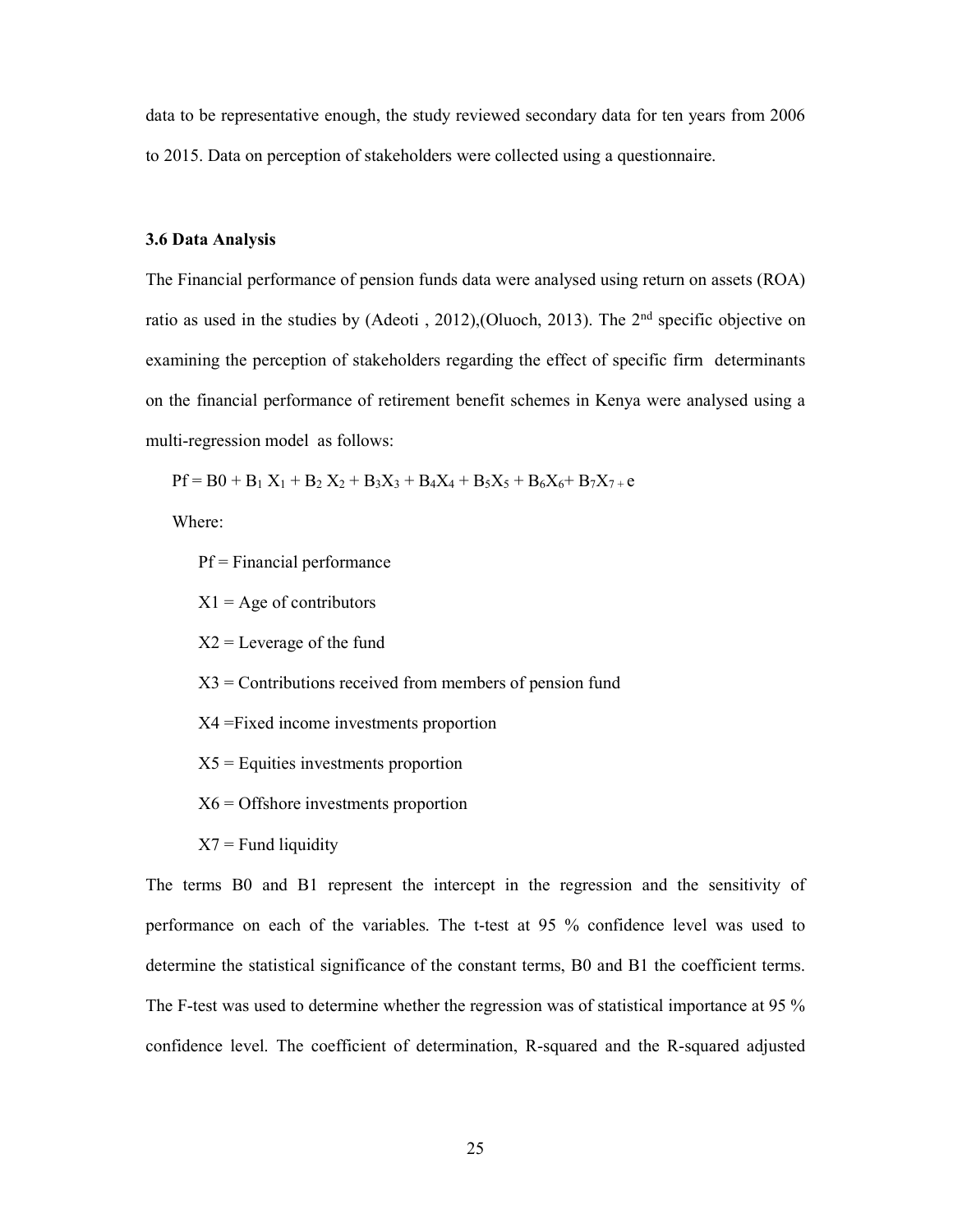data to be representative enough, the study reviewed secondary data for ten years from 2006 to 2015. Data on perception of stakeholders were collected using a questionnaire.

#### 3.6 Data Analysis

The Financial performance of pension funds data were analysed using return on assets (ROA) ratio as used in the studies by (Adeoti , 2012),(Oluoch, 2013). The 2nd specific objective on examining the perception of stakeholders regarding the effect of specific firm determinants on the financial performance of retirement benefit schemes in Kenya were analysed using a multi-regression model as follows:

 $Pf = B0 + B_1 X_1 + B_2 X_2 + B_3 X_3 + B_4 X_4 + B_5 X_5 + B_6 X_6 + B_7 X_7 + e$ 

Where:

 $Pf = Financial performance$ 

 $X1 = Age of$  contributors

 $X2$  = Leverage of the fund

 $X3 =$  Contributions received from members of pension fund

X4 =Fixed income investments proportion

 $X5$  = Equities investments proportion

X6 = Offshore investments proportion

 $X7$  = Fund liquidity

The terms B0 and B1 represent the intercept in the regression and the sensitivity of performance on each of the variables. The t-test at 95 % confidence level was used to determine the statistical significance of the constant terms, B0 and B1 the coefficient terms. The F-test was used to determine whether the regression was of statistical importance at 95 % confidence level. The coefficient of determination, R-squared and the R-squared adjusted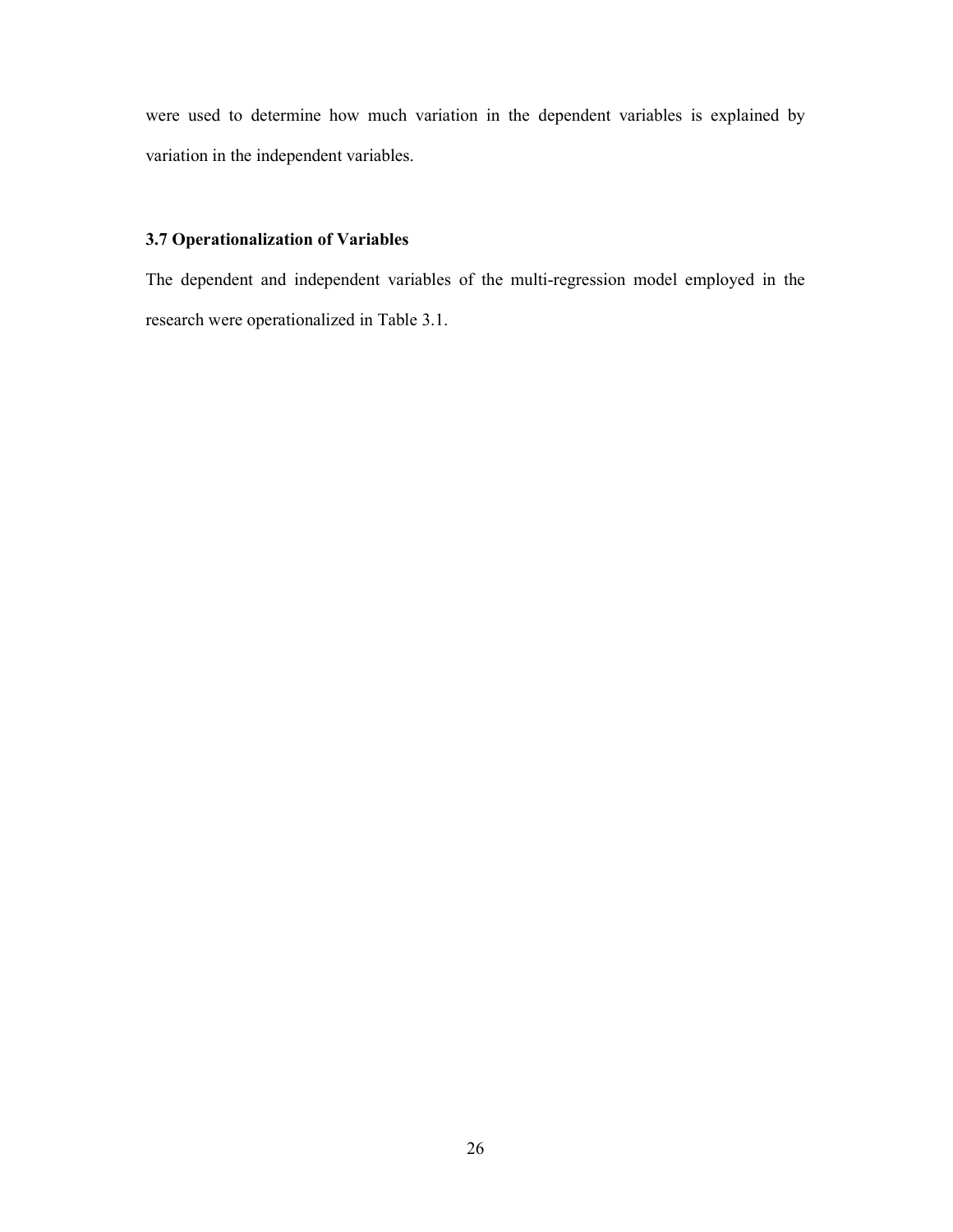were used to determine how much variation in the dependent variables is explained by variation in the independent variables.

### 3.7 Operationalization of Variables

The dependent and independent variables of the multi-regression model employed in the research were operationalized in Table 3.1.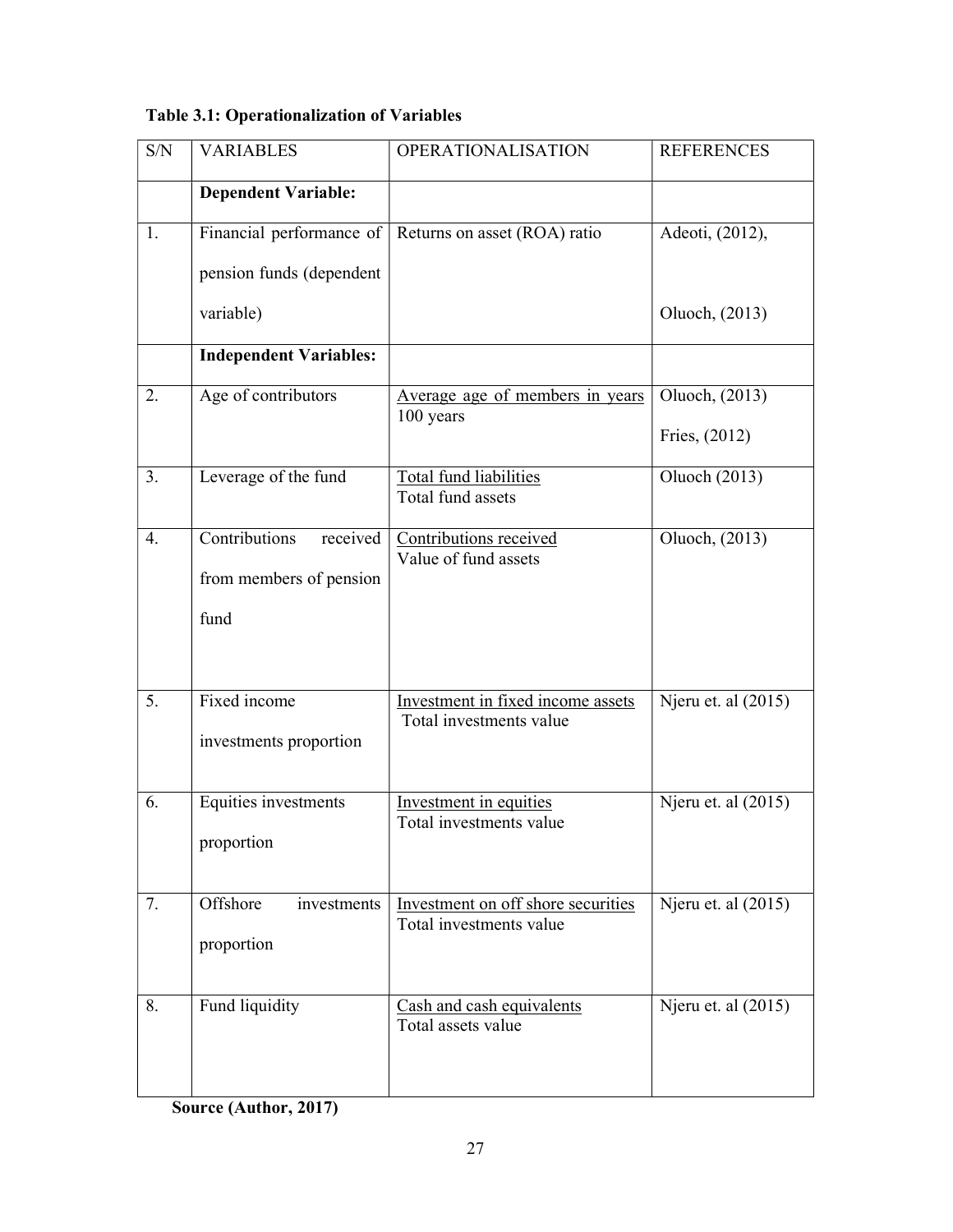| $\ensuremath{\mathrm{S/N}}$ | <b>VARIABLES</b>                                             | <b>OPERATIONALISATION</b>                                     | <b>REFERENCES</b>   |  |
|-----------------------------|--------------------------------------------------------------|---------------------------------------------------------------|---------------------|--|
|                             | <b>Dependent Variable:</b>                                   |                                                               |                     |  |
| 1.                          | Financial performance of                                     | Returns on asset (ROA) ratio                                  | Adeoti, (2012),     |  |
|                             | pension funds (dependent                                     |                                                               |                     |  |
|                             | variable)                                                    |                                                               | Oluoch, (2013)      |  |
|                             | <b>Independent Variables:</b>                                |                                                               |                     |  |
| 2.                          | Age of contributors                                          | Average age of members in years<br>100 years                  | Oluoch, (2013)      |  |
|                             |                                                              |                                                               | Fries, (2012)       |  |
| 3.                          | Leverage of the fund                                         | Total fund liabilities<br>Total fund assets                   | Oluoch (2013)       |  |
| 4.                          | Contributions<br>received<br>from members of pension<br>fund | Contributions received<br>Value of fund assets                | Oluoch, (2013)      |  |
| 5.                          | Fixed income<br>investments proportion                       | Investment in fixed income assets<br>Total investments value  | Njeru et. al (2015) |  |
| 6.                          | Equities investments<br>proportion                           | Investment in equities<br>Total investments value             | Njeru et. al (2015) |  |
| 7.                          | Offshore<br>investments<br>proportion                        | Investment on off shore securities<br>Total investments value | Njeru et. al (2015) |  |
| 8.                          | Fund liquidity                                               | Cash and cash equivalents<br>Total assets value               | Njeru et. al (2015) |  |

Source (Author, 2017)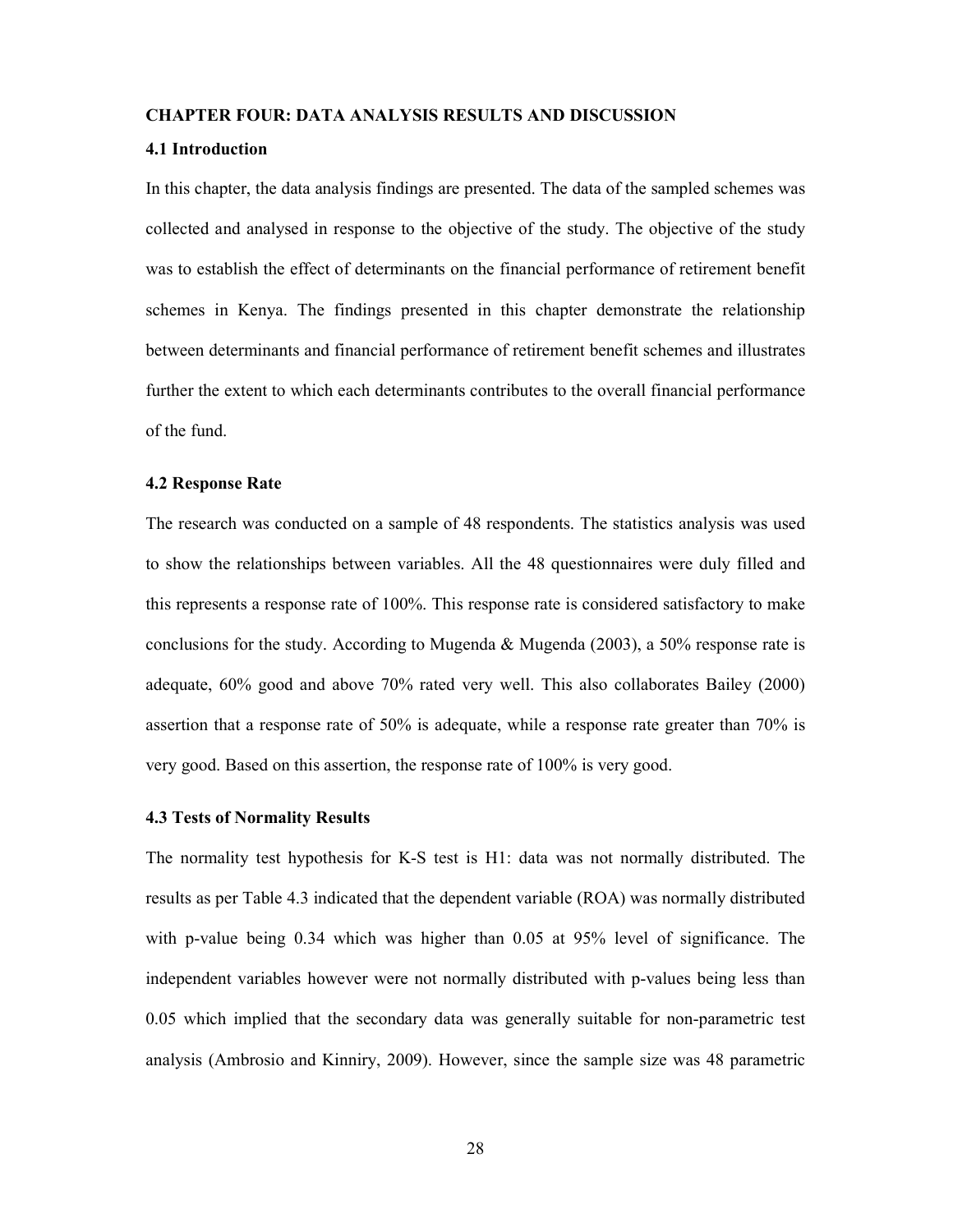#### CHAPTER FOUR: DATA ANALYSIS RESULTS AND DISCUSSION

#### 4.1 Introduction

In this chapter, the data analysis findings are presented. The data of the sampled schemes was collected and analysed in response to the objective of the study. The objective of the study was to establish the effect of determinants on the financial performance of retirement benefit schemes in Kenya. The findings presented in this chapter demonstrate the relationship between determinants and financial performance of retirement benefit schemes and illustrates further the extent to which each determinants contributes to the overall financial performance of the fund.

#### 4.2 Response Rate

The research was conducted on a sample of 48 respondents. The statistics analysis was used to show the relationships between variables. All the 48 questionnaires were duly filled and this represents a response rate of 100%. This response rate is considered satisfactory to make conclusions for the study. According to Mugenda & Mugenda (2003), a 50% response rate is adequate, 60% good and above 70% rated very well. This also collaborates Bailey (2000) assertion that a response rate of 50% is adequate, while a response rate greater than 70% is very good. Based on this assertion, the response rate of 100% is very good.

#### 4.3 Tests of Normality Results

The normality test hypothesis for K-S test is H1: data was not normally distributed. The results as per Table 4.3 indicated that the dependent variable (ROA) was normally distributed with p-value being 0.34 which was higher than 0.05 at 95% level of significance. The independent variables however were not normally distributed with p-values being less than 0.05 which implied that the secondary data was generally suitable for non-parametric test analysis (Ambrosio and Kinniry, 2009). However, since the sample size was 48 parametric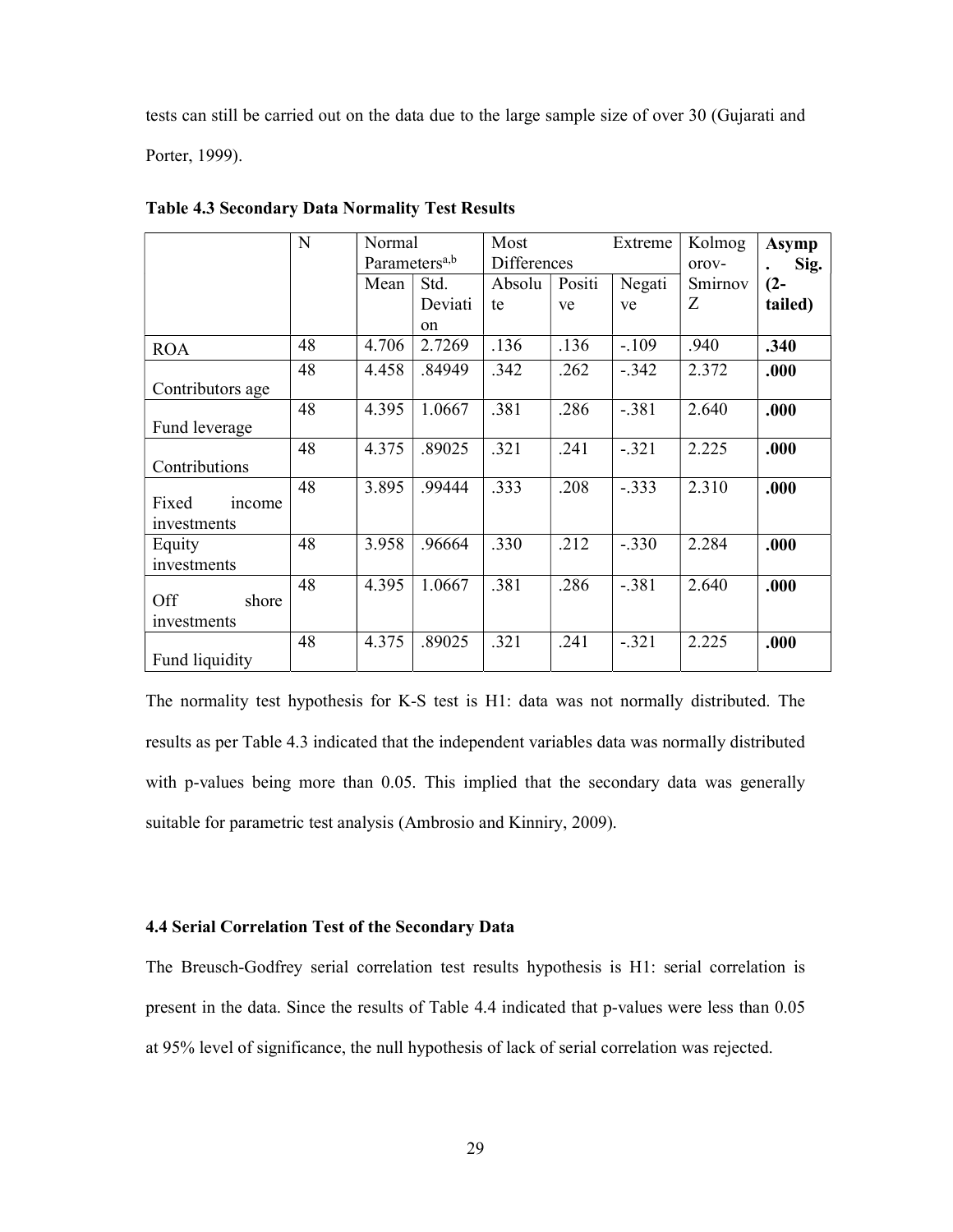tests can still be carried out on the data due to the large sample size of over 30 (Gujarati and Porter, 1999).

|                  | N  | Normal<br>Parameters <sup>a,b</sup> |               | Most<br>Differences |        | Extreme | Kolmog<br>orov- | Asymp<br>Sig. |
|------------------|----|-------------------------------------|---------------|---------------------|--------|---------|-----------------|---------------|
|                  |    | Mean                                | Std.          | Absolu              | Positi | Negati  | Smirnov         | $(2 -$        |
|                  |    |                                     | Deviati       | te                  | ve     | ve      | Ζ               | tailed)       |
|                  |    |                                     | <sub>on</sub> |                     |        |         |                 |               |
| <b>ROA</b>       | 48 | 4.706                               | 2.7269        | .136                | .136   | $-.109$ | .940            | .340          |
|                  | 48 | 4.458                               | .84949        | .342                | .262   | $-.342$ | 2.372           | .000          |
| Contributors age |    |                                     |               |                     |        |         |                 |               |
|                  | 48 | 4.395                               | 1.0667        | .381                | .286   | $-.381$ | 2.640           | .000          |
| Fund leverage    |    |                                     |               |                     |        |         |                 |               |
|                  | 48 | 4.375                               | .89025        | .321                | .241   | $-.321$ | 2.225           | .000          |
| Contributions    |    |                                     |               |                     |        |         |                 |               |
|                  | 48 | 3.895                               | .99444        | .333                | .208   | $-.333$ | 2.310           | .000          |
| Fixed<br>income  |    |                                     |               |                     |        |         |                 |               |
| investments      |    |                                     |               |                     |        |         |                 |               |
| Equity           | 48 | 3.958                               | .96664        | .330                | .212   | $-.330$ | 2.284           | .000          |
| investments      |    |                                     |               |                     |        |         |                 |               |
|                  | 48 | 4.395                               | 1.0667        | .381                | .286   | $-.381$ | 2.640           | .000          |
| Off<br>shore     |    |                                     |               |                     |        |         |                 |               |
| investments      |    |                                     |               |                     |        |         |                 |               |
|                  | 48 | 4.375                               | .89025        | .321                | .241   | $-.321$ | 2.225           | .000          |
| Fund liquidity   |    |                                     |               |                     |        |         |                 |               |

Table 4.3 Secondary Data Normality Test Results

The normality test hypothesis for K-S test is H1: data was not normally distributed. The results as per Table 4.3 indicated that the independent variables data was normally distributed with p-values being more than 0.05. This implied that the secondary data was generally suitable for parametric test analysis (Ambrosio and Kinniry, 2009).

#### 4.4 Serial Correlation Test of the Secondary Data

The Breusch-Godfrey serial correlation test results hypothesis is H1: serial correlation is present in the data. Since the results of Table 4.4 indicated that p-values were less than 0.05 at 95% level of significance, the null hypothesis of lack of serial correlation was rejected.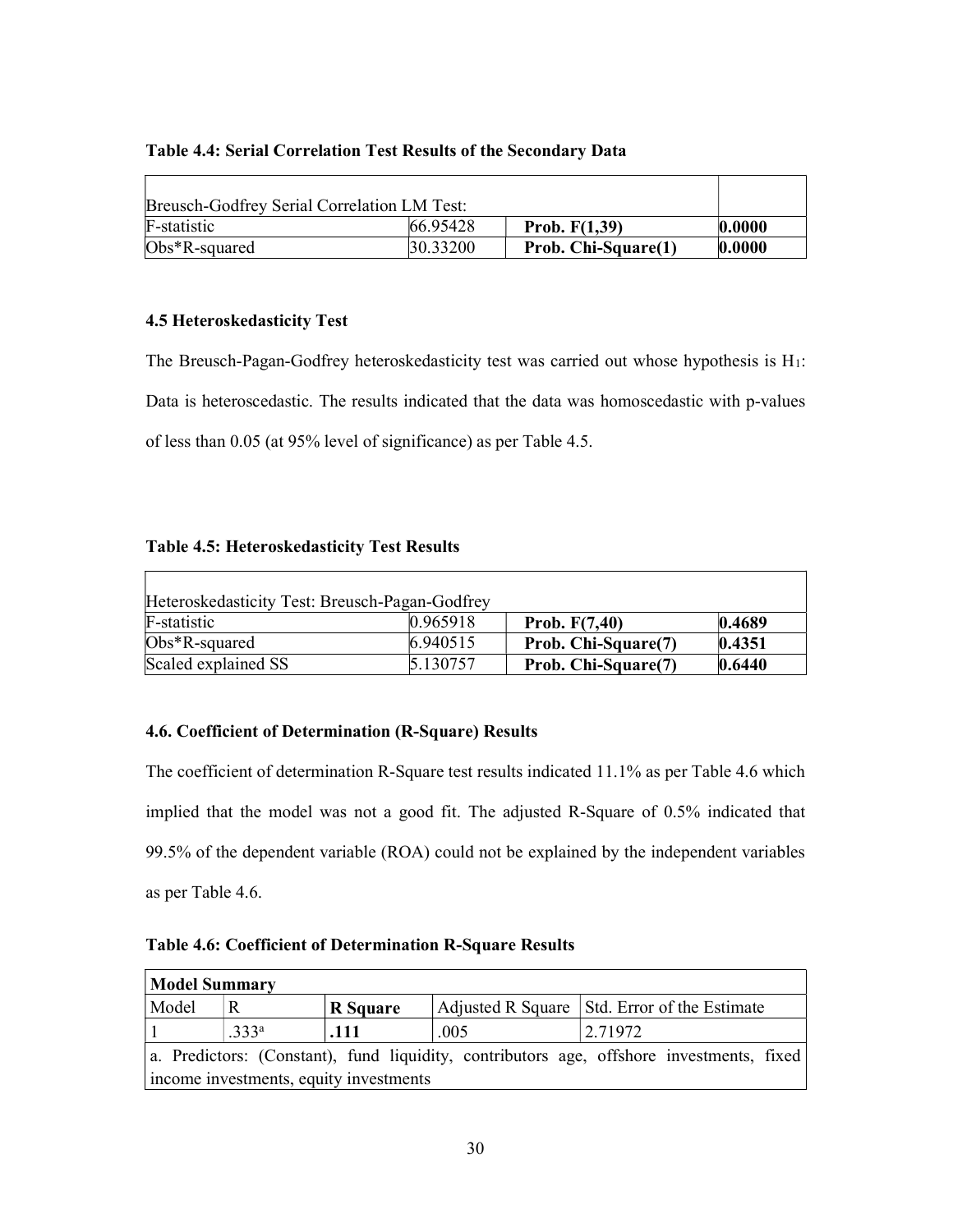#### Table 4.4: Serial Correlation Test Results of the Secondary Data

| Breusch-Godfrey Serial Correlation LM Test: |          |                     |        |
|---------------------------------------------|----------|---------------------|--------|
| F-statistic                                 | 66.95428 | Prob. $F(1,39)$     | 0.0000 |
| $Obs*R$ -squared                            | 30.33200 | Prob. Chi-Square(1) | 0.0000 |

#### 4.5 Heteroskedasticity Test

The Breusch-Pagan-Godfrey heteroskedasticity test was carried out whose hypothesis is  $H_1$ : Data is heteroscedastic. The results indicated that the data was homoscedastic with p-values of less than 0.05 (at 95% level of significance) as per Table 4.5.

#### Table 4.5: Heteroskedasticity Test Results

| Heteroskedasticity Test: Breusch-Pagan-Godfrey |           |                     |        |
|------------------------------------------------|-----------|---------------------|--------|
| F-statistic                                    | 0.965918  | Prob. $F(7,40)$     | 0.4689 |
| $Obs*R$ -squared                               | 6.940515  | Prob. Chi-Square(7) | 0.4351 |
| Scaled explained SS                            | 15.130757 | Prob. Chi-Square(7) | 0.6440 |

#### 4.6. Coefficient of Determination (R-Square) Results

The coefficient of determination R-Square test results indicated 11.1% as per Table 4.6 which implied that the model was not a good fit. The adjusted R-Square of 0.5% indicated that 99.5% of the dependent variable (ROA) could not be explained by the independent variables as per Table 4.6.

| <b>Table 4.6: Coefficient of Determination R-Square Results</b> |  |
|-----------------------------------------------------------------|--|
|-----------------------------------------------------------------|--|

| Model Summary                                                                            |                   |                 |      |                                                |  |  |  |
|------------------------------------------------------------------------------------------|-------------------|-----------------|------|------------------------------------------------|--|--|--|
| Model                                                                                    |                   | <b>R</b> Square |      | Adjusted R Square   Std. Error of the Estimate |  |  |  |
|                                                                                          | .333 <sup>a</sup> | .111            | .005 | 2.71972                                        |  |  |  |
| a. Predictors: (Constant), fund liquidity, contributors age, offshore investments, fixed |                   |                 |      |                                                |  |  |  |
| income investments, equity investments                                                   |                   |                 |      |                                                |  |  |  |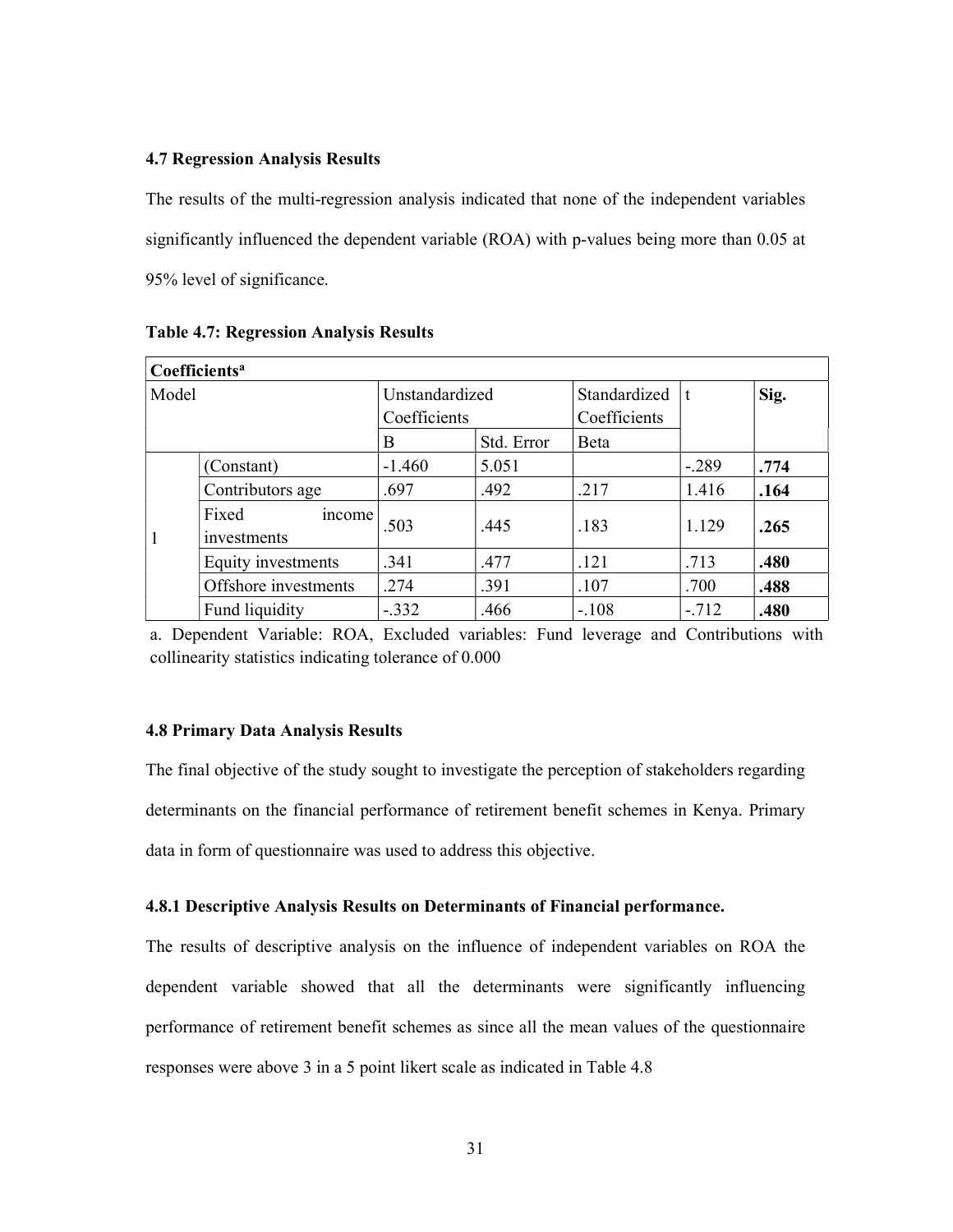#### 4.7 Regression Analysis Results

The results of the multi-regression analysis indicated that none of the independent variables significantly influenced the dependent variable (ROA) with p-values being more than 0.05 at 95% level of significance.

| Coefficients <sup>a</sup> |                                |                |            |              |         |      |  |  |
|---------------------------|--------------------------------|----------------|------------|--------------|---------|------|--|--|
| Model                     |                                | Unstandardized |            | Standardized | t       | Sig. |  |  |
|                           |                                | Coefficients   |            | Coefficients |         |      |  |  |
|                           |                                | B              | Std. Error | <b>B</b> eta |         |      |  |  |
| $\mathbf{1}$              | (Constant)                     | $-1.460$       | 5.051      |              | $-.289$ | .774 |  |  |
|                           | Contributors age               | .697           | .492       | .217         | 1.416   | .164 |  |  |
|                           | Fixed<br>income<br>investments | .503           | .445       | .183         | 1.129   | .265 |  |  |
|                           | Equity investments             | .341           | .477       | .121         | .713    | .480 |  |  |
|                           | Offshore investments           | .274           | .391       | .107         | .700    | .488 |  |  |
|                           | Fund liquidity                 | $-.332$        | .466       | $-.108$      | $-.712$ | .480 |  |  |

Table 4.7: Regression Analysis Results

a. Dependent Variable: ROA, Excluded variables: Fund leverage and Contributions with collinearity statistics indicating tolerance of 0.000

#### 4.8 Primary Data Analysis Results

The final objective of the study sought to investigate the perception of stakeholders regarding determinants on the financial performance of retirement benefit schemes in Kenya. Primary data in form of questionnaire was used to address this objective.

#### 4.8.1 Descriptive Analysis Results on Determinants of Financial performance.

The results of descriptive analysis on the influence of independent variables on ROA the dependent variable showed that all the determinants were significantly influencing performance of retirement benefit schemes as since all the mean values of the questionnaire responses were above 3 in a 5 point likert scale as indicated in Table 4.8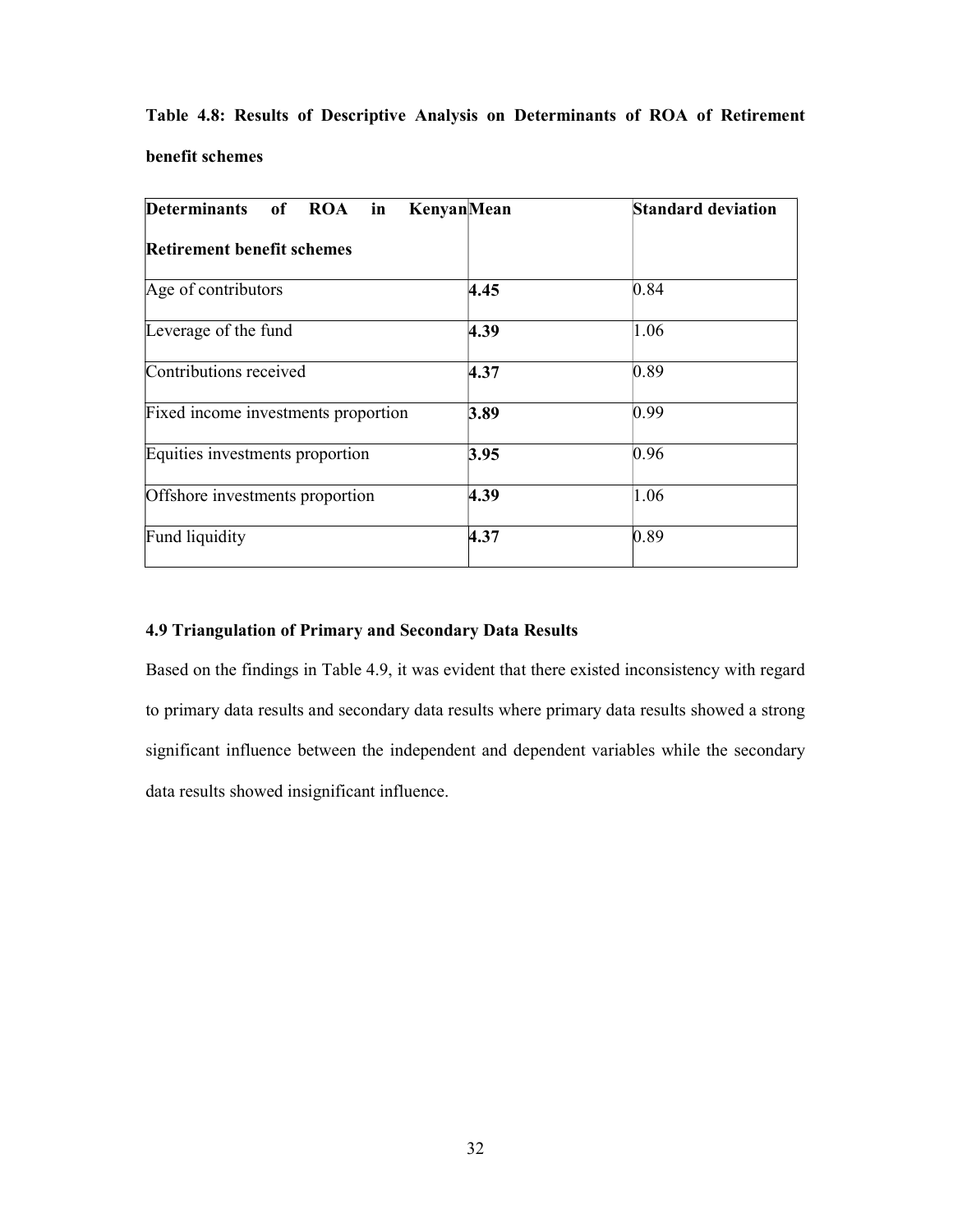|                 |  |  | Table 4.8: Results of Descriptive Analysis on Determinants of ROA of Retirement |  |  |
|-----------------|--|--|---------------------------------------------------------------------------------|--|--|
| benefit schemes |  |  |                                                                                 |  |  |

| Determinants of ROA in KenyanMean   |      | <b>Standard deviation</b> |
|-------------------------------------|------|---------------------------|
| <b>Retirement benefit schemes</b>   |      |                           |
| Age of contributors                 | 4.45 | 0.84                      |
| Leverage of the fund                | 4.39 | 1.06                      |
| Contributions received              | 4.37 | 0.89                      |
| Fixed income investments proportion | 3.89 | 0.99                      |
| Equities investments proportion     | 3.95 | 0.96                      |
| Offshore investments proportion     | 4.39 | 1.06                      |
| Fund liquidity                      | 4.37 | 0.89                      |

### 4.9 Triangulation of Primary and Secondary Data Results

Based on the findings in Table 4.9, it was evident that there existed inconsistency with regard to primary data results and secondary data results where primary data results showed a strong significant influence between the independent and dependent variables while the secondary data results showed insignificant influence.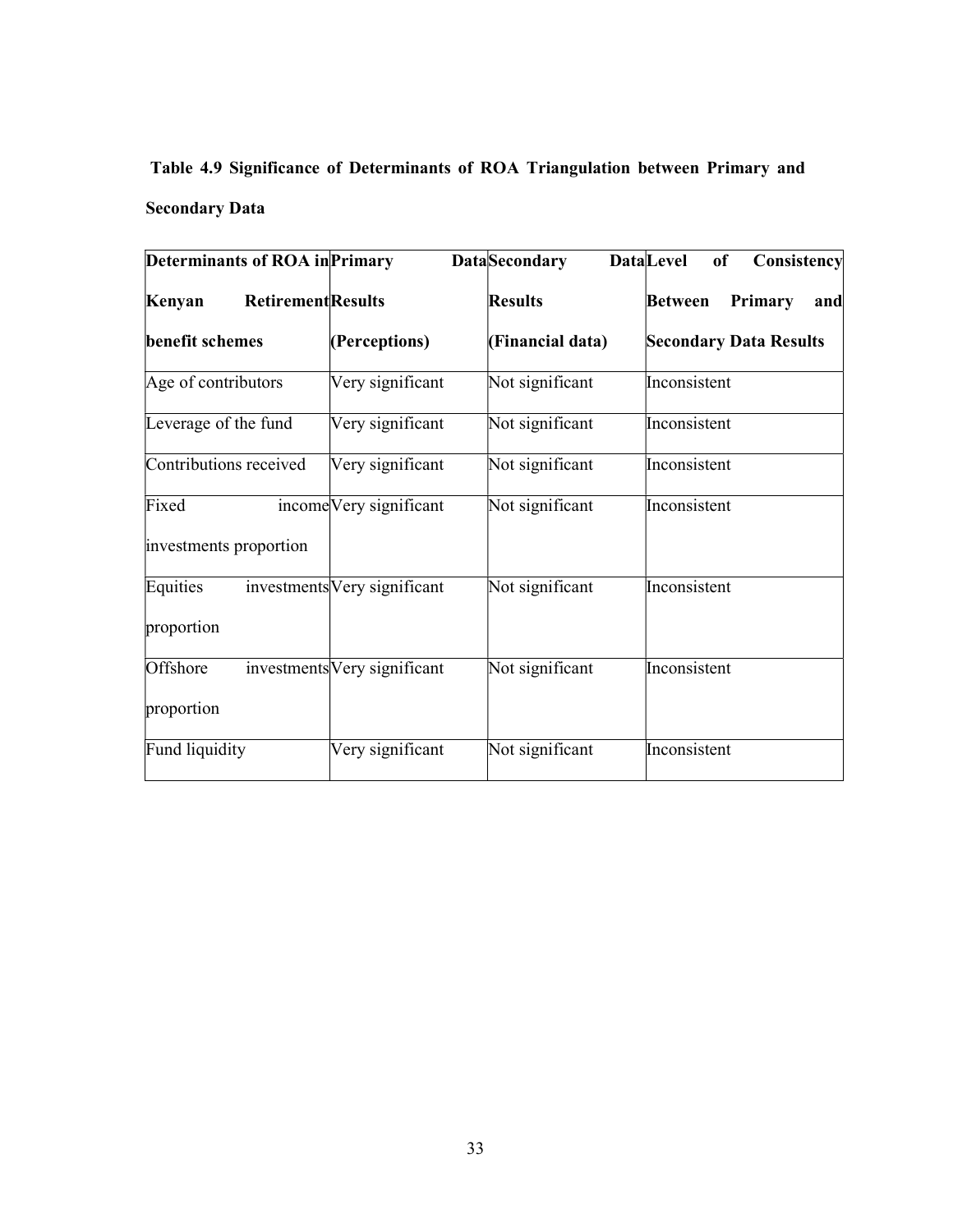# Table 4.9 Significance of Determinants of ROA Triangulation between Primary and Secondary Data

| <b>Determinants of ROA in Primary</b> |                              | <b>DataSecondary</b> | <b>Data</b> Level<br>Consistency<br><b>of</b> |
|---------------------------------------|------------------------------|----------------------|-----------------------------------------------|
| <b>Retirement</b> Results<br>Kenyan   |                              | <b>Results</b>       | <b>Between</b><br>Primary<br>and              |
| benefit schemes                       | (Perceptions)                | (Financial data)     | <b>Secondary Data Results</b>                 |
| Age of contributors                   | Very significant             | Not significant      | Inconsistent                                  |
| Leverage of the fund                  | Very significant             | Not significant      | Inconsistent                                  |
| Contributions received                | Very significant             | Not significant      | Inconsistent                                  |
| Fixed                                 | income Very significant      | Not significant      | Inconsistent                                  |
| investments proportion                |                              |                      |                                               |
| Equities                              | investments Very significant | Not significant      | Inconsistent                                  |
| proportion                            |                              |                      |                                               |
| Offshore                              | investments Very significant | Not significant      | Inconsistent                                  |
| proportion                            |                              |                      |                                               |
| Fund liquidity                        | Very significant             | Not significant      | Inconsistent                                  |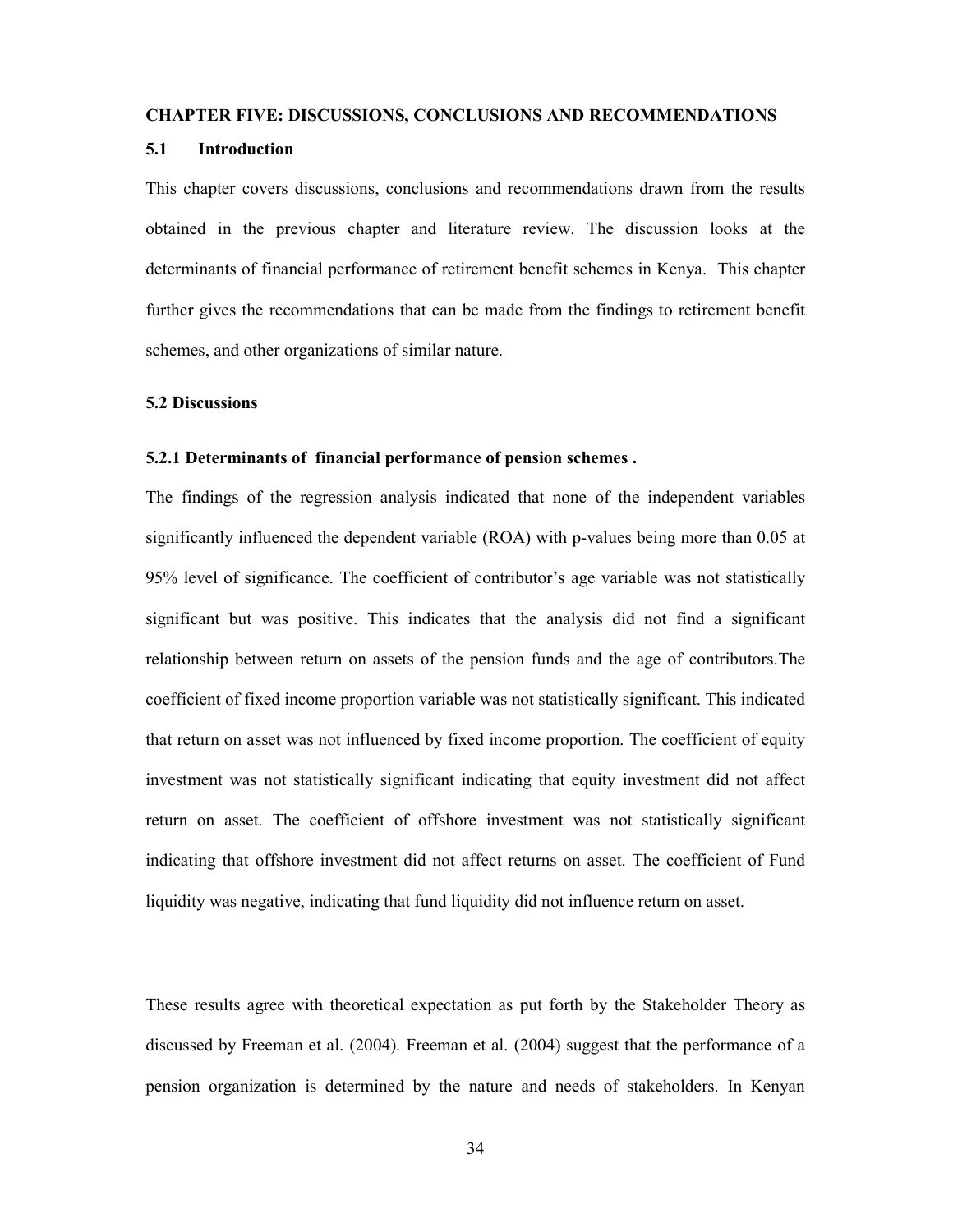#### CHAPTER FIVE: DISCUSSIONS, CONCLUSIONS AND RECOMMENDATIONS

#### 5.1 Introduction

This chapter covers discussions, conclusions and recommendations drawn from the results obtained in the previous chapter and literature review. The discussion looks at the determinants of financial performance of retirement benefit schemes in Kenya. This chapter further gives the recommendations that can be made from the findings to retirement benefit schemes, and other organizations of similar nature.

#### 5.2 Discussions

#### 5.2.1 Determinants of financial performance of pension schemes .

The findings of the regression analysis indicated that none of the independent variables significantly influenced the dependent variable (ROA) with p-values being more than 0.05 at 95% level of significance. The coefficient of contributor's age variable was not statistically significant but was positive. This indicates that the analysis did not find a significant relationship between return on assets of the pension funds and the age of contributors.The coefficient of fixed income proportion variable was not statistically significant. This indicated that return on asset was not influenced by fixed income proportion. The coefficient of equity investment was not statistically significant indicating that equity investment did not affect return on asset. The coefficient of offshore investment was not statistically significant indicating that offshore investment did not affect returns on asset. The coefficient of Fund liquidity was negative, indicating that fund liquidity did not influence return on asset.

These results agree with theoretical expectation as put forth by the Stakeholder Theory as discussed by Freeman et al. (2004). Freeman et al. (2004) suggest that the performance of a pension organization is determined by the nature and needs of stakeholders. In Kenyan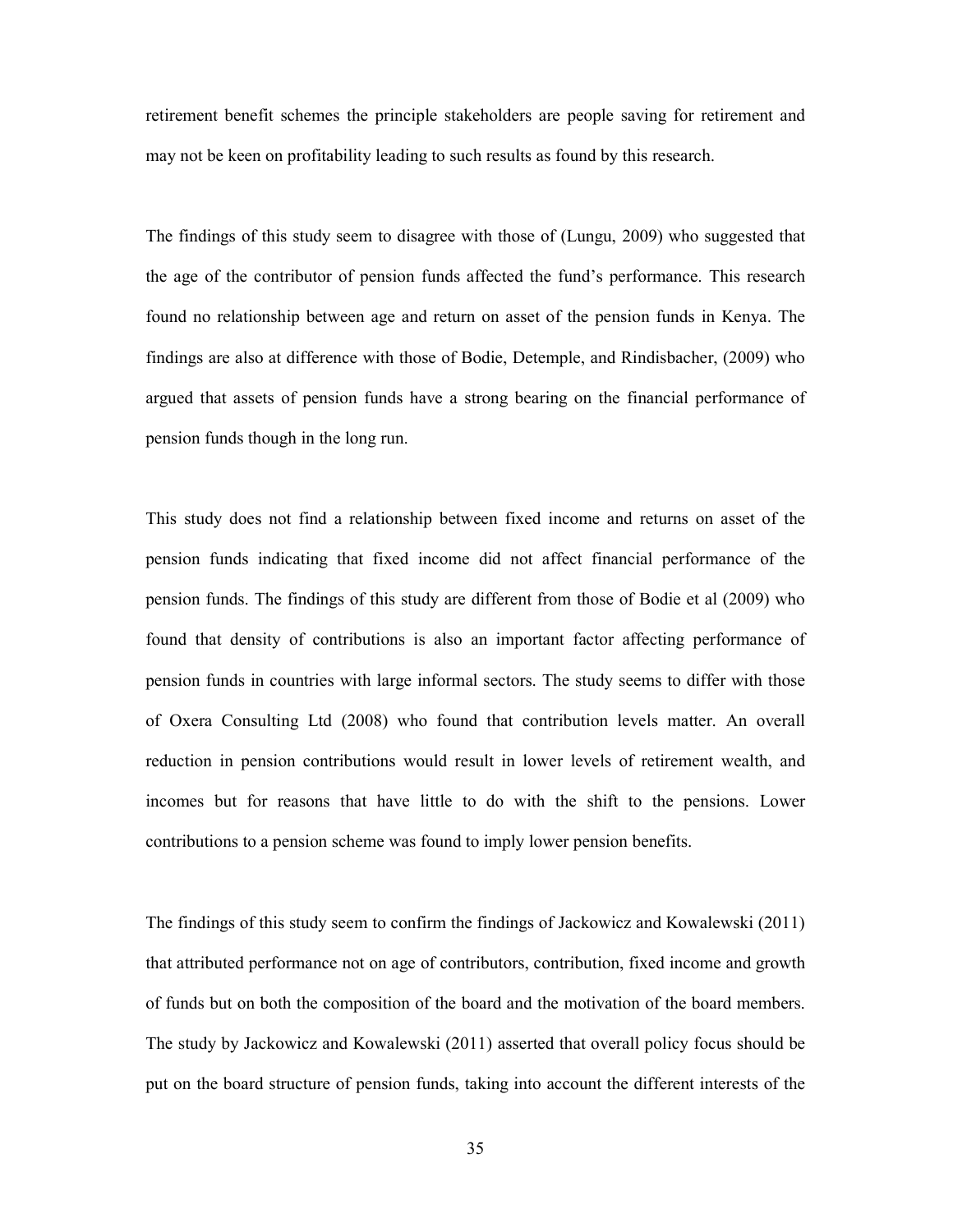retirement benefit schemes the principle stakeholders are people saving for retirement and may not be keen on profitability leading to such results as found by this research.

The findings of this study seem to disagree with those of (Lungu, 2009) who suggested that the age of the contributor of pension funds affected the fund's performance. This research found no relationship between age and return on asset of the pension funds in Kenya. The findings are also at difference with those of Bodie, Detemple, and Rindisbacher, (2009) who argued that assets of pension funds have a strong bearing on the financial performance of pension funds though in the long run.

This study does not find a relationship between fixed income and returns on asset of the pension funds indicating that fixed income did not affect financial performance of the pension funds. The findings of this study are different from those of Bodie et al (2009) who found that density of contributions is also an important factor affecting performance of pension funds in countries with large informal sectors. The study seems to differ with those of Oxera Consulting Ltd (2008) who found that contribution levels matter. An overall reduction in pension contributions would result in lower levels of retirement wealth, and incomes but for reasons that have little to do with the shift to the pensions. Lower contributions to a pension scheme was found to imply lower pension benefits.

The findings of this study seem to confirm the findings of Jackowicz and Kowalewski (2011) that attributed performance not on age of contributors, contribution, fixed income and growth of funds but on both the composition of the board and the motivation of the board members. The study by Jackowicz and Kowalewski (2011) asserted that overall policy focus should be put on the board structure of pension funds, taking into account the different interests of the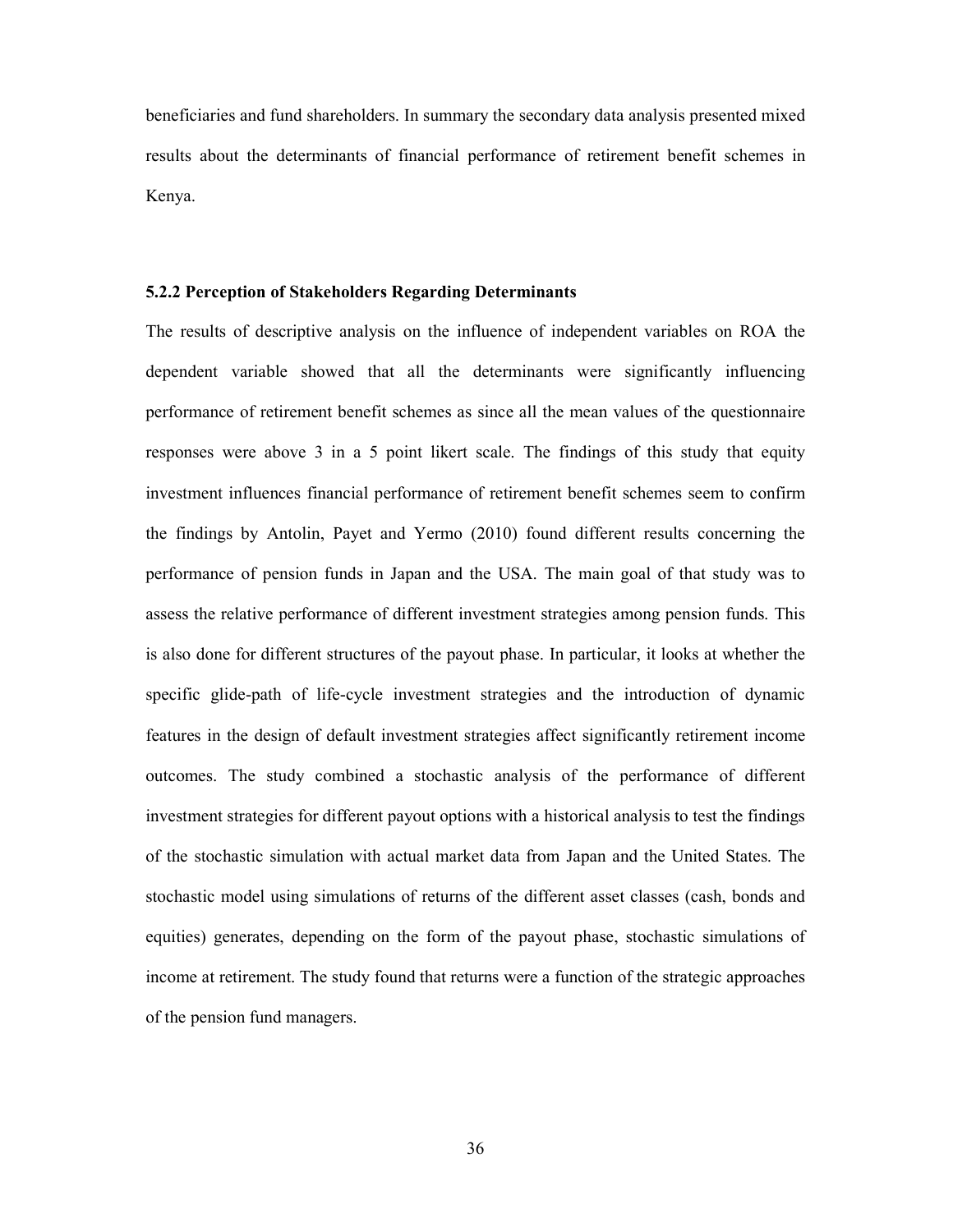beneficiaries and fund shareholders. In summary the secondary data analysis presented mixed results about the determinants of financial performance of retirement benefit schemes in Kenya.

#### 5.2.2 Perception of Stakeholders Regarding Determinants

The results of descriptive analysis on the influence of independent variables on ROA the dependent variable showed that all the determinants were significantly influencing performance of retirement benefit schemes as since all the mean values of the questionnaire responses were above 3 in a 5 point likert scale. The findings of this study that equity investment influences financial performance of retirement benefit schemes seem to confirm the findings by Antolin, Payet and Yermo (2010) found different results concerning the performance of pension funds in Japan and the USA. The main goal of that study was to assess the relative performance of different investment strategies among pension funds. This is also done for different structures of the payout phase. In particular, it looks at whether the specific glide-path of life-cycle investment strategies and the introduction of dynamic features in the design of default investment strategies affect significantly retirement income outcomes. The study combined a stochastic analysis of the performance of different investment strategies for different payout options with a historical analysis to test the findings of the stochastic simulation with actual market data from Japan and the United States. The stochastic model using simulations of returns of the different asset classes (cash, bonds and equities) generates, depending on the form of the payout phase, stochastic simulations of income at retirement. The study found that returns were a function of the strategic approaches of the pension fund managers.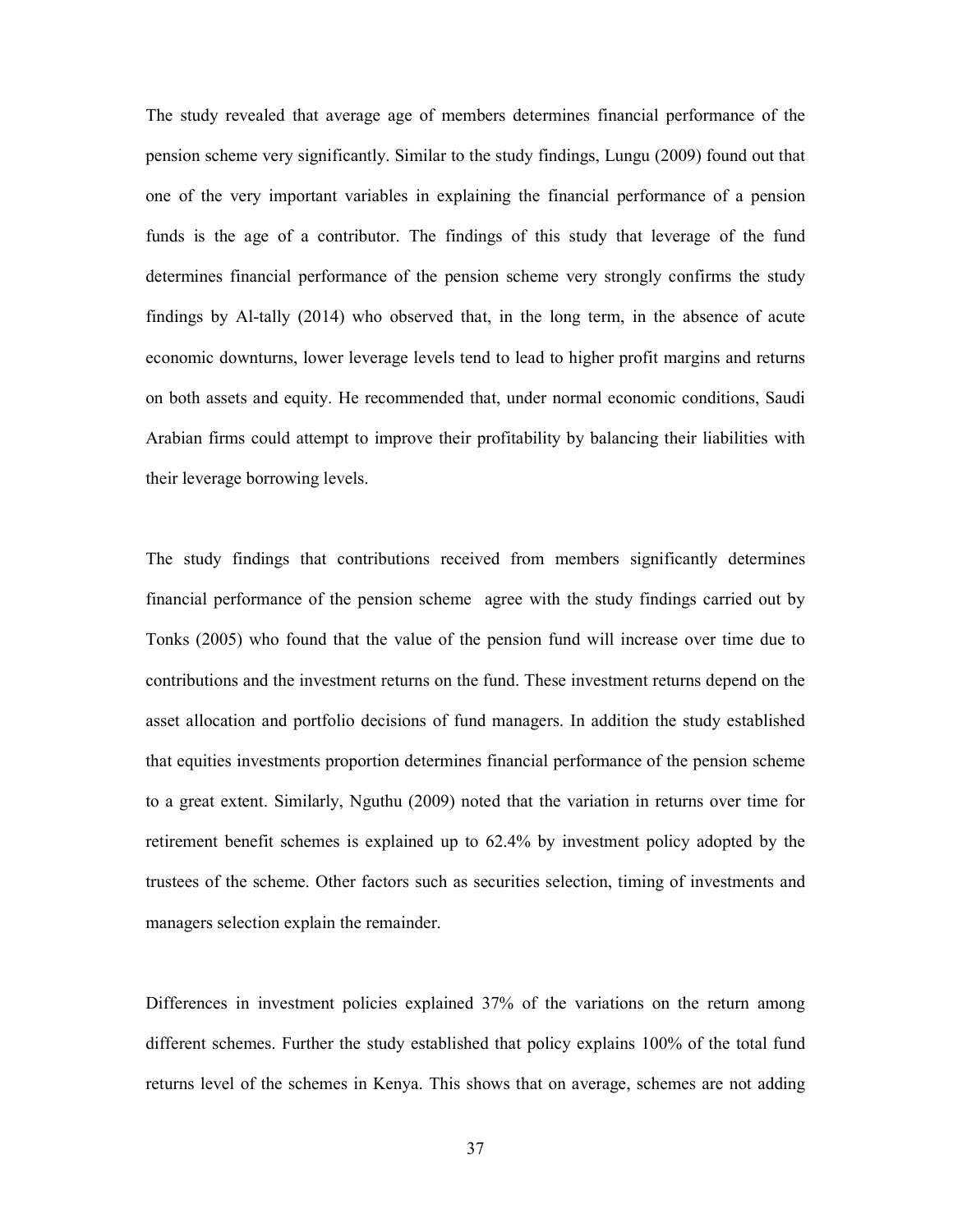The study revealed that average age of members determines financial performance of the pension scheme very significantly. Similar to the study findings, Lungu (2009) found out that one of the very important variables in explaining the financial performance of a pension funds is the age of a contributor. The findings of this study that leverage of the fund determines financial performance of the pension scheme very strongly confirms the study findings by Al-tally (2014) who observed that, in the long term, in the absence of acute economic downturns, lower leverage levels tend to lead to higher profit margins and returns on both assets and equity. He recommended that, under normal economic conditions, Saudi Arabian firms could attempt to improve their profitability by balancing their liabilities with their leverage borrowing levels.

The study findings that contributions received from members significantly determines financial performance of the pension scheme agree with the study findings carried out by Tonks (2005) who found that the value of the pension fund will increase over time due to contributions and the investment returns on the fund. These investment returns depend on the asset allocation and portfolio decisions of fund managers. In addition the study established that equities investments proportion determines financial performance of the pension scheme to a great extent. Similarly, Nguthu (2009) noted that the variation in returns over time for retirement benefit schemes is explained up to 62.4% by investment policy adopted by the trustees of the scheme. Other factors such as securities selection, timing of investments and managers selection explain the remainder.

Differences in investment policies explained 37% of the variations on the return among different schemes. Further the study established that policy explains 100% of the total fund returns level of the schemes in Kenya. This shows that on average, schemes are not adding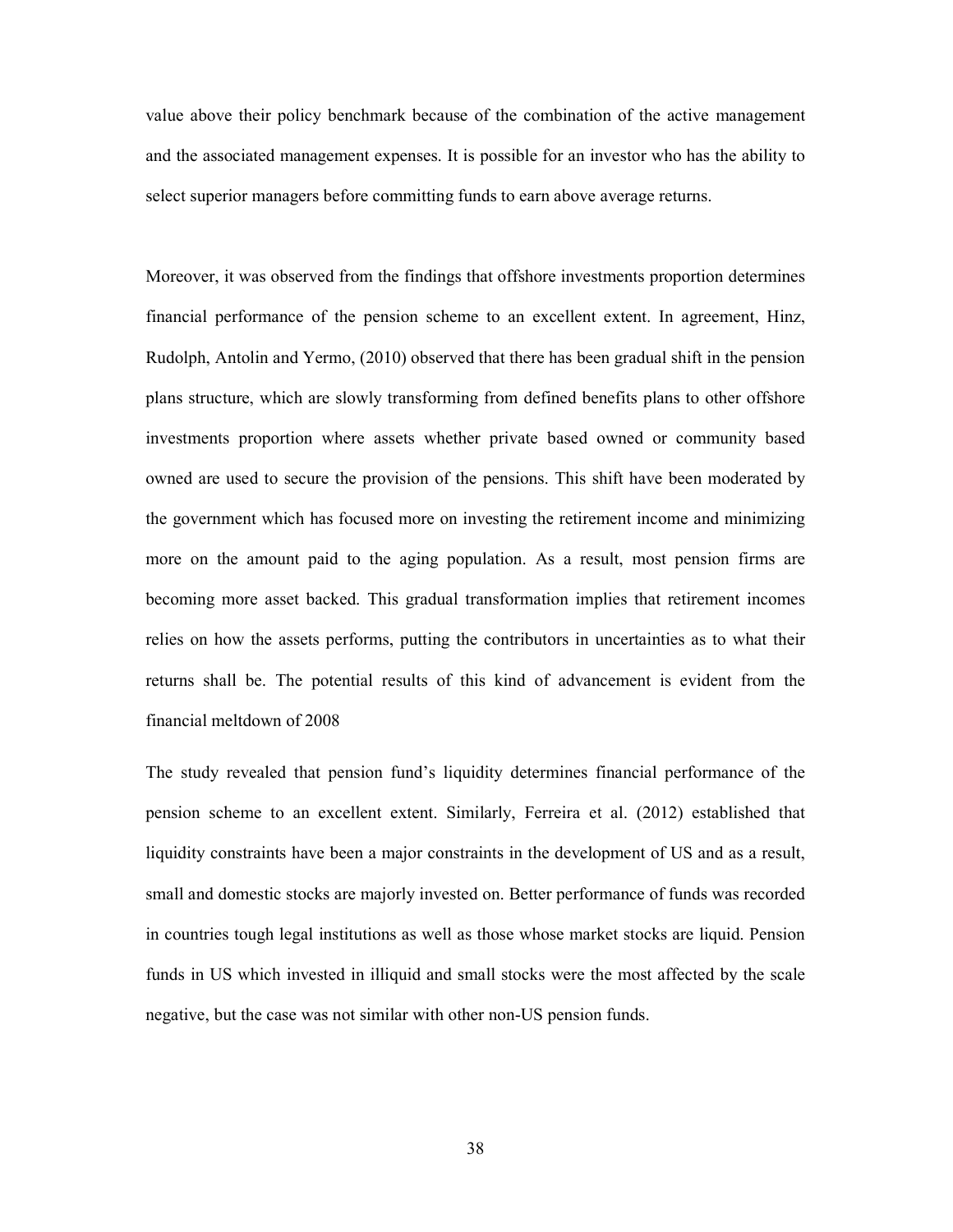value above their policy benchmark because of the combination of the active management and the associated management expenses. It is possible for an investor who has the ability to select superior managers before committing funds to earn above average returns.

Moreover, it was observed from the findings that offshore investments proportion determines financial performance of the pension scheme to an excellent extent. In agreement, Hinz, Rudolph, Antolin and Yermo, (2010) observed that there has been gradual shift in the pension plans structure, which are slowly transforming from defined benefits plans to other offshore investments proportion where assets whether private based owned or community based owned are used to secure the provision of the pensions. This shift have been moderated by the government which has focused more on investing the retirement income and minimizing more on the amount paid to the aging population. As a result, most pension firms are becoming more asset backed. This gradual transformation implies that retirement incomes relies on how the assets performs, putting the contributors in uncertainties as to what their returns shall be. The potential results of this kind of advancement is evident from the financial meltdown of 2008

The study revealed that pension fund's liquidity determines financial performance of the pension scheme to an excellent extent. Similarly, Ferreira et al. (2012) established that liquidity constraints have been a major constraints in the development of US and as a result, small and domestic stocks are majorly invested on. Better performance of funds was recorded in countries tough legal institutions as well as those whose market stocks are liquid. Pension funds in US which invested in illiquid and small stocks were the most affected by the scale negative, but the case was not similar with other non-US pension funds.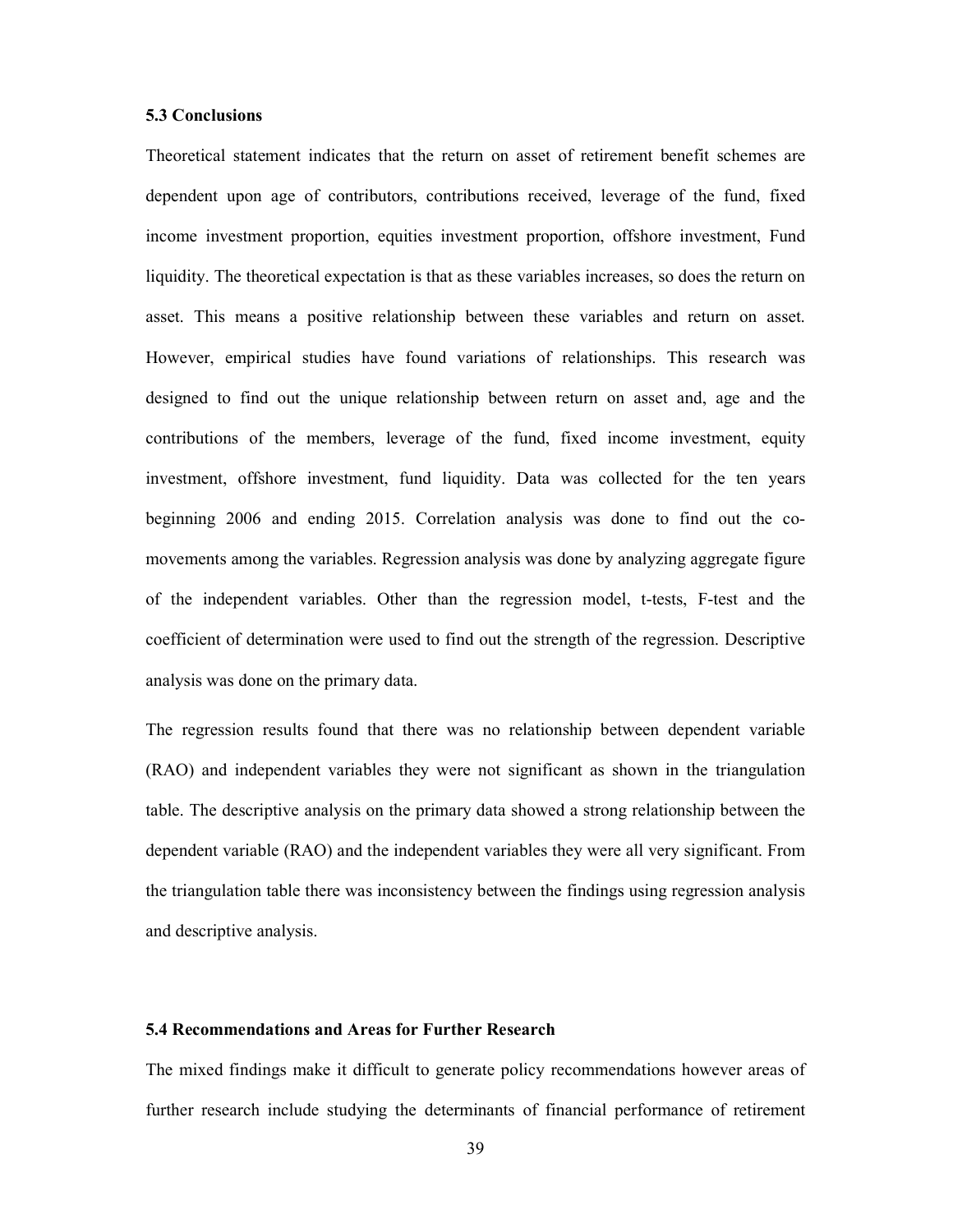#### 5.3 Conclusions

Theoretical statement indicates that the return on asset of retirement benefit schemes are dependent upon age of contributors, contributions received, leverage of the fund, fixed income investment proportion, equities investment proportion, offshore investment, Fund liquidity. The theoretical expectation is that as these variables increases, so does the return on asset. This means a positive relationship between these variables and return on asset. However, empirical studies have found variations of relationships. This research was designed to find out the unique relationship between return on asset and, age and the contributions of the members, leverage of the fund, fixed income investment, equity investment, offshore investment, fund liquidity. Data was collected for the ten years beginning 2006 and ending 2015. Correlation analysis was done to find out the comovements among the variables. Regression analysis was done by analyzing aggregate figure of the independent variables. Other than the regression model, t-tests, F-test and the coefficient of determination were used to find out the strength of the regression. Descriptive analysis was done on the primary data.

The regression results found that there was no relationship between dependent variable (RAO) and independent variables they were not significant as shown in the triangulation table. The descriptive analysis on the primary data showed a strong relationship between the dependent variable (RAO) and the independent variables they were all very significant. From the triangulation table there was inconsistency between the findings using regression analysis and descriptive analysis.

#### 5.4 Recommendations and Areas for Further Research

The mixed findings make it difficult to generate policy recommendations however areas of further research include studying the determinants of financial performance of retirement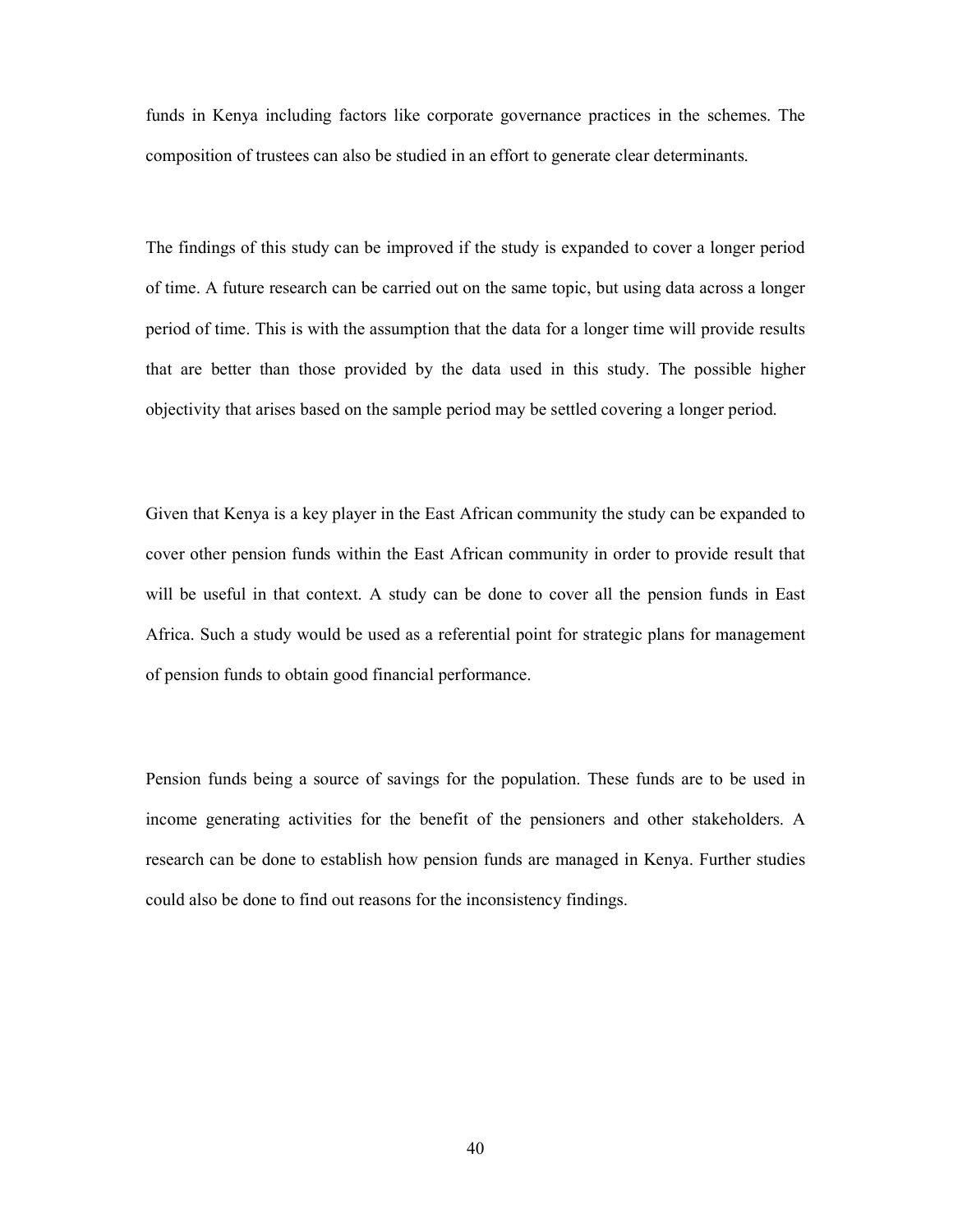funds in Kenya including factors like corporate governance practices in the schemes. The composition of trustees can also be studied in an effort to generate clear determinants.

The findings of this study can be improved if the study is expanded to cover a longer period of time. A future research can be carried out on the same topic, but using data across a longer period of time. This is with the assumption that the data for a longer time will provide results that are better than those provided by the data used in this study. The possible higher objectivity that arises based on the sample period may be settled covering a longer period.

Given that Kenya is a key player in the East African community the study can be expanded to cover other pension funds within the East African community in order to provide result that will be useful in that context. A study can be done to cover all the pension funds in East Africa. Such a study would be used as a referential point for strategic plans for management of pension funds to obtain good financial performance.

Pension funds being a source of savings for the population. These funds are to be used in income generating activities for the benefit of the pensioners and other stakeholders. A research can be done to establish how pension funds are managed in Kenya. Further studies could also be done to find out reasons for the inconsistency findings.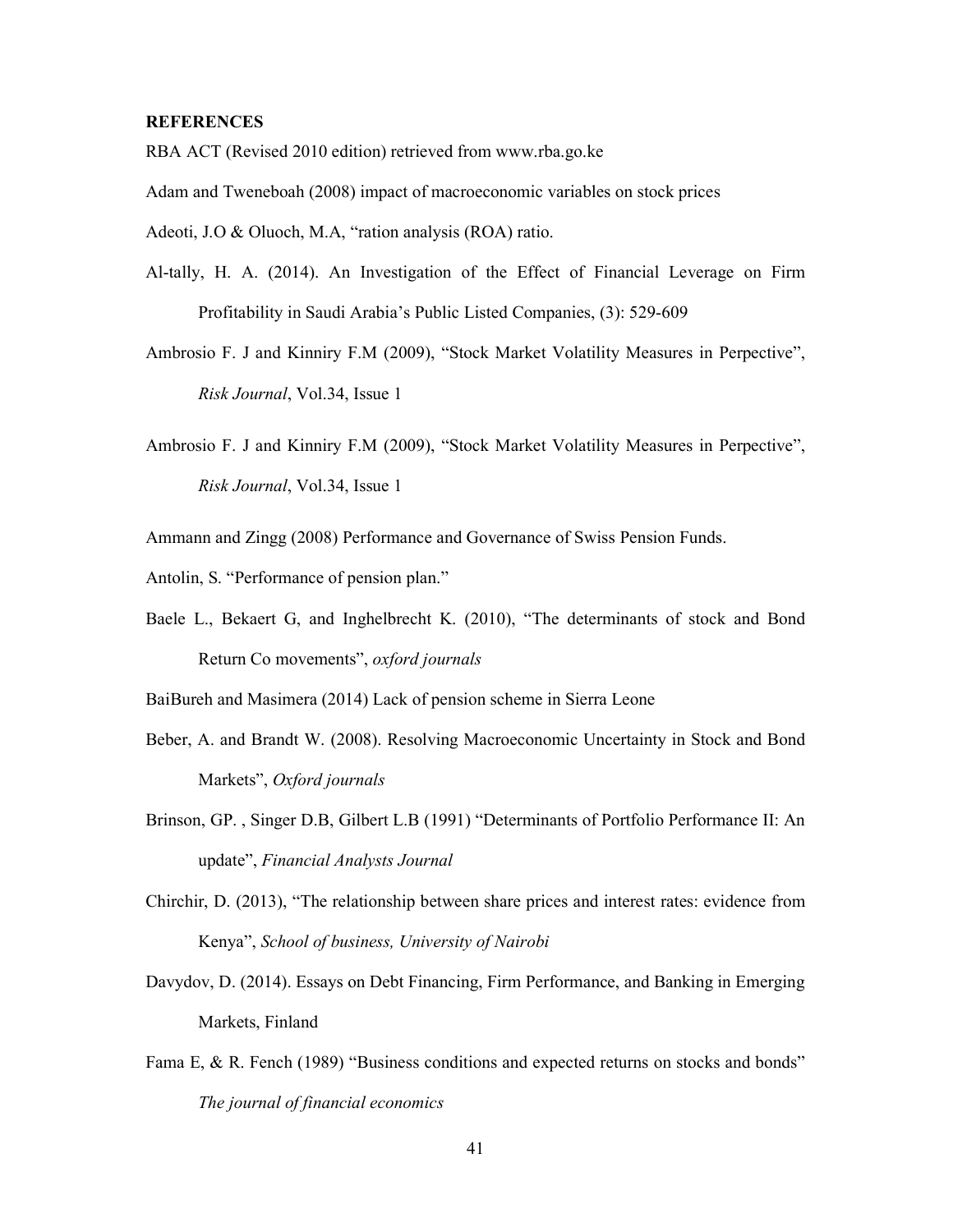#### **REFERENCES**

RBA ACT (Revised 2010 edition) retrieved from www.rba.go.ke

Adam and Tweneboah (2008) impact of macroeconomic variables on stock prices

Adeoti, J.O & Oluoch, M.A, "ration analysis (ROA) ratio.

- Al-tally, H. A. (2014). An Investigation of the Effect of Financial Leverage on Firm Profitability in Saudi Arabia's Public Listed Companies, (3): 529-609
- Ambrosio F. J and Kinniry F.M (2009), "Stock Market Volatility Measures in Perpective", Risk Journal, Vol.34, Issue 1
- Ambrosio F. J and Kinniry F.M (2009), "Stock Market Volatility Measures in Perpective", Risk Journal, Vol.34, Issue 1

Ammann and Zingg (2008) Performance and Governance of Swiss Pension Funds.

Antolin, S. "Performance of pension plan."

Baele L., Bekaert G, and Inghelbrecht K. (2010), "The determinants of stock and Bond Return Co movements", oxford journals

BaiBureh and Masimera (2014) Lack of pension scheme in Sierra Leone

- Beber, A. and Brandt W. (2008). Resolving Macroeconomic Uncertainty in Stock and Bond Markets", Oxford journals
- Brinson, GP. , Singer D.B, Gilbert L.B (1991) "Determinants of Portfolio Performance II: An update", Financial Analysts Journal
- Chirchir, D. (2013), "The relationship between share prices and interest rates: evidence from Kenya", School of business, University of Nairobi
- Davydov, D. (2014). Essays on Debt Financing, Firm Performance, and Banking in Emerging Markets, Finland
- Fama E, & R. Fench (1989) "Business conditions and expected returns on stocks and bonds" The journal of financial economics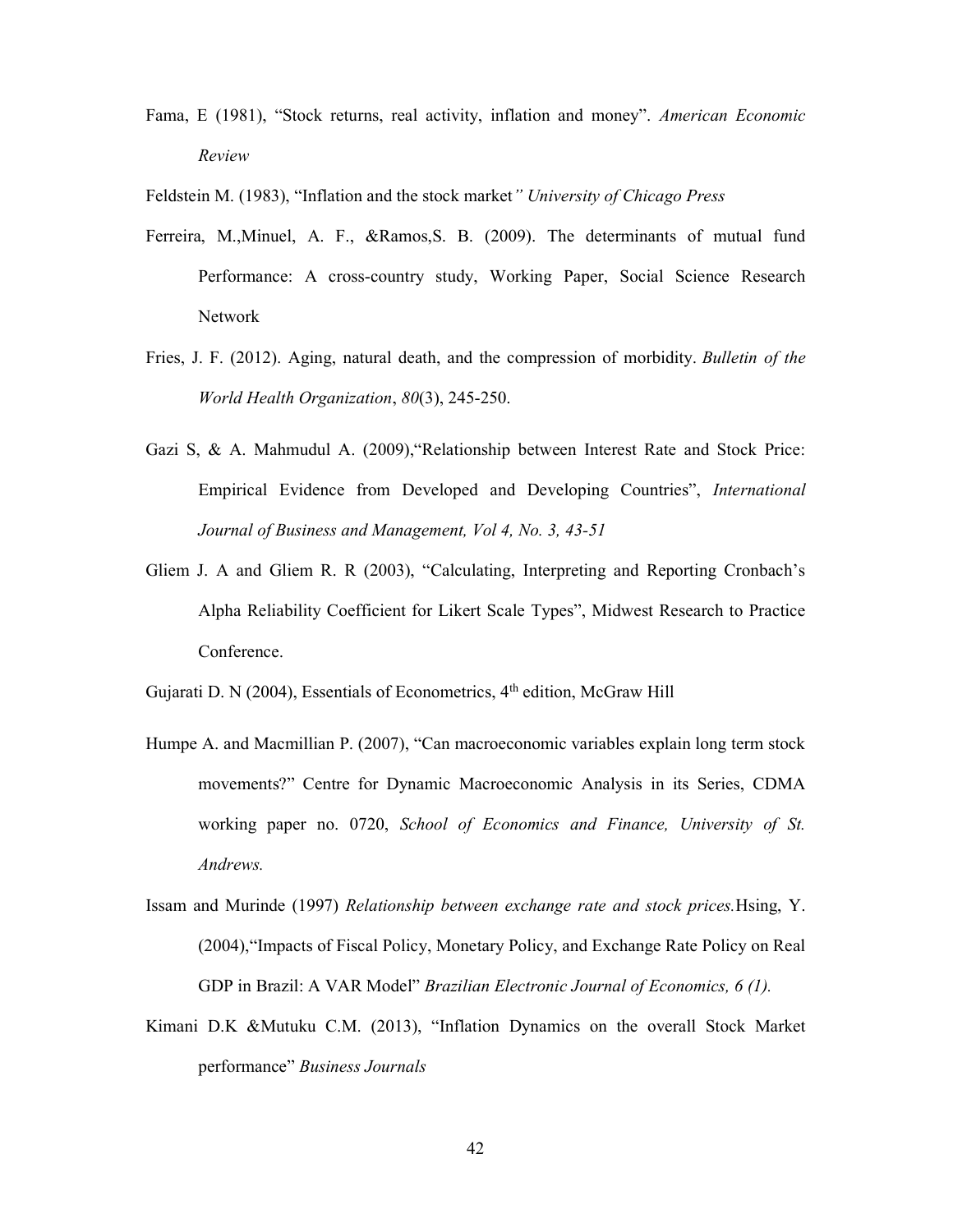Fama, E (1981), "Stock returns, real activity, inflation and money". American Economic Review

Feldstein M. (1983), "Inflation and the stock market" University of Chicago Press

- Ferreira, M.,Minuel, A. F., &Ramos,S. B. (2009). The determinants of mutual fund Performance: A cross-country study, Working Paper, Social Science Research Network
- Fries, J. F. (2012). Aging, natural death, and the compression of morbidity. Bulletin of the World Health Organization, 80(3), 245-250.
- Gazi S, & A. Mahmudul A. (2009),"Relationship between Interest Rate and Stock Price: Empirical Evidence from Developed and Developing Countries", International Journal of Business and Management, Vol 4, No. 3, 43-51
- Gliem J. A and Gliem R. R (2003), "Calculating, Interpreting and Reporting Cronbach's Alpha Reliability Coefficient for Likert Scale Types", Midwest Research to Practice Conference.

Gujarati D. N (2004), Essentials of Econometrics, 4<sup>th</sup> edition, McGraw Hill

- Humpe A. and Macmillian P. (2007), "Can macroeconomic variables explain long term stock movements?" Centre for Dynamic Macroeconomic Analysis in its Series, CDMA working paper no. 0720, School of Economics and Finance, University of St. Andrews.
- Issam and Murinde (1997) Relationship between exchange rate and stock prices.Hsing, Y. (2004),"Impacts of Fiscal Policy, Monetary Policy, and Exchange Rate Policy on Real GDP in Brazil: A VAR Model" Brazilian Electronic Journal of Economics, 6 (1).
- Kimani D.K &Mutuku C.M. (2013), "Inflation Dynamics on the overall Stock Market performance" Business Journals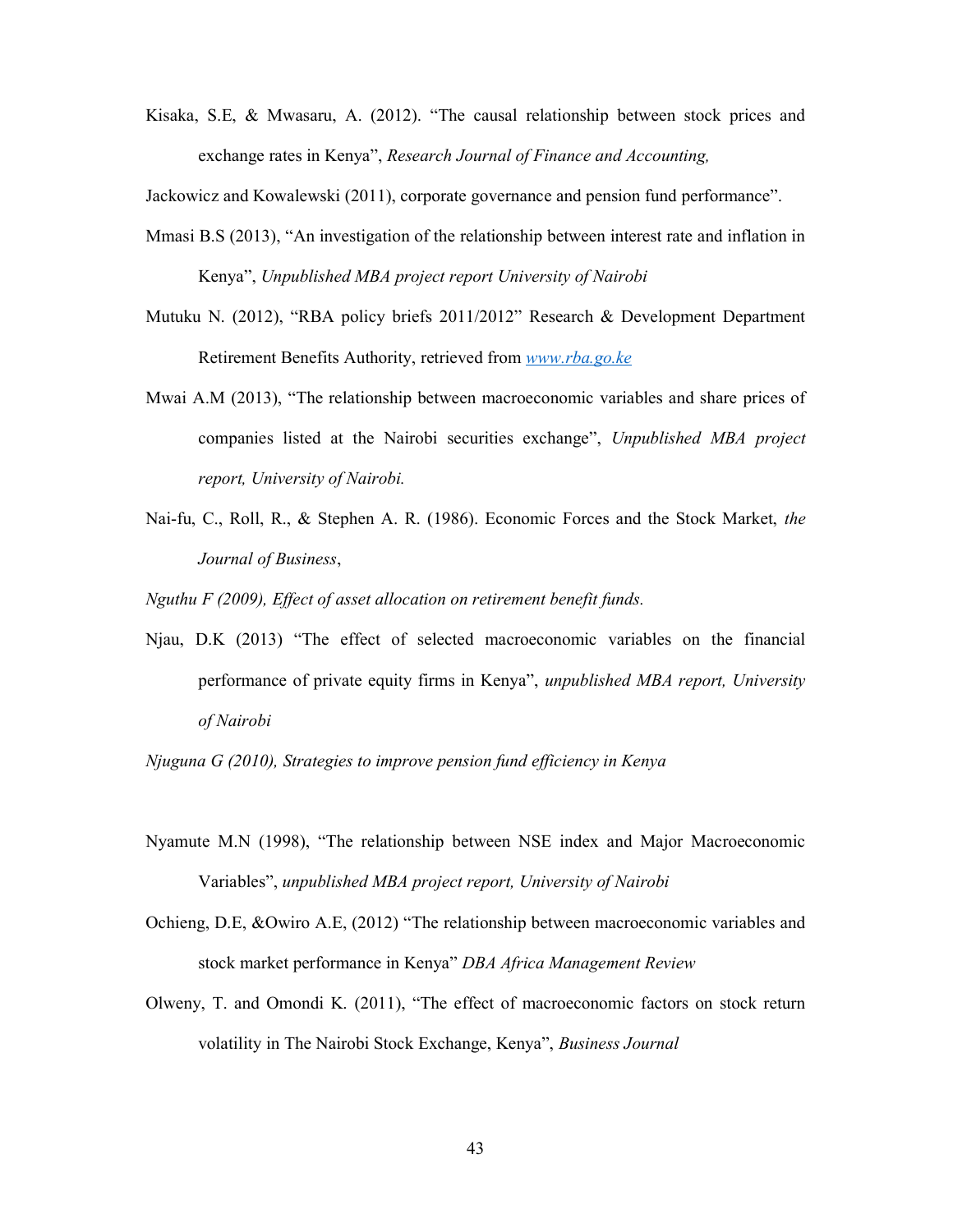Kisaka, S.E, & Mwasaru, A. (2012). "The causal relationship between stock prices and exchange rates in Kenya", Research Journal of Finance and Accounting,

Jackowicz and Kowalewski (2011), corporate governance and pension fund performance".

- Mmasi B.S (2013), "An investigation of the relationship between interest rate and inflation in Kenya", Unpublished MBA project report University of Nairobi
- Mutuku N. (2012), "RBA policy briefs 2011/2012" Research & Development Department Retirement Benefits Authority, retrieved from www.rba.go.ke
- Mwai A.M (2013), "The relationship between macroeconomic variables and share prices of companies listed at the Nairobi securities exchange", Unpublished MBA project report, University of Nairobi.
- Nai-fu, C., Roll, R., & Stephen A. R. (1986). Economic Forces and the Stock Market, the Journal of Business,

Nguthu F (2009), Effect of asset allocation on retirement benefit funds.

Njau, D.K (2013) "The effect of selected macroeconomic variables on the financial performance of private equity firms in Kenya", unpublished MBA report, University of Nairobi

Njuguna G (2010), Strategies to improve pension fund efficiency in Kenya

- Nyamute M.N (1998), "The relationship between NSE index and Major Macroeconomic Variables", unpublished MBA project report, University of Nairobi
- Ochieng, D.E, &Owiro A.E, (2012) "The relationship between macroeconomic variables and stock market performance in Kenya" DBA Africa Management Review
- Olweny, T. and Omondi K. (2011), "The effect of macroeconomic factors on stock return volatility in The Nairobi Stock Exchange, Kenya", Business Journal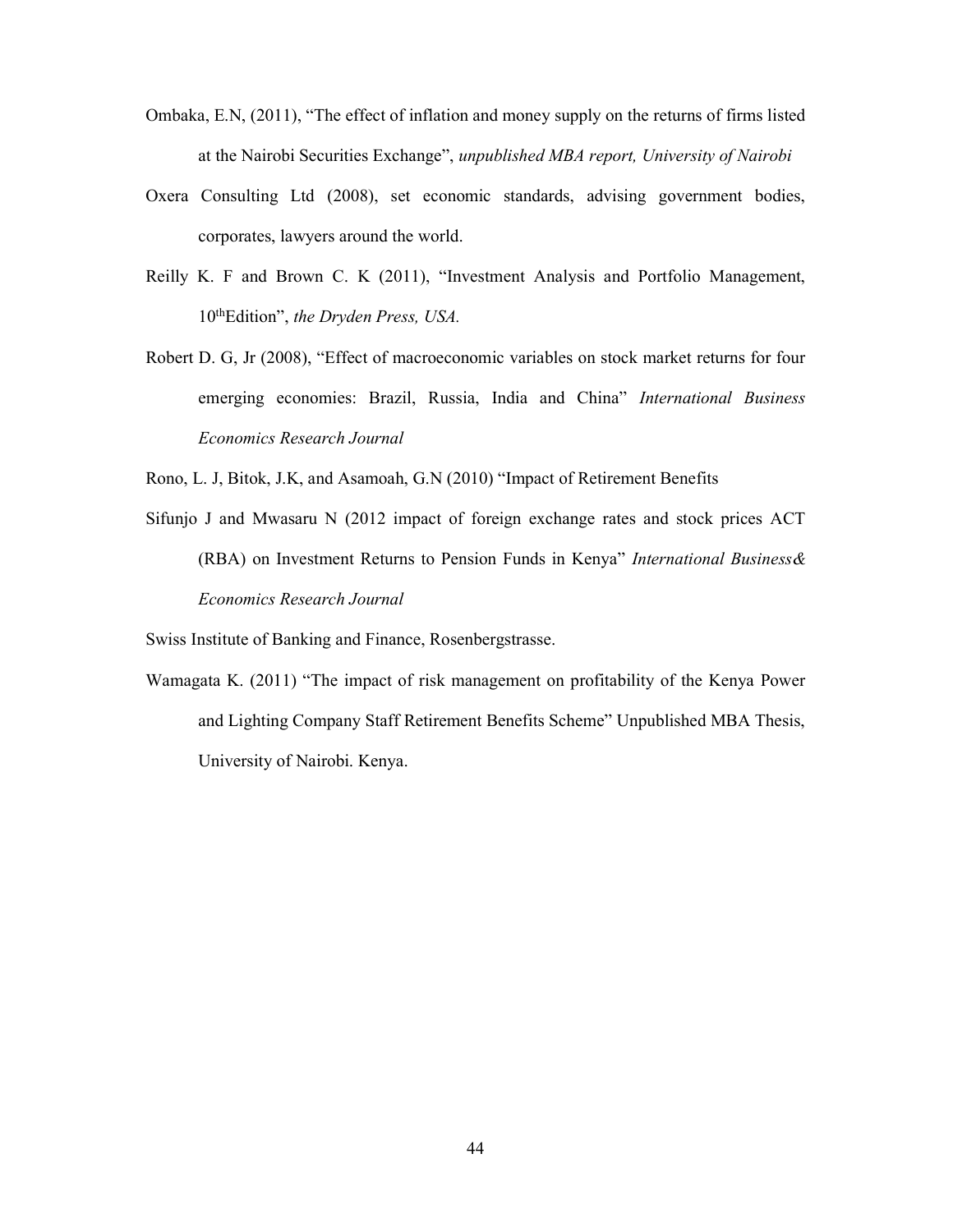- Ombaka, E.N, (2011), "The effect of inflation and money supply on the returns of firms listed at the Nairobi Securities Exchange", unpublished MBA report, University of Nairobi
- Oxera Consulting Ltd (2008), set economic standards, advising government bodies, corporates, lawyers around the world.
- Reilly K. F and Brown C. K (2011), "Investment Analysis and Portfolio Management, 10<sup>th</sup>Edition", the Dryden Press, USA.
- Robert D. G, Jr (2008), "Effect of macroeconomic variables on stock market returns for four emerging economies: Brazil, Russia, India and China" International Business Economics Research Journal

Rono, L. J, Bitok, J.K, and Asamoah, G.N (2010) "Impact of Retirement Benefits

Sifunjo J and Mwasaru N (2012 impact of foreign exchange rates and stock prices ACT (RBA) on Investment Returns to Pension Funds in Kenya" International Business& Economics Research Journal

Swiss Institute of Banking and Finance, Rosenbergstrasse.

Wamagata K. (2011) "The impact of risk management on profitability of the Kenya Power and Lighting Company Staff Retirement Benefits Scheme" Unpublished MBA Thesis, University of Nairobi. Kenya.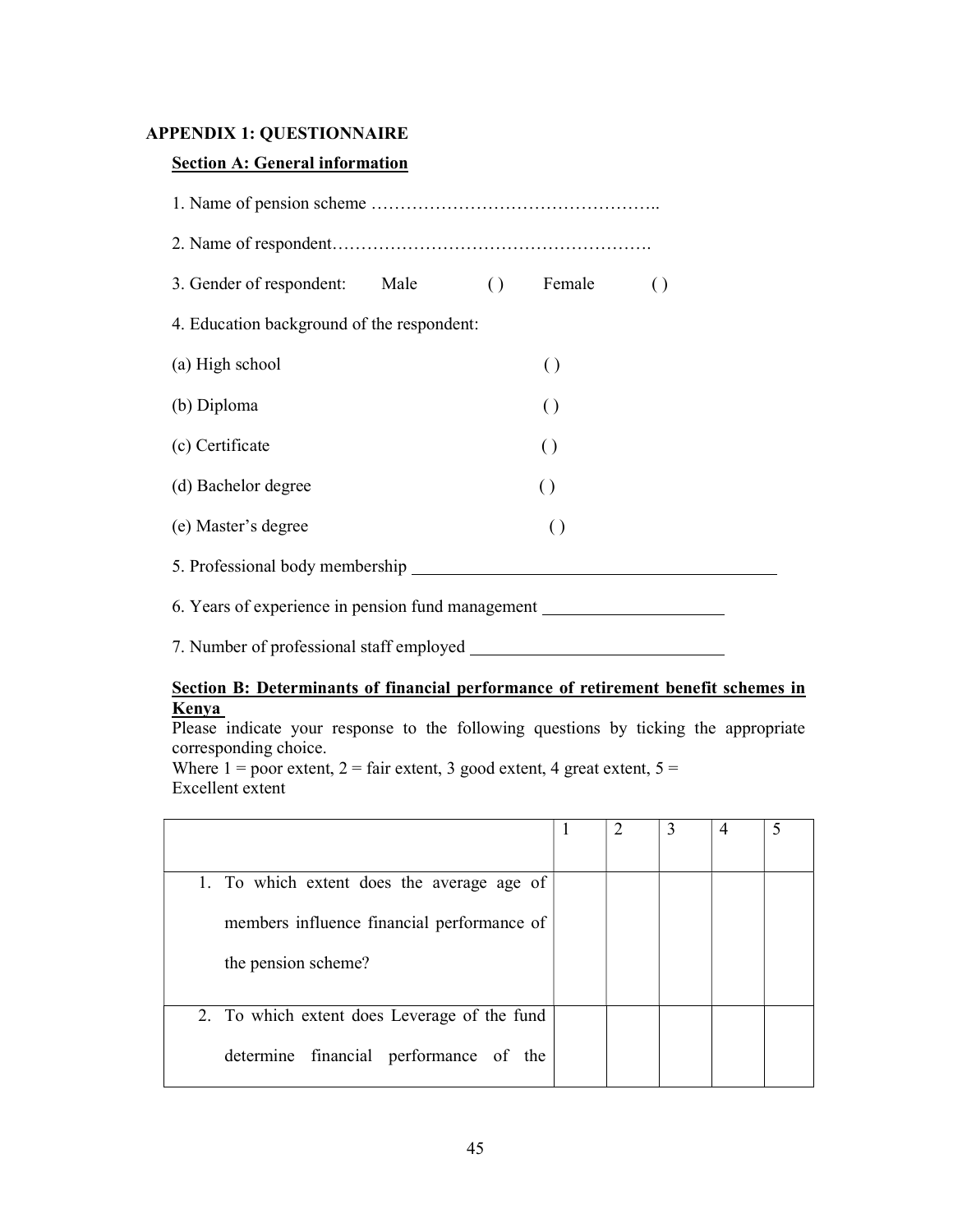### APPENDIX 1: QUESTIONNAIRE

### Section A: General information

| 3. Gender of respondent: Male () Female           |  |  |                  | $\left( \right)$ |  |  |
|---------------------------------------------------|--|--|------------------|------------------|--|--|
| 4. Education background of the respondent:        |  |  |                  |                  |  |  |
| (a) High school                                   |  |  | $\left( \right)$ |                  |  |  |
| (b) Diploma                                       |  |  | $\left( \right)$ |                  |  |  |
| (c) Certificate                                   |  |  | $\left( \right)$ |                  |  |  |
| (d) Bachelor degree                               |  |  | $\left( \right)$ |                  |  |  |
| (e) Master's degree                               |  |  | $\left( \right)$ |                  |  |  |
| 5. Professional body membership                   |  |  |                  |                  |  |  |
| 6. Years of experience in pension fund management |  |  |                  |                  |  |  |
|                                                   |  |  |                  |                  |  |  |

7. Number of professional staff employed

### Section B: Determinants of financial performance of retirement benefit schemes in Kenya

Please indicate your response to the following questions by ticking the appropriate corresponding choice.

Where  $1 =$  poor extent,  $2 =$  fair extent, 3 good extent, 4 great extent,  $5 =$ Excellent extent

| 1. To which extent does the average age of   |  |  |  |
|----------------------------------------------|--|--|--|
| members influence financial performance of   |  |  |  |
| the pension scheme?                          |  |  |  |
|                                              |  |  |  |
| 2. To which extent does Leverage of the fund |  |  |  |
| determine financial performance of the       |  |  |  |